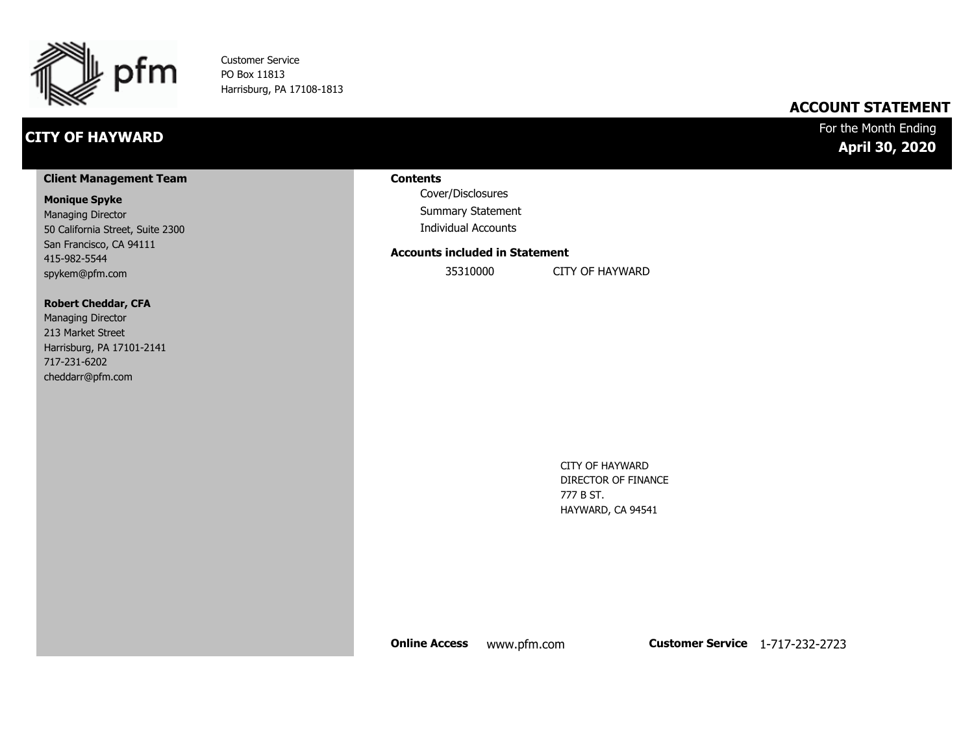

Customer Service PO Box 11813 Harrisburg, PA 17108-1813

### **CITY OF HAYWARD**

### **ACCOUNT STATEMENT**

### For the Month Ending **April 30, 2020**

#### **Client Management Team**

#### **Monique Spyke**

Managing Director 50 California Street, Suite 2300 San Francisco, CA 94111 415-982-5544 spykem@pfm.com

#### **Robert Cheddar, CFA**

| <b>Managing Director</b>  |
|---------------------------|
| 213 Market Street         |
| Harrisburg, PA 17101-2141 |
| 717-231-6202              |
| cheddarr@pfm.com          |

#### **Contents**

Cover/Disclosures Summary Statement Individual Accounts

#### **Accounts included in Statement**

35310000 CITY OF HAYWARD

CITY OF HAYWARD DIRECTOR OF FINANCE 777 B ST. HAYWARD, CA 94541

**Online Access** www.pfm.com **Customer Service** 1-717-232-2723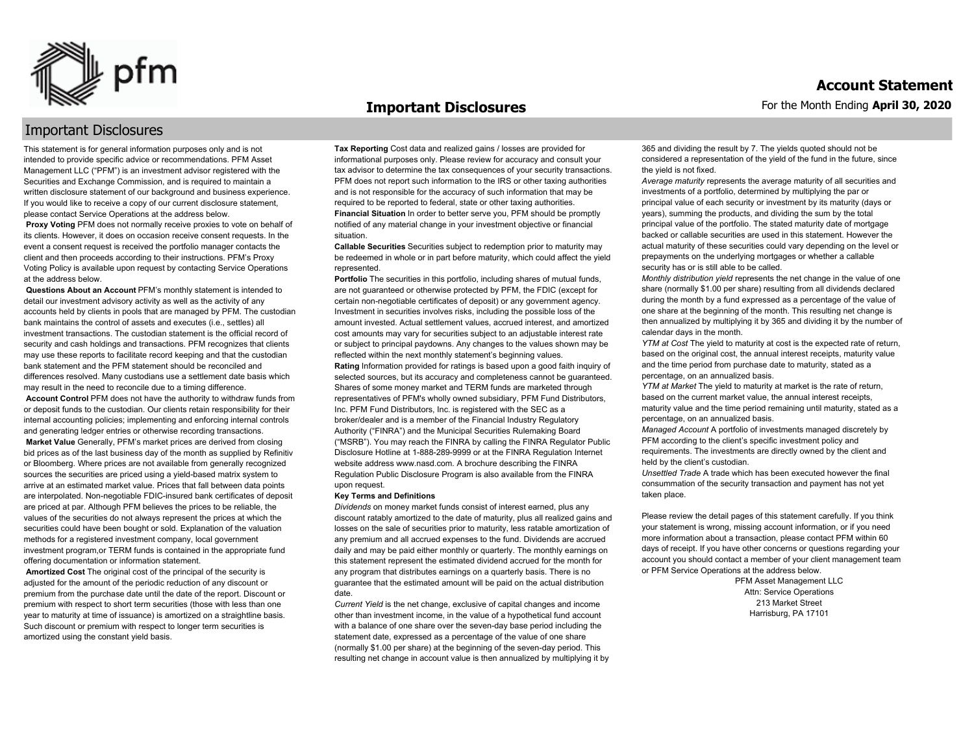

#### **Important Disclosures**

### Important Disclosures

This statement is for general information purposes only and is not intended to provide specific advice or recommendations. PFM Asset Management LLC ("PFM") is an investment advisor registered with the Securities and Exchange Commission, and is required to maintain a written disclosure statement of our background and business experience. If you would like to receive a copy of our current disclosure statement, please contact Service Operations at the address below.

**Proxy Voting** PFM does not normally receive proxies to vote on behalf of its clients. However, it does on occasion receive consent requests. In the event a consent request is received the portfolio manager contacts the client and then proceeds according to their instructions. PFM's Proxy Voting Policy is available upon request by contacting Service Operations at the address below.

**Questions About an Account** PFM's monthly statement is intended to detail our investment advisory activity as well as the activity of any accounts held by clients in pools that are managed by PFM. The custodian bank maintains the control of assets and executes (i.e., settles) all investment transactions. The custodian statement is the official record of security and cash holdings and transactions. PFM recognizes that clients may use these reports to facilitate record keeping and that the custodian bank statement and the PFM statement should be reconciled and differences resolved. Many custodians use a settlement date basis which may result in the need to reconcile due to a timing difference.

**Account Control** PFM does not have the authority to withdraw funds from or deposit funds to the custodian. Our clients retain responsibility for their internal accounting policies; implementing and enforcing internal controls and generating ledger entries or otherwise recording transactions.

**Market Value** Generally, PFM's market prices are derived from closing bid prices as of the last business day of the month as supplied by Refinitiv or Bloomberg. Where prices are not available from generally recognized sources the securities are priced using a yield-based matrix system to arrive at an estimated market value. Prices that fall between data points are interpolated. Non-negotiable FDIC-insured bank certificates of deposit are priced at par. Although PFM believes the prices to be reliable, the values of the securities do not always represent the prices at which the securities could have been bought or sold. Explanation of the valuation methods for a registered investment company, local government investment program,or TERM funds is contained in the appropriate fund offering documentation or information statement.

**Amortized Cost** The original cost of the principal of the security is adjusted for the amount of the periodic reduction of any discount or premium from the purchase date until the date of the report. Discount or premium with respect to short term securities (those with less than one year to maturity at time of issuance) is amortized on a straightline basis. Such discount or premium with respect to longer term securities is amortized using the constant yield basis.

**Tax Reporting** Cost data and realized gains / losses are provided for informational purposes only. Please review for accuracy and consult your tax advisor to determine the tax consequences of your security transactions. PFM does not report such information to the IRS or other taxing authorities and is not responsible for the accuracy of such information that may be required to be reported to federal, state or other taxing authorities. **Financial Situation** In order to better serve you, PFM should be promptly notified of any material change in your investment objective or financial situation.

**Callable Securities** Securities subject to redemption prior to maturity may be redeemed in whole or in part before maturity, which could affect the yield represented.

Portfolio The securities in this portfolio, including shares of mutual funds, are not guaranteed or otherwise protected by PFM, the FDIC (except for certain non-negotiable certificates of deposit) or any government agency. Investment in securities involves risks, including the possible loss of the amount invested. Actual settlement values, accrued interest, and amortized cost amounts may vary for securities subject to an adjustable interest rate or subject to principal paydowns. Any changes to the values shown may be reflected within the next monthly statement's beginning values. **Rating** Information provided for ratings is based upon a good faith inquiry of selected sources, but its accuracy and completeness cannot be guaranteed. Shares of some money market and TERM funds are marketed through representatives of PFM's wholly owned subsidiary, PFM Fund Distributors, Inc. PFM Fund Distributors, Inc. is registered with the SEC as a broker/dealer and is a member of the Financial Industry Regulatory Authority ("FINRA") and the Municipal Securities Rulemaking Board ("MSRB"). You may reach the FINRA by calling the FINRA Regulator Public Disclosure Hotline at 1-888-289-9999 or at the FINRA Regulation Internet website address www.nasd.com. A brochure describing the FINRA Regulation Public Disclosure Program is also available from the FINRA upon request.

#### **Key Terms and Definitions**

*Dividends* on money market funds consist of interest earned, plus any discount ratably amortized to the date of maturity, plus all realized gains and losses on the sale of securities prior to maturity, less ratable amortization of any premium and all accrued expenses to the fund. Dividends are accrued daily and may be paid either monthly or quarterly. The monthly earnings on this statement represent the estimated dividend accrued for the month for any program that distributes earnings on a quarterly basis. There is no guarantee that the estimated amount will be paid on the actual distribution date.

*Current Yield* is the net change, exclusive of capital changes and income other than investment income, in the value of a hypothetical fund account with a balance of one share over the seven-day base period including the statement date, expressed as a percentage of the value of one share (normally \$1.00 per share) at the beginning of the seven-day period. This resulting net change in account value is then annualized by multiplying it by 365 and dividing the result by 7. The yields quoted should not be considered a representation of the yield of the fund in the future, since the yield is not fixed.

*Average maturity* represents the average maturity of all securities and investments of a portfolio, determined by multiplying the par or principal value of each security or investment by its maturity (days or years), summing the products, and dividing the sum by the total principal value of the portfolio. The stated maturity date of mortgage backed or callable securities are used in this statement. However the actual maturity of these securities could vary depending on the level or prepayments on the underlying mortgages or whether a callable security has or is still able to be called.

*Monthly distribution yield* represents the net change in the value of one share (normally \$1.00 per share) resulting from all dividends declared during the month by a fund expressed as a percentage of the value of one share at the beginning of the month. This resulting net change is then annualized by multiplying it by 365 and dividing it by the number of calendar days in the month.

*YTM at Cost* The yield to maturity at cost is the expected rate of return, based on the original cost, the annual interest receipts, maturity value and the time period from purchase date to maturity, stated as a percentage, on an annualized basis.

*YTM at Market* The yield to maturity at market is the rate of return, based on the current market value, the annual interest receipts, maturity value and the time period remaining until maturity, stated as a percentage, on an annualized basis.

*Managed Account* A portfolio of investments managed discretely by PFM according to the client's specific investment policy and requirements. The investments are directly owned by the client and held by the client's custodian.

*Unsettled Trade* A trade which has been executed however the final consummation of the security transaction and payment has not yet taken place.

Please review the detail pages of this statement carefully. If you think your statement is wrong, missing account information, or if you need more information about a transaction, please contact PFM within 60 days of receipt. If you have other concerns or questions regarding your account you should contact a member of your client management team or PFM Service Operations at the address below.

> PFM Asset Management LLC Attn: Service Operations 213 Market Street Harrisburg, PA 17101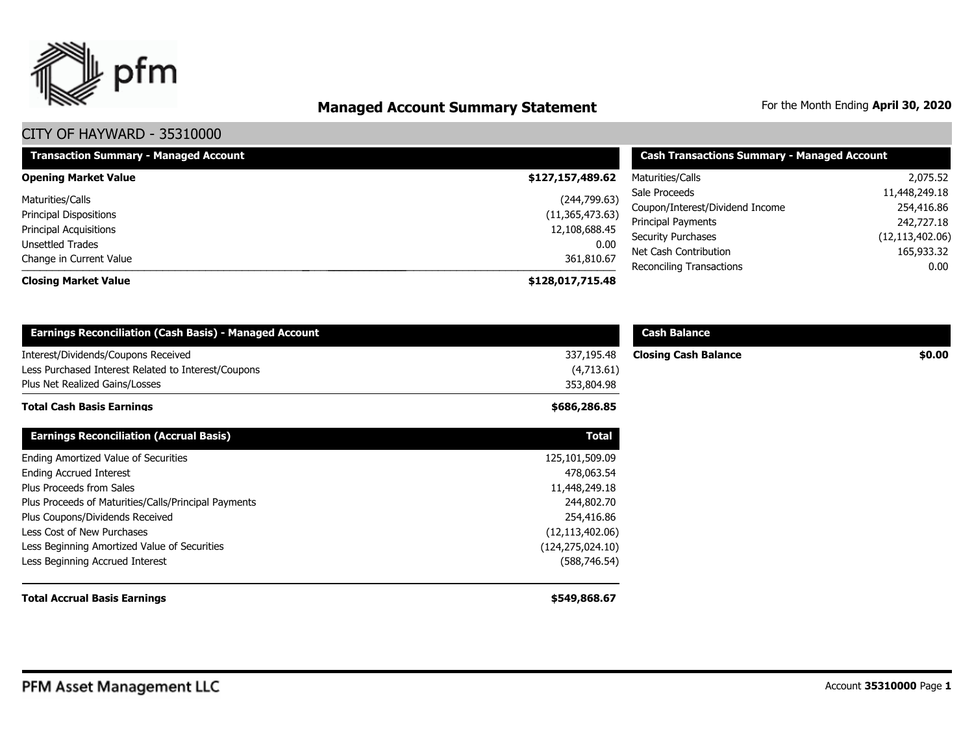

# **Managed Account Summary Statement** For the Month Ending April 30, 2020

| <b>Transaction Summary - Managed Account</b> | <b>Cash Transactions Summary - Managed Account</b> |                                 |                   |
|----------------------------------------------|----------------------------------------------------|---------------------------------|-------------------|
| <b>Opening Market Value</b>                  | \$127,157,489.62                                   | Maturities/Calls                | 2,075.52          |
| Maturities/Calls                             | (244, 799.63)                                      | Sale Proceeds                   | 11,448,249.18     |
| Principal Dispositions                       | (11, 365, 473.63)                                  | Coupon/Interest/Dividend Income | 254,416.86        |
| Principal Acquisitions                       | 12,108,688.45                                      | Principal Payments              | 242,727.18        |
| Unsettled Trades                             | 0.00                                               | <b>Security Purchases</b>       | (12, 113, 402.06) |
| Change in Current Value                      | 361,810.67                                         | Net Cash Contribution           | 165,933.32        |
|                                              |                                                    | Reconciling Transactions        | 0.00              |
| <b>Closing Market Value</b>                  | \$128,017,715.48                                   |                                 |                   |

| <b>Earnings Reconciliation (Cash Basis) - Managed Account</b> |                    | <b>Cash Balance</b>         |        |
|---------------------------------------------------------------|--------------------|-----------------------------|--------|
| Interest/Dividends/Coupons Received                           | 337,195.48         | <b>Closing Cash Balance</b> | \$0.00 |
| Less Purchased Interest Related to Interest/Coupons           | (4,713.61)         |                             |        |
| Plus Net Realized Gains/Losses                                | 353,804.98         |                             |        |
| Total Cash Basis Earnings                                     | \$686,286.85       |                             |        |
| <b>Earnings Reconciliation (Accrual Basis)</b>                | <b>Total</b>       |                             |        |
| Ending Amortized Value of Securities                          | 125,101,509.09     |                             |        |
| <b>Ending Accrued Interest</b>                                | 478,063.54         |                             |        |
| Plus Proceeds from Sales                                      | 11,448,249.18      |                             |        |
| Plus Proceeds of Maturities/Calls/Principal Payments          | 244,802.70         |                             |        |
| Plus Coupons/Dividends Received                               | 254,416.86         |                             |        |
| Less Cost of New Purchases                                    | (12, 113, 402.06)  |                             |        |
| Less Beginning Amortized Value of Securities                  | (124, 275, 024.10) |                             |        |
| Less Beginning Accrued Interest                               | (588, 746.54)      |                             |        |
| <b>Total Accrual Basis Earnings</b>                           | \$549,868.67       |                             |        |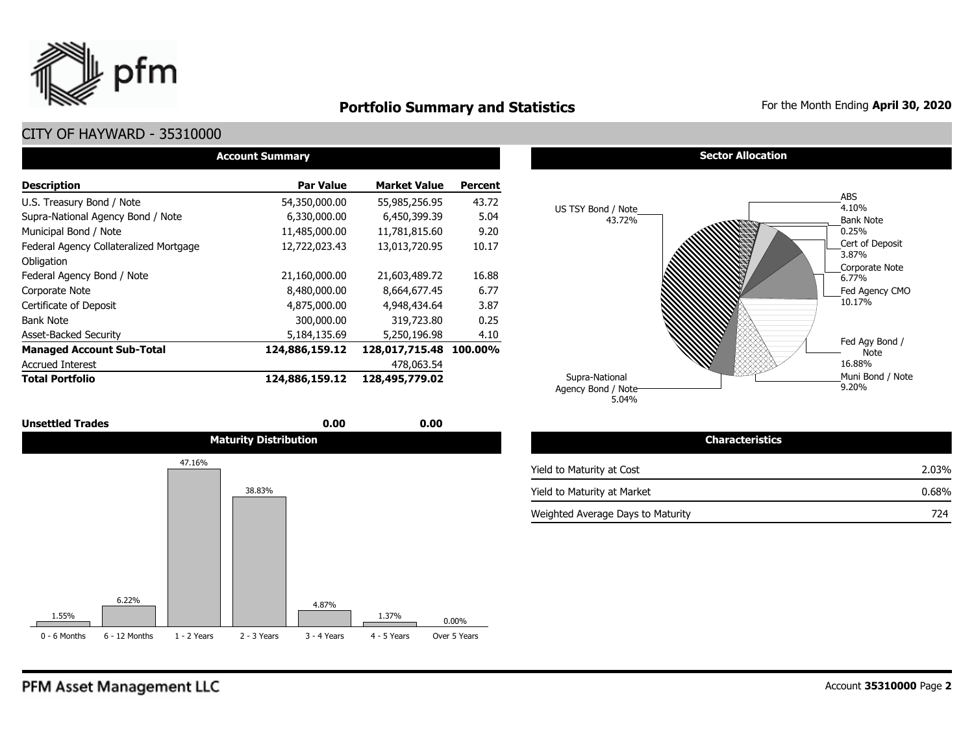

### **Portfolio Summary and Statistics** For the Month Ending April 30, 2020

### CITY OF HAYWARD - 35310000

| <b>Account Summary</b>                 |                  |                        |                |  |  |  |  |  |  |  |
|----------------------------------------|------------------|------------------------|----------------|--|--|--|--|--|--|--|
| <b>Description</b>                     | <b>Par Value</b> | <b>Market Value</b>    | <b>Percent</b> |  |  |  |  |  |  |  |
| U.S. Treasury Bond / Note              | 54,350,000.00    | 55,985,256.95          | 43.72          |  |  |  |  |  |  |  |
| Supra-National Agency Bond / Note      | 6,330,000.00     | 6,450,399.39           | 5.04           |  |  |  |  |  |  |  |
| Municipal Bond / Note                  | 11,485,000.00    | 11,781,815.60          | 9.20           |  |  |  |  |  |  |  |
| Federal Agency Collateralized Mortgage | 12,722,023.43    | 13,013,720.95          | 10.17          |  |  |  |  |  |  |  |
| Obligation                             |                  |                        |                |  |  |  |  |  |  |  |
| Federal Agency Bond / Note             | 21,160,000.00    | 21,603,489.72          | 16.88          |  |  |  |  |  |  |  |
| Corporate Note                         | 8,480,000.00     | 8,664,677.45           | 6.77           |  |  |  |  |  |  |  |
| Certificate of Deposit                 | 4,875,000.00     | 4,948,434,64           | 3.87           |  |  |  |  |  |  |  |
| <b>Bank Note</b>                       | 300,000.00       | 319,723.80             | 0.25           |  |  |  |  |  |  |  |
| <b>Asset-Backed Security</b>           | 5,184,135.69     | 5,250,196.98           | 4.10           |  |  |  |  |  |  |  |
| <b>Managed Account Sub-Total</b>       | 124,886,159.12   | 128,017,715.48 100.00% |                |  |  |  |  |  |  |  |
| <b>Accrued Interest</b>                |                  | 478,063.54             |                |  |  |  |  |  |  |  |
| <b>Total Portfolio</b>                 | 124,886,159.12   | 128,495,779.02         |                |  |  |  |  |  |  |  |



#### **Sector Allocation**



| <b>Characteristics</b>            |       |
|-----------------------------------|-------|
| Yield to Maturity at Cost         | 2.03% |
| Yield to Maturity at Market       | 0.68% |
| Weighted Average Days to Maturity | 724   |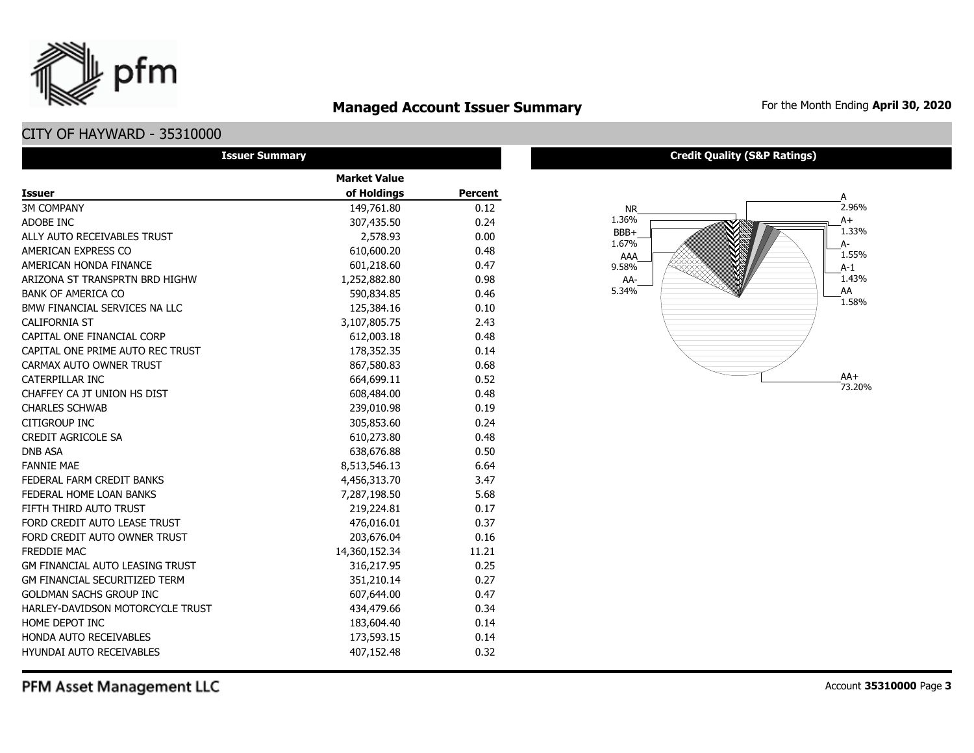### **Managed Account Issuer Summary** For the Month Ending April 30, 2020

### CITY OF HAYWARD - 35310000

pfm

| <b>Issuer Summary</b>                  |                     |                |
|----------------------------------------|---------------------|----------------|
|                                        | <b>Market Value</b> |                |
| <b>Issuer</b>                          | of Holdings         | <b>Percent</b> |
| <b>3M COMPANY</b>                      | 149,761.80          | 0.12           |
| ADOBE INC                              | 307,435.50          | 0.24           |
| ALLY AUTO RECEIVABLES TRUST            | 2,578.93            | 0.00           |
| AMERICAN EXPRESS CO                    | 610,600.20          | 0.48           |
| AMERICAN HONDA FINANCE                 | 601,218.60          | 0.47           |
| ARIZONA ST TRANSPRTN BRD HIGHW         | 1,252,882.80        | 0.98           |
| <b>BANK OF AMERICA CO</b>              | 590,834.85          | 0.46           |
| BMW FINANCIAL SERVICES NA LLC          | 125,384.16          | 0.10           |
| <b>CALIFORNIA ST</b>                   | 3,107,805.75        | 2.43           |
| CAPITAL ONE FINANCIAL CORP             | 612,003.18          | 0.48           |
| CAPITAL ONE PRIME AUTO REC TRUST       | 178,352.35          | 0.14           |
| CARMAX AUTO OWNER TRUST                | 867,580.83          | 0.68           |
| CATERPILLAR INC                        | 664,699.11          | 0.52           |
| CHAFFEY CA JT UNION HS DIST            | 608,484.00          | 0.48           |
| <b>CHARLES SCHWAB</b>                  | 239,010.98          | 0.19           |
| <b>CITIGROUP INC</b>                   | 305,853.60          | 0.24           |
| <b>CREDIT AGRICOLE SA</b>              | 610,273.80          | 0.48           |
| <b>DNB ASA</b>                         | 638,676.88          | 0.50           |
| <b>FANNIE MAE</b>                      | 8,513,546.13        | 6.64           |
| FEDERAL FARM CREDIT BANKS              | 4,456,313.70        | 3.47           |
| FEDERAL HOME LOAN BANKS                | 7,287,198.50        | 5.68           |
| FIFTH THIRD AUTO TRUST                 | 219,224.81          | 0.17           |
| FORD CREDIT AUTO LEASE TRUST           | 476,016.01          | 0.37           |
| FORD CREDIT AUTO OWNER TRUST           | 203,676.04          | 0.16           |
| FREDDIE MAC                            | 14,360,152.34       | 11.21          |
| <b>GM FINANCIAL AUTO LEASING TRUST</b> | 316,217.95          | 0.25           |
| <b>GM FINANCIAL SECURITIZED TERM</b>   | 351,210.14          | 0.27           |
| <b>GOLDMAN SACHS GROUP INC</b>         | 607,644.00          | 0.47           |
| HARLEY-DAVIDSON MOTORCYCLE TRUST       | 434,479.66          | 0.34           |
| HOME DEPOT INC                         | 183,604.40          | 0.14           |
| HONDA AUTO RECEIVABLES                 | 173,593.15          | 0.14           |
| <b>HYUNDAI AUTO RECEIVABLES</b>        | 407,152.48          | 0.32           |

#### **Credit Quality (S&P Ratings)**

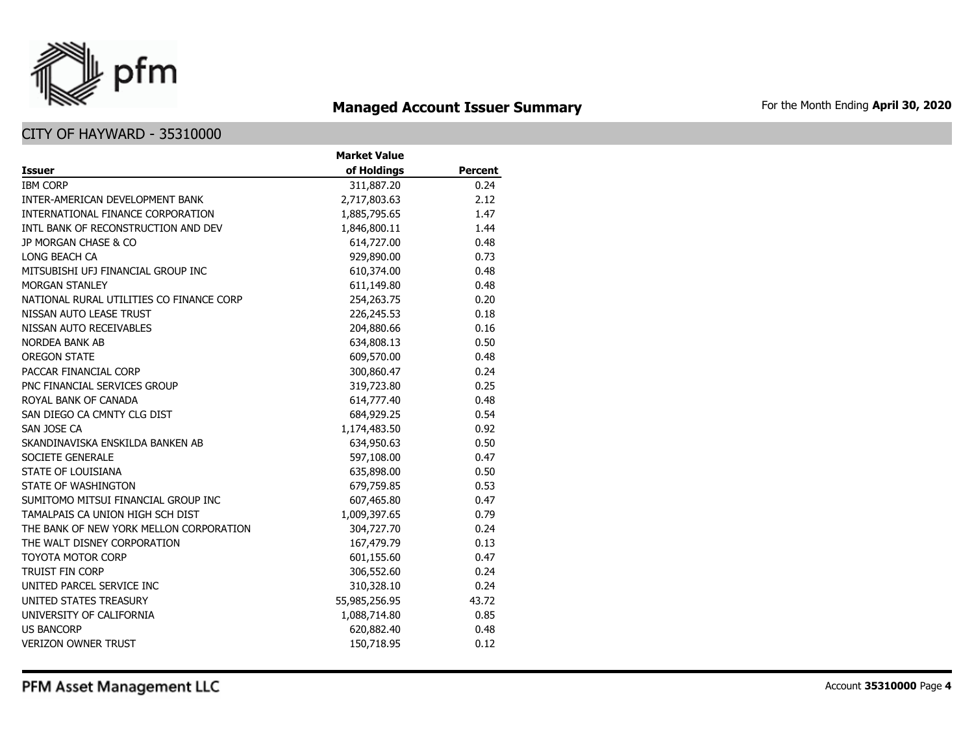

# **Managed Account Issuer Summary** For the Month Ending April 30, 2020

### CITY OF HAYWARD - 35310000

|                                          | <b>Market Value</b> |                |
|------------------------------------------|---------------------|----------------|
| <b>Issuer</b>                            | of Holdings         | <b>Percent</b> |
| <b>IBM CORP</b>                          | 311,887.20          | 0.24           |
| INTER-AMERICAN DEVELOPMENT BANK          | 2,717,803.63        | 2.12           |
| INTERNATIONAL FINANCE CORPORATION        | 1,885,795.65        | 1.47           |
| INTL BANK OF RECONSTRUCTION AND DEV      | 1,846,800.11        | 1.44           |
| JP MORGAN CHASE & CO                     | 614,727.00          | 0.48           |
| LONG BEACH CA                            | 929,890.00          | 0.73           |
| MITSUBISHI UFJ FINANCIAL GROUP INC       | 610,374.00          | 0.48           |
| MORGAN STANLEY                           | 611,149.80          | 0.48           |
| NATIONAL RURAL UTILITIES CO FINANCE CORP | 254,263.75          | 0.20           |
| NISSAN AUTO LEASE TRUST                  | 226,245.53          | 0.18           |
| NISSAN AUTO RECEIVABLES                  | 204,880.66          | 0.16           |
| <b>NORDEA BANK AB</b>                    | 634,808.13          | 0.50           |
| <b>OREGON STATE</b>                      | 609,570.00          | 0.48           |
| PACCAR FINANCIAL CORP                    | 300,860.47          | 0.24           |
| PNC FINANCIAL SERVICES GROUP             | 319,723.80          | 0.25           |
| ROYAL BANK OF CANADA                     | 614,777.40          | 0.48           |
| SAN DIEGO CA CMNTY CLG DIST              | 684,929.25          | 0.54           |
| SAN JOSE CA                              | 1,174,483.50        | 0.92           |
| SKANDINAVISKA ENSKILDA BANKEN AB         | 634,950.63          | 0.50           |
| SOCIETE GENERALE                         | 597,108.00          | 0.47           |
| STATE OF LOUISIANA                       | 635,898.00          | 0.50           |
| STATE OF WASHINGTON                      | 679,759.85          | 0.53           |
| SUMITOMO MITSUI FINANCIAL GROUP INC      | 607,465.80          | 0.47           |
| TAMALPAIS CA UNION HIGH SCH DIST         | 1,009,397.65        | 0.79           |
| THE BANK OF NEW YORK MELLON CORPORATION  | 304,727.70          | 0.24           |
| THE WALT DISNEY CORPORATION              | 167,479.79          | 0.13           |
| <b>TOYOTA MOTOR CORP</b>                 | 601,155.60          | 0.47           |
| <b>TRUIST FIN CORP</b>                   | 306,552.60          | 0.24           |
| UNITED PARCEL SERVICE INC                | 310,328.10          | 0.24           |
| UNITED STATES TREASURY                   | 55,985,256.95       | 43.72          |
| UNIVERSITY OF CALIFORNIA                 | 1,088,714.80        | 0.85           |
| <b>US BANCORP</b>                        | 620,882.40          | 0.48           |
| <b>VERIZON OWNER TRUST</b>               | 150,718.95          | 0.12           |

PFM Asset Management LLC

Account **35310000** Page **4**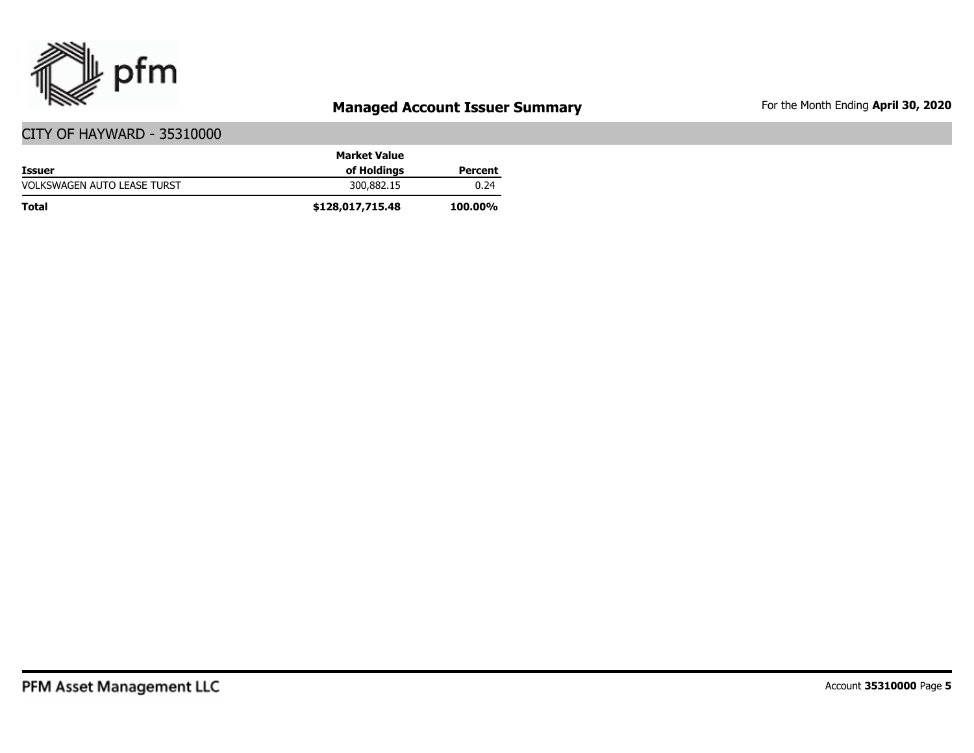

# **Managed Account Issuer Summary** For the Month Ending April 30, 2020

|                                    | <b>Market Value</b> |                |
|------------------------------------|---------------------|----------------|
| <b>Issuer</b>                      | of Holdings         | Percent        |
| <b>VOLKSWAGEN AUTO LEASE TURST</b> | 300,882.15          | 0.24           |
| <b>Total</b>                       | \$128,017,715.48    | <b>100.00%</b> |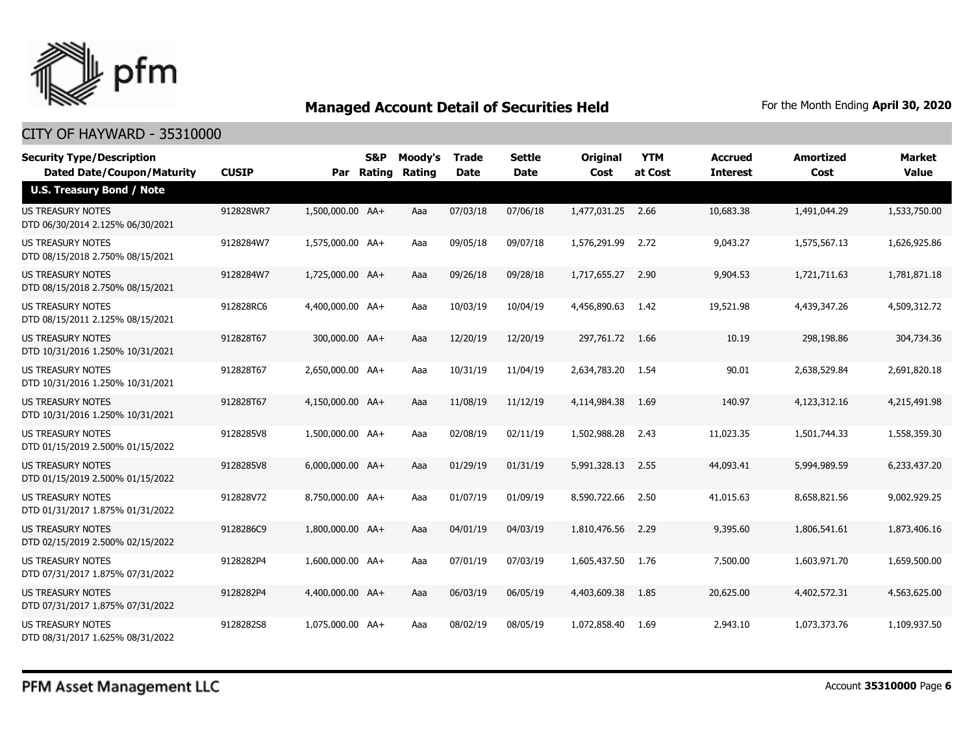

| <b>Security Type/Description</b><br><b>Dated Date/Coupon/Maturity</b> | <b>CUSIP</b> | Par              | <b>S&amp;P</b><br>Rating | Moody's<br>Rating | <b>Trade</b><br><b>Date</b> | <b>Settle</b><br><b>Date</b> | <b>Original</b><br>Cost | <b>YTM</b><br>at Cost | <b>Accrued</b><br><b>Interest</b> | <b>Amortized</b><br>Cost | <b>Market</b><br><b>Value</b> |
|-----------------------------------------------------------------------|--------------|------------------|--------------------------|-------------------|-----------------------------|------------------------------|-------------------------|-----------------------|-----------------------------------|--------------------------|-------------------------------|
| <b>U.S. Treasury Bond / Note</b>                                      |              |                  |                          |                   |                             |                              |                         |                       |                                   |                          |                               |
| <b>US TREASURY NOTES</b><br>DTD 06/30/2014 2.125% 06/30/2021          | 912828WR7    | 1,500,000.00 AA+ |                          | Aaa               | 07/03/18                    | 07/06/18                     | 1,477,031.25 2.66       |                       | 10,683.38                         | 1,491,044.29             | 1,533,750.00                  |
| US TREASURY NOTES<br>DTD 08/15/2018 2.750% 08/15/2021                 | 9128284W7    | 1,575,000.00 AA+ |                          | Aaa               | 09/05/18                    | 09/07/18                     | 1,576,291.99            | 2.72                  | 9,043.27                          | 1,575,567.13             | 1,626,925.86                  |
| <b>US TREASURY NOTES</b><br>DTD 08/15/2018 2.750% 08/15/2021          | 9128284W7    | 1,725,000.00 AA+ |                          | Aaa               | 09/26/18                    | 09/28/18                     | 1,717,655,27            | 2.90                  | 9,904.53                          | 1,721,711.63             | 1,781,871.18                  |
| <b>US TREASURY NOTES</b><br>DTD 08/15/2011 2.125% 08/15/2021          | 912828RC6    | 4,400,000.00 AA+ |                          | Aaa               | 10/03/19                    | 10/04/19                     | 4,456,890.63            | - 1.42                | 19,521.98                         | 4,439,347.26             | 4,509,312.72                  |
| <b>US TREASURY NOTES</b><br>DTD 10/31/2016 1.250% 10/31/2021          | 912828T67    | 300,000.00 AA+   |                          | Aaa               | 12/20/19                    | 12/20/19                     | 297,761.72              | 1.66                  | 10.19                             | 298,198.86               | 304,734.36                    |
| <b>US TREASURY NOTES</b><br>DTD 10/31/2016 1.250% 10/31/2021          | 912828T67    | 2,650,000.00 AA+ |                          | Aaa               | 10/31/19                    | 11/04/19                     | 2,634,783.20            | - 1.54                | 90.01                             | 2,638,529.84             | 2,691,820.18                  |
| <b>US TREASURY NOTES</b><br>DTD 10/31/2016 1.250% 10/31/2021          | 912828T67    | 4,150,000.00 AA+ |                          | Aaa               | 11/08/19                    | 11/12/19                     | 4,114,984.38            | 1.69                  | 140.97                            | 4,123,312.16             | 4,215,491.98                  |
| US TREASURY NOTES<br>DTD 01/15/2019 2.500% 01/15/2022                 | 9128285V8    | 1,500,000.00 AA+ |                          | Aaa               | 02/08/19                    | 02/11/19                     | 1,502,988.28            | 2.43                  | 11,023.35                         | 1,501,744.33             | 1,558,359.30                  |
| US TREASURY NOTES<br>DTD 01/15/2019 2.500% 01/15/2022                 | 9128285V8    | 6,000,000.00 AA+ |                          | Aaa               | 01/29/19                    | 01/31/19                     | 5,991,328.13            | 2.55                  | 44,093.41                         | 5,994,989.59             | 6,233,437.20                  |
| <b>US TREASURY NOTES</b><br>DTD 01/31/2017 1.875% 01/31/2022          | 912828V72    | 8,750,000.00 AA+ |                          | Aaa               | 01/07/19                    | 01/09/19                     | 8,590,722.66            | 2.50                  | 41,015.63                         | 8,658,821.56             | 9,002,929.25                  |
| US TREASURY NOTES<br>DTD 02/15/2019 2.500% 02/15/2022                 | 9128286C9    | 1,800,000.00 AA+ |                          | Aaa               | 04/01/19                    | 04/03/19                     | 1,810,476.56            | 2.29                  | 9,395.60                          | 1,806,541.61             | 1,873,406.16                  |
| US TREASURY NOTES<br>DTD 07/31/2017 1.875% 07/31/2022                 | 9128282P4    | 1,600,000.00 AA+ |                          | Aaa               | 07/01/19                    | 07/03/19                     | 1,605,437.50            | 1.76                  | 7,500.00                          | 1,603,971.70             | 1,659,500.00                  |
| <b>US TREASURY NOTES</b><br>DTD 07/31/2017 1.875% 07/31/2022          | 9128282P4    | 4,400,000,00 AA+ |                          | Aaa               | 06/03/19                    | 06/05/19                     | 4,403,609.38            | 1.85                  | 20,625.00                         | 4,402,572.31             | 4,563,625,00                  |
| <b>US TREASURY NOTES</b><br>DTD 08/31/2017 1.625% 08/31/2022          | 9128282S8    | 1,075,000.00 AA+ |                          | Aaa               | 08/02/19                    | 08/05/19                     | 1,072,858,40            | 1.69                  | 2,943.10                          | 1,073,373,76             | 1,109,937.50                  |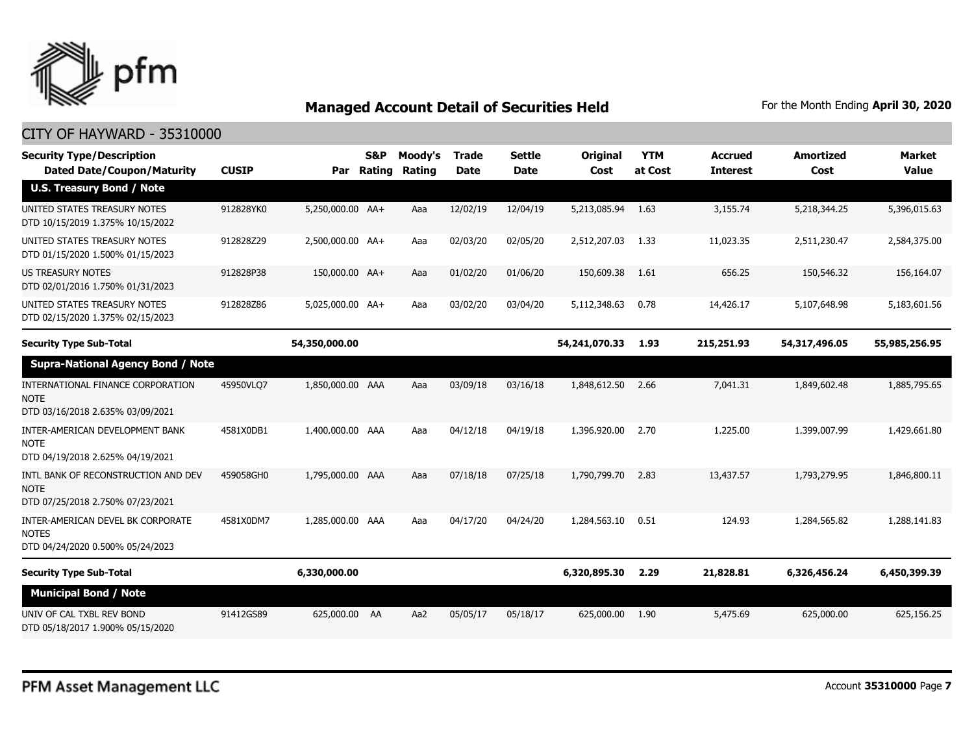

#### CITY OF HAYWARD - 35310000

| <b>Security Type/Description</b><br><b>Dated Date/Coupon/Maturity</b>                  | <b>CUSIP</b> |                  | <b>S&amp;P</b><br>Par Rating | Moody's<br>Rating | <b>Trade</b><br><b>Date</b> | <b>Settle</b><br><b>Date</b> | Original<br>Cost  | <b>YTM</b><br>at Cost | <b>Accrued</b><br><b>Interest</b> | <b>Amortized</b><br>Cost | <b>Market</b><br><b>Value</b> |
|----------------------------------------------------------------------------------------|--------------|------------------|------------------------------|-------------------|-----------------------------|------------------------------|-------------------|-----------------------|-----------------------------------|--------------------------|-------------------------------|
| <b>U.S. Treasury Bond / Note</b>                                                       |              |                  |                              |                   |                             |                              |                   |                       |                                   |                          |                               |
| UNITED STATES TREASURY NOTES<br>DTD 10/15/2019 1.375% 10/15/2022                       | 912828YK0    | 5,250,000.00 AA+ |                              | Aaa               | 12/02/19                    | 12/04/19                     | 5,213,085.94 1.63 |                       | 3,155.74                          | 5,218,344.25             | 5,396,015.63                  |
| UNITED STATES TREASURY NOTES<br>DTD 01/15/2020 1.500% 01/15/2023                       | 912828Z29    | 2,500,000.00 AA+ |                              | Aaa               | 02/03/20                    | 02/05/20                     | 2,512,207.03      | 1.33                  | 11,023.35                         | 2,511,230.47             | 2,584,375.00                  |
| <b>US TREASURY NOTES</b><br>DTD 02/01/2016 1.750% 01/31/2023                           | 912828P38    | 150,000.00 AA+   |                              | Aaa               | 01/02/20                    | 01/06/20                     | 150,609.38        | 1.61                  | 656.25                            | 150,546.32               | 156,164.07                    |
| UNITED STATES TREASURY NOTES<br>DTD 02/15/2020 1.375% 02/15/2023                       | 912828Z86    | 5,025,000.00 AA+ |                              | Aaa               | 03/02/20                    | 03/04/20                     | 5,112,348.63      | 0.78                  | 14,426.17                         | 5,107,648.98             | 5,183,601.56                  |
| <b>Security Type Sub-Total</b>                                                         |              | 54,350,000.00    |                              |                   |                             |                              | 54,241,070.33     | 1.93                  | 215,251.93                        | 54,317,496.05            | 55,985,256.95                 |
| <b>Supra-National Agency Bond / Note</b>                                               |              |                  |                              |                   |                             |                              |                   |                       |                                   |                          |                               |
| INTERNATIONAL FINANCE CORPORATION<br><b>NOTE</b><br>DTD 03/16/2018 2.635% 03/09/2021   | 45950VLQ7    | 1,850,000.00 AAA |                              | Aaa               | 03/09/18                    | 03/16/18                     | 1,848,612.50      | 2.66                  | 7,041.31                          | 1,849,602.48             | 1,885,795.65                  |
| INTER-AMERICAN DEVELOPMENT BANK<br><b>NOTE</b><br>DTD 04/19/2018 2.625% 04/19/2021     | 4581X0DB1    | 1,400,000.00 AAA |                              | Aaa               | 04/12/18                    | 04/19/18                     | 1,396,920.00      | 2.70                  | 1,225.00                          | 1,399,007.99             | 1,429,661.80                  |
| INTL BANK OF RECONSTRUCTION AND DEV<br><b>NOTE</b><br>DTD 07/25/2018 2.750% 07/23/2021 | 459058GH0    | 1,795,000.00 AAA |                              | Aaa               | 07/18/18                    | 07/25/18                     | 1,790,799.70      | 2.83                  | 13,437.57                         | 1,793,279.95             | 1,846,800.11                  |
| INTER-AMERICAN DEVEL BK CORPORATE<br><b>NOTES</b><br>DTD 04/24/2020 0.500% 05/24/2023  | 4581X0DM7    | 1,285,000.00 AAA |                              | Aaa               | 04/17/20                    | 04/24/20                     | 1,284,563.10      | 0.51                  | 124.93                            | 1,284,565.82             | 1,288,141.83                  |
| <b>Security Type Sub-Total</b>                                                         |              | 6,330,000.00     |                              |                   |                             |                              | 6,320,895.30      | 2.29                  | 21,828.81                         | 6,326,456.24             | 6,450,399.39                  |
| <b>Municipal Bond / Note</b>                                                           |              |                  |                              |                   |                             |                              |                   |                       |                                   |                          |                               |
| UNIV OF CAL TXBL REV BOND<br>DTD 05/18/2017 1.900% 05/15/2020                          | 91412GS89    | 625,000.00 AA    |                              | Aa2               | 05/05/17                    | 05/18/17                     | 625,000.00        | 1.90                  | 5,475.69                          | 625,000.00               | 625,156.25                    |

Account **35310000** Page **7**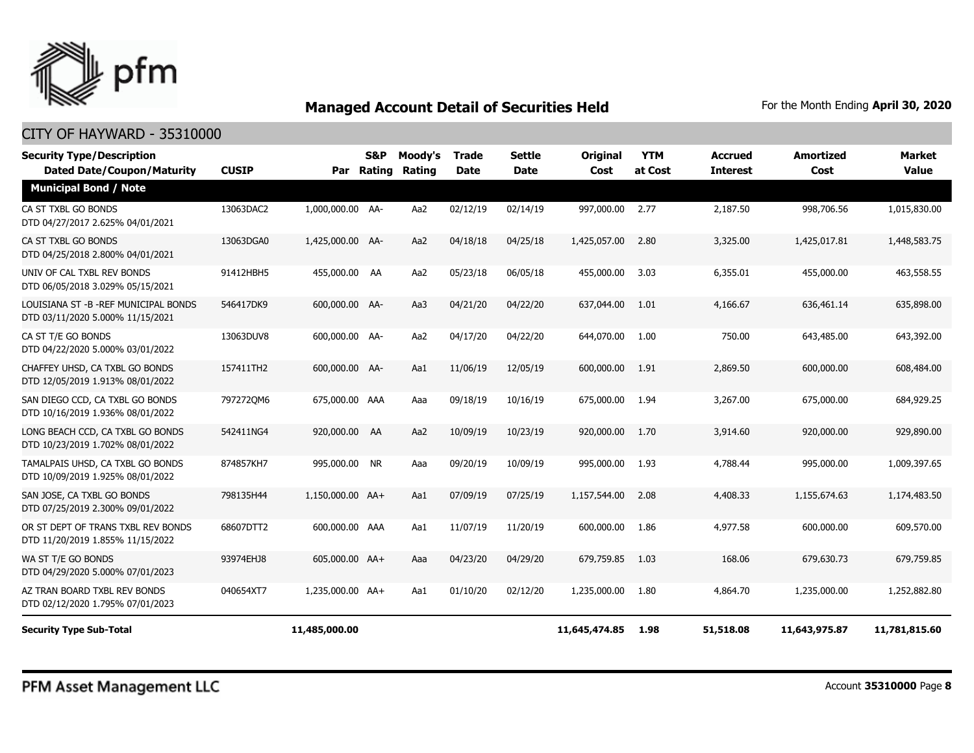

| <b>Security Type/Description</b><br><b>Dated Date/Coupon/Maturity</b>      | <b>CUSIP</b> |                  | S&P<br>Par Rating | Moody's<br><b>Rating</b> | Trade<br><b>Date</b> | <b>Settle</b><br><b>Date</b> | <b>Original</b><br>Cost | <b>YTM</b><br>at Cost | <b>Accrued</b><br><b>Interest</b> | <b>Amortized</b><br>Cost | <b>Market</b><br><b>Value</b> |
|----------------------------------------------------------------------------|--------------|------------------|-------------------|--------------------------|----------------------|------------------------------|-------------------------|-----------------------|-----------------------------------|--------------------------|-------------------------------|
| <b>Municipal Bond / Note</b>                                               |              |                  |                   |                          |                      |                              |                         |                       |                                   |                          |                               |
| CA ST TXBL GO BONDS<br>DTD 04/27/2017 2.625% 04/01/2021                    | 13063DAC2    | 1,000,000.00 AA- |                   | Aa2                      | 02/12/19             | 02/14/19                     | 997,000.00              | 2.77                  | 2,187.50                          | 998,706.56               | 1,015,830.00                  |
| CA ST TXBL GO BONDS<br>DTD 04/25/2018 2.800% 04/01/2021                    | 13063DGA0    | 1,425,000.00 AA- |                   | Aa2                      | 04/18/18             | 04/25/18                     | 1,425,057.00            | 2.80                  | 3,325.00                          | 1,425,017.81             | 1,448,583.75                  |
| UNIV OF CAL TXBL REV BONDS<br>DTD 06/05/2018 3.029% 05/15/2021             | 91412HBH5    | 455,000.00 AA    |                   | Aa2                      | 05/23/18             | 06/05/18                     | 455,000.00              | 3.03                  | 6,355.01                          | 455,000.00               | 463,558.55                    |
| LOUISIANA ST - B - REF MUNICIPAL BONDS<br>DTD 03/11/2020 5.000% 11/15/2021 | 546417DK9    | 600,000.00 AA-   |                   | Aa3                      | 04/21/20             | 04/22/20                     | 637,044.00              | 1.01                  | 4,166,67                          | 636,461.14               | 635,898.00                    |
| CA ST T/E GO BONDS<br>DTD 04/22/2020 5.000% 03/01/2022                     | 13063DUV8    | 600,000.00 AA-   |                   | Aa2                      | 04/17/20             | 04/22/20                     | 644,070.00              | 1.00                  | 750.00                            | 643,485.00               | 643,392.00                    |
| CHAFFEY UHSD, CA TXBL GO BONDS<br>DTD 12/05/2019 1.913% 08/01/2022         | 157411TH2    | 600,000.00 AA-   |                   | Aa1                      | 11/06/19             | 12/05/19                     | 600,000.00              | 1.91                  | 2,869.50                          | 600,000.00               | 608,484.00                    |
| SAN DIEGO CCD, CA TXBL GO BONDS<br>DTD 10/16/2019 1.936% 08/01/2022        | 7972720M6    | 675,000.00 AAA   |                   | Aaa                      | 09/18/19             | 10/16/19                     | 675,000.00              | 1.94                  | 3,267.00                          | 675,000.00               | 684,929.25                    |
| LONG BEACH CCD, CA TXBL GO BONDS<br>DTD 10/23/2019 1.702% 08/01/2022       | 542411NG4    | 920,000.00 AA    |                   | Aa2                      | 10/09/19             | 10/23/19                     | 920,000.00              | 1.70                  | 3,914.60                          | 920,000.00               | 929,890.00                    |
| TAMALPAIS UHSD, CA TXBL GO BONDS<br>DTD 10/09/2019 1.925% 08/01/2022       | 874857KH7    | 995,000.00 NR    |                   | Aaa                      | 09/20/19             | 10/09/19                     | 995,000.00              | 1.93                  | 4,788.44                          | 995,000.00               | 1,009,397.65                  |
| SAN JOSE, CA TXBL GO BONDS<br>DTD 07/25/2019 2.300% 09/01/2022             | 798135H44    | 1,150,000.00 AA+ |                   | Aa1                      | 07/09/19             | 07/25/19                     | 1,157,544.00            | 2.08                  | 4,408.33                          | 1,155,674.63             | 1,174,483.50                  |
| OR ST DEPT OF TRANS TXBL REV BONDS<br>DTD 11/20/2019 1.855% 11/15/2022     | 68607DTT2    | 600,000.00 AAA   |                   | Aa1                      | 11/07/19             | 11/20/19                     | 600,000.00              | 1.86                  | 4,977.58                          | 600,000.00               | 609,570.00                    |
| WA ST T/E GO BONDS<br>DTD 04/29/2020 5.000% 07/01/2023                     | 93974EHJ8    | 605,000.00 AA+   |                   | Aaa                      | 04/23/20             | 04/29/20                     | 679,759.85              | 1.03                  | 168.06                            | 679,630.73               | 679,759.85                    |
| AZ TRAN BOARD TXBL REV BONDS<br>DTD 02/12/2020 1.795% 07/01/2023           | 040654XT7    | 1,235,000.00 AA+ |                   | Aa1                      | 01/10/20             | 02/12/20                     | 1,235,000.00            | 1.80                  | 4,864.70                          | 1,235,000.00             | 1,252,882.80                  |
| <b>Security Type Sub-Total</b>                                             |              | 11,485,000.00    |                   |                          |                      |                              | 11,645,474.85           | 1.98                  | 51,518.08                         | 11,643,975.87            | 11,781,815.60                 |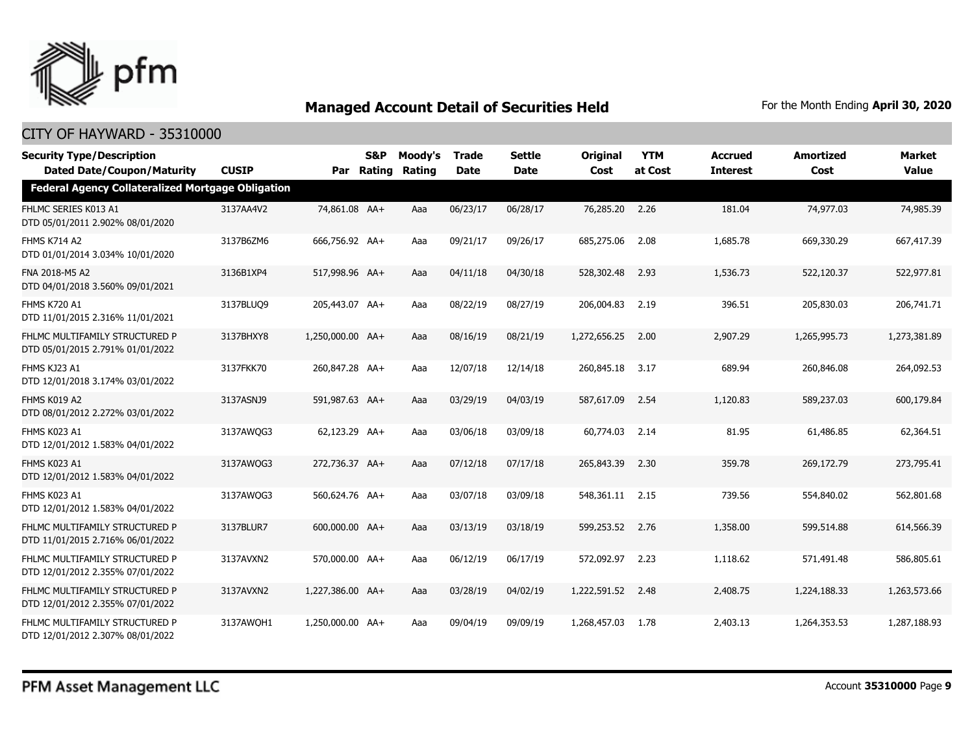

| <b>Security Type/Description</b><br><b>Dated Date/Coupon/Maturity</b> | <b>CUSIP</b> |                  | S&P<br>Par Rating | Moody's<br>Rating | <b>Trade</b><br><b>Date</b> | <b>Settle</b><br><b>Date</b> | <b>Original</b><br>Cost | <b>YTM</b><br>at Cost | <b>Accrued</b><br><b>Interest</b> | Amortized<br>Cost | <b>Market</b><br><b>Value</b> |
|-----------------------------------------------------------------------|--------------|------------------|-------------------|-------------------|-----------------------------|------------------------------|-------------------------|-----------------------|-----------------------------------|-------------------|-------------------------------|
| <b>Federal Agency Collateralized Mortgage Obligation</b>              |              |                  |                   |                   |                             |                              |                         |                       |                                   |                   |                               |
| FHLMC SERIES K013 A1<br>DTD 05/01/2011 2.902% 08/01/2020              | 3137AA4V2    | 74,861.08 AA+    |                   | Aaa               | 06/23/17                    | 06/28/17                     | 76,285.20               | 2.26                  | 181.04                            | 74,977.03         | 74,985.39                     |
| <b>FHMS K714 A2</b><br>DTD 01/01/2014 3.034% 10/01/2020               | 3137B6ZM6    | 666,756.92 AA+   |                   | Aaa               | 09/21/17                    | 09/26/17                     | 685,275.06              | 2.08                  | 1,685.78                          | 669,330.29        | 667,417.39                    |
| FNA 2018-M5 A2<br>DTD 04/01/2018 3.560% 09/01/2021                    | 3136B1XP4    | 517,998.96 AA+   |                   | Aaa               | 04/11/18                    | 04/30/18                     | 528,302.48              | 2.93                  | 1,536.73                          | 522,120.37        | 522,977.81                    |
| <b>FHMS K720 A1</b><br>DTD 11/01/2015 2.316% 11/01/2021               | 3137BLUQ9    | 205,443.07 AA+   |                   | Aaa               | 08/22/19                    | 08/27/19                     | 206,004.83              | 2.19                  | 396.51                            | 205,830.03        | 206,741.71                    |
| FHLMC MULTIFAMILY STRUCTURED P<br>DTD 05/01/2015 2.791% 01/01/2022    | 3137BHXY8    | 1,250,000.00 AA+ |                   | Aaa               | 08/16/19                    | 08/21/19                     | 1,272,656.25            | 2.00                  | 2,907.29                          | 1,265,995,73      | 1,273,381.89                  |
| FHMS KJ23 A1<br>DTD 12/01/2018 3.174% 03/01/2022                      | 3137FKK70    | 260,847,28 AA+   |                   | Aaa               | 12/07/18                    | 12/14/18                     | 260,845.18              | 3.17                  | 689.94                            | 260,846.08        | 264,092.53                    |
| FHMS K019 A2<br>DTD 08/01/2012 2.272% 03/01/2022                      | 3137ASNJ9    | 591,987.63 AA+   |                   | Aaa               | 03/29/19                    | 04/03/19                     | 587,617.09              | 2.54                  | 1,120.83                          | 589,237.03        | 600,179.84                    |
| FHMS K023 A1<br>DTD 12/01/2012 1.583% 04/01/2022                      | 3137AWQG3    | 62,123.29 AA+    |                   | Aaa               | 03/06/18                    | 03/09/18                     | 60,774.03               | 2.14                  | 81.95                             | 61,486.85         | 62,364.51                     |
| FHMS K023 A1<br>DTD 12/01/2012 1.583% 04/01/2022                      | 3137AWQG3    | 272,736.37 AA+   |                   | Aaa               | 07/12/18                    | 07/17/18                     | 265,843.39              | 2.30                  | 359.78                            | 269,172.79        | 273,795.41                    |
| FHMS K023 A1<br>DTD 12/01/2012 1.583% 04/01/2022                      | 3137AWOG3    | 560,624.76 AA+   |                   | Aaa               | 03/07/18                    | 03/09/18                     | 548,361.11 2.15         |                       | 739.56                            | 554,840.02        | 562,801.68                    |
| FHLMC MULTIFAMILY STRUCTURED P<br>DTD 11/01/2015 2.716% 06/01/2022    | 3137BLUR7    | 600,000.00 AA+   |                   | Aaa               | 03/13/19                    | 03/18/19                     | 599,253.52              | 2.76                  | 1,358.00                          | 599,514.88        | 614,566.39                    |
| FHLMC MULTIFAMILY STRUCTURED P<br>DTD 12/01/2012 2.355% 07/01/2022    | 3137AVXN2    | 570,000.00 AA+   |                   | Aaa               | 06/12/19                    | 06/17/19                     | 572,092.97              | 2.23                  | 1,118.62                          | 571,491.48        | 586,805.61                    |
| FHLMC MULTIFAMILY STRUCTURED P<br>DTD 12/01/2012 2.355% 07/01/2022    | 3137AVXN2    | 1,227,386.00 AA+ |                   | Aaa               | 03/28/19                    | 04/02/19                     | 1,222,591.52            | 2.48                  | 2,408.75                          | 1,224,188,33      | 1,263,573,66                  |
| FHLMC MULTIFAMILY STRUCTURED P<br>DTD 12/01/2012 2.307% 08/01/2022    | 3137AWQH1    | 1,250,000.00 AA+ |                   | Aaa               | 09/04/19                    | 09/09/19                     | 1,268,457.03            | 1.78                  | 2,403.13                          | 1,264,353.53      | 1,287,188.93                  |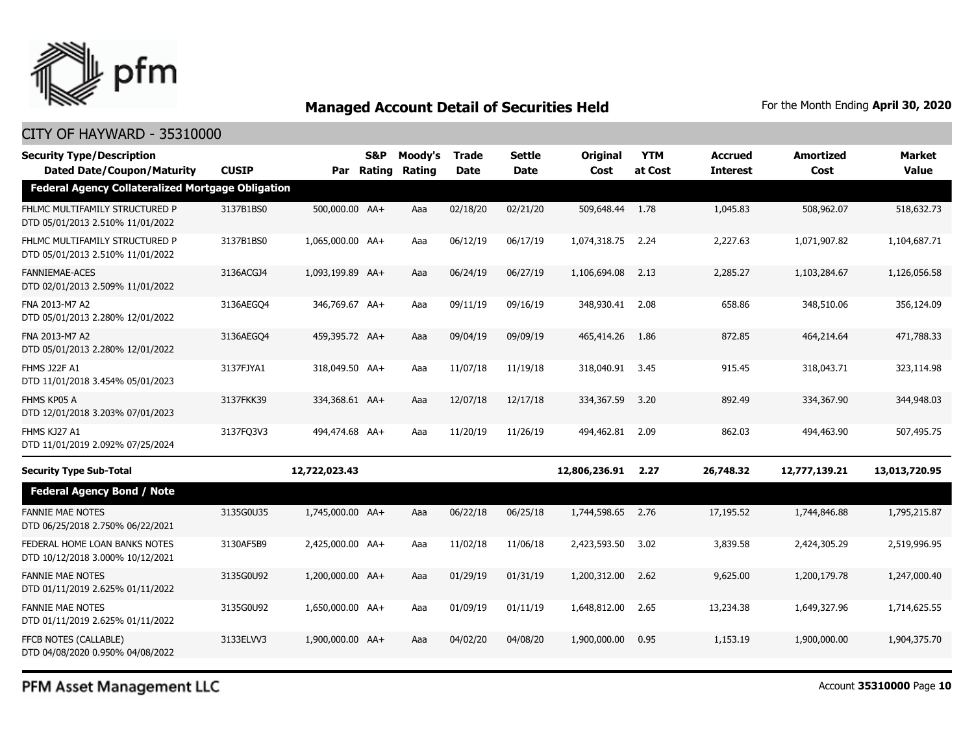

#### CITY OF HAYWARD - 35310000

| <b>Security Type/Description</b><br><b>Dated Date/Coupon/Maturity</b> | <b>CUSIP</b> |                  | S&P<br>Par Rating | Moody's<br>Rating | <b>Trade</b><br><b>Date</b> | Settle<br>Date | <b>Original</b><br>Cost | <b>YTM</b><br>at Cost | Accrued<br><b>Interest</b> | <b>Amortized</b><br>Cost | Market<br><b>Value</b> |
|-----------------------------------------------------------------------|--------------|------------------|-------------------|-------------------|-----------------------------|----------------|-------------------------|-----------------------|----------------------------|--------------------------|------------------------|
| <b>Federal Agency Collateralized Mortgage Obligation</b>              |              |                  |                   |                   |                             |                |                         |                       |                            |                          |                        |
| FHLMC MULTIFAMILY STRUCTURED P<br>DTD 05/01/2013 2.510% 11/01/2022    | 3137B1BS0    | 500,000.00 AA+   |                   | Aaa               | 02/18/20                    | 02/21/20       | 509,648.44              | 1.78                  | 1,045.83                   | 508,962.07               | 518,632.73             |
| FHLMC MULTIFAMILY STRUCTURED P<br>DTD 05/01/2013 2.510% 11/01/2022    | 3137B1BS0    | 1,065,000.00 AA+ |                   | Aaa               | 06/12/19                    | 06/17/19       | 1,074,318.75            | 2.24                  | 2,227.63                   | 1,071,907.82             | 1,104,687.71           |
| <b>FANNIEMAE-ACES</b><br>DTD 02/01/2013 2.509% 11/01/2022             | 3136ACGJ4    | 1,093,199.89 AA+ |                   | Aaa               | 06/24/19                    | 06/27/19       | 1,106,694.08            | 2.13                  | 2,285.27                   | 1,103,284.67             | 1,126,056.58           |
| FNA 2013-M7 A2<br>DTD 05/01/2013 2.280% 12/01/2022                    | 3136AEGO4    | 346,769.67 AA+   |                   | Aaa               | 09/11/19                    | 09/16/19       | 348,930.41              | 2.08                  | 658.86                     | 348,510.06               | 356,124.09             |
| FNA 2013-M7 A2<br>DTD 05/01/2013 2.280% 12/01/2022                    | 3136AEGO4    | 459,395.72 AA+   |                   | Aaa               | 09/04/19                    | 09/09/19       | 465,414.26              | 1.86                  | 872.85                     | 464,214.64               | 471,788.33             |
| FHMS J22F A1<br>DTD 11/01/2018 3.454% 05/01/2023                      | 3137FJYA1    | 318,049.50 AA+   |                   | Aaa               | 11/07/18                    | 11/19/18       | 318,040.91              | 3.45                  | 915.45                     | 318,043.71               | 323,114.98             |
| FHMS KP05 A<br>DTD 12/01/2018 3.203% 07/01/2023                       | 3137FKK39    | 334,368.61 AA+   |                   | Aaa               | 12/07/18                    | 12/17/18       | 334,367.59              | 3.20                  | 892.49                     | 334,367.90               | 344,948.03             |
| FHMS KJ27 A1<br>DTD 11/01/2019 2.092% 07/25/2024                      | 3137FQ3V3    | 494,474.68 AA+   |                   | Aaa               | 11/20/19                    | 11/26/19       | 494,462.81              | 2.09                  | 862.03                     | 494,463.90               | 507,495.75             |
| <b>Security Type Sub-Total</b>                                        |              | 12,722,023.43    |                   |                   |                             |                | 12,806,236.91           | 2.27                  | 26,748.32                  | 12,777,139.21            | 13,013,720.95          |
| <b>Federal Agency Bond / Note</b>                                     |              |                  |                   |                   |                             |                |                         |                       |                            |                          |                        |
| <b>FANNIE MAE NOTES</b><br>DTD 06/25/2018 2.750% 06/22/2021           | 3135G0U35    | 1,745,000.00 AA+ |                   | Aaa               | 06/22/18                    | 06/25/18       | 1,744,598.65            | 2.76                  | 17,195.52                  | 1,744,846.88             | 1,795,215.87           |
| FEDERAL HOME LOAN BANKS NOTES<br>DTD 10/12/2018 3.000% 10/12/2021     | 3130AF5B9    | 2,425,000.00 AA+ |                   | Aaa               | 11/02/18                    | 11/06/18       | 2,423,593.50            | 3.02                  | 3,839.58                   | 2,424,305.29             | 2,519,996.95           |
| <b>FANNIE MAE NOTES</b><br>DTD 01/11/2019 2.625% 01/11/2022           | 3135G0U92    | 1,200,000.00 AA+ |                   | Aaa               | 01/29/19                    | 01/31/19       | 1,200,312.00            | 2.62                  | 9,625.00                   | 1,200,179.78             | 1,247,000.40           |
| <b>FANNIE MAE NOTES</b><br>DTD 01/11/2019 2.625% 01/11/2022           | 3135G0U92    | 1,650,000.00 AA+ |                   | Aaa               | 01/09/19                    | 01/11/19       | 1,648,812.00            | 2.65                  | 13,234.38                  | 1,649,327.96             | 1,714,625.55           |
| FFCB NOTES (CALLABLE)<br>DTD 04/08/2020 0.950% 04/08/2022             | 3133ELVV3    | 1,900,000.00 AA+ |                   | Aaa               | 04/02/20                    | 04/08/20       | 1,900,000.00            | 0.95                  | 1,153.19                   | 1,900,000.00             | 1,904,375.70           |
|                                                                       |              |                  |                   |                   |                             |                |                         |                       |                            |                          |                        |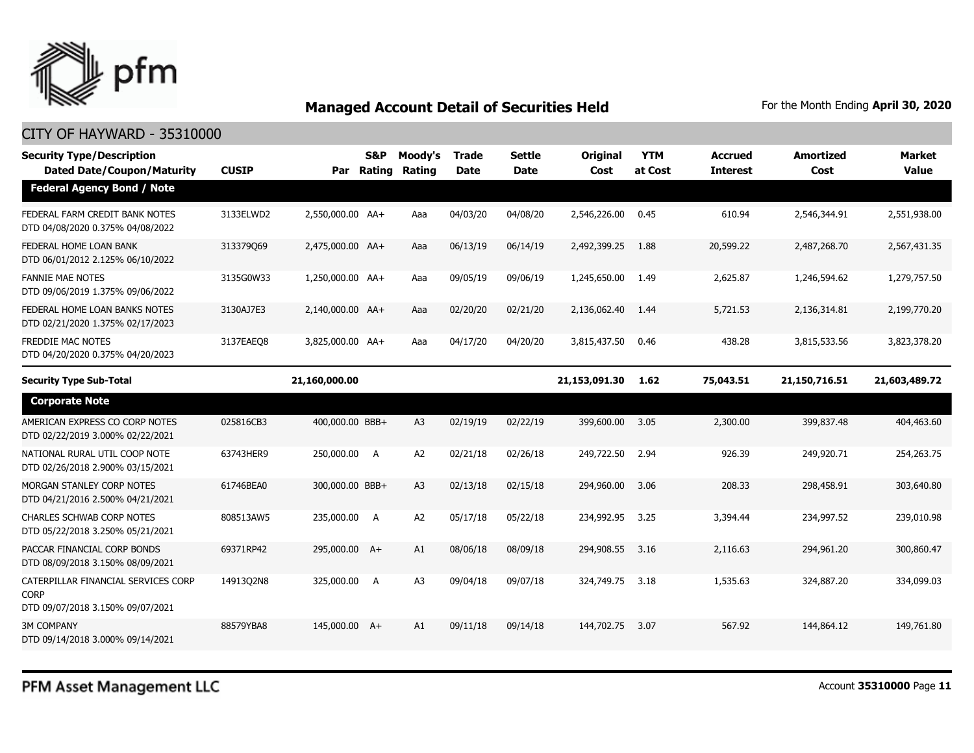

#### CITY OF HAYWARD - 35310000

| <b>Security Type/Description</b><br><b>Dated Date/Coupon/Maturity</b>                  | <b>CUSIP</b> |                  | S&P<br>Par Rating | Moody's<br>Rating | <b>Trade</b><br><b>Date</b> | Settle<br><b>Date</b> | <b>Original</b><br>Cost | <b>YTM</b><br>at Cost | <b>Accrued</b><br><b>Interest</b> | <b>Amortized</b><br>Cost | <b>Market</b><br><b>Value</b> |
|----------------------------------------------------------------------------------------|--------------|------------------|-------------------|-------------------|-----------------------------|-----------------------|-------------------------|-----------------------|-----------------------------------|--------------------------|-------------------------------|
| <b>Federal Agency Bond / Note</b>                                                      |              |                  |                   |                   |                             |                       |                         |                       |                                   |                          |                               |
| FEDERAL FARM CREDIT BANK NOTES<br>DTD 04/08/2020 0.375% 04/08/2022                     | 3133ELWD2    | 2,550,000.00 AA+ |                   | Aaa               | 04/03/20                    | 04/08/20              | 2,546,226.00            | 0.45                  | 610.94                            | 2,546,344.91             | 2,551,938.00                  |
| FEDERAL HOME LOAN BANK<br>DTD 06/01/2012 2.125% 06/10/2022                             | 313379069    | 2,475,000.00 AA+ |                   | Aaa               | 06/13/19                    | 06/14/19              | 2,492,399.25            | 1.88                  | 20,599.22                         | 2,487,268.70             | 2,567,431.35                  |
| <b>FANNIE MAE NOTES</b><br>DTD 09/06/2019 1.375% 09/06/2022                            | 3135G0W33    | 1,250,000.00 AA+ |                   | Aaa               | 09/05/19                    | 09/06/19              | 1,245,650.00            | 1.49                  | 2,625.87                          | 1,246,594.62             | 1,279,757.50                  |
| FEDERAL HOME LOAN BANKS NOTES<br>DTD 02/21/2020 1.375% 02/17/2023                      | 3130AJ7E3    | 2,140,000.00 AA+ |                   | Aaa               | 02/20/20                    | 02/21/20              | 2,136,062.40            | 1.44                  | 5,721.53                          | 2,136,314.81             | 2,199,770.20                  |
| FREDDIE MAC NOTES<br>DTD 04/20/2020 0.375% 04/20/2023                                  | 3137EAEO8    | 3,825,000.00 AA+ |                   | Aaa               | 04/17/20                    | 04/20/20              | 3,815,437.50            | 0.46                  | 438.28                            | 3,815,533.56             | 3,823,378.20                  |
| <b>Security Type Sub-Total</b>                                                         |              | 21,160,000.00    |                   |                   |                             |                       | 21,153,091.30           | 1.62                  | 75,043.51                         | 21,150,716.51            | 21,603,489.72                 |
| <b>Corporate Note</b>                                                                  |              |                  |                   |                   |                             |                       |                         |                       |                                   |                          |                               |
| AMERICAN EXPRESS CO CORP NOTES<br>DTD 02/22/2019 3.000% 02/22/2021                     | 025816CB3    | 400,000.00 BBB+  |                   | A3                | 02/19/19                    | 02/22/19              | 399,600.00              | 3.05                  | 2,300.00                          | 399,837.48               | 404,463.60                    |
| NATIONAL RURAL UTIL COOP NOTE<br>DTD 02/26/2018 2.900% 03/15/2021                      | 63743HER9    | 250,000.00 A     |                   | A <sub>2</sub>    | 02/21/18                    | 02/26/18              | 249,722.50              | 2.94                  | 926.39                            | 249,920.71               | 254,263.75                    |
| MORGAN STANLEY CORP NOTES<br>DTD 04/21/2016 2.500% 04/21/2021                          | 61746BEA0    | 300,000.00 BBB+  |                   | A3                | 02/13/18                    | 02/15/18              | 294,960.00              | 3.06                  | 208.33                            | 298,458.91               | 303,640.80                    |
| <b>CHARLES SCHWAB CORP NOTES</b><br>DTD 05/22/2018 3.250% 05/21/2021                   | 808513AW5    | 235,000.00 A     |                   | A <sub>2</sub>    | 05/17/18                    | 05/22/18              | 234,992.95              | 3.25                  | 3,394.44                          | 234,997.52               | 239,010.98                    |
| PACCAR FINANCIAL CORP BONDS<br>DTD 08/09/2018 3.150% 08/09/2021                        | 69371RP42    | 295,000.00 A+    |                   | A1                | 08/06/18                    | 08/09/18              | 294,908.55              | 3.16                  | 2,116.63                          | 294,961.20               | 300,860,47                    |
| CATERPILLAR FINANCIAL SERVICES CORP<br><b>CORP</b><br>DTD 09/07/2018 3.150% 09/07/2021 | 14913Q2N8    | 325,000.00 A     |                   | A <sub>3</sub>    | 09/04/18                    | 09/07/18              | 324,749.75              | 3.18                  | 1,535.63                          | 324,887.20               | 334,099.03                    |
| <b>3M COMPANY</b><br>DTD 09/14/2018 3.000% 09/14/2021                                  | 88579YBA8    | 145,000.00 A+    |                   | A1                | 09/11/18                    | 09/14/18              | 144,702.75              | 3.07                  | 567.92                            | 144,864.12               | 149,761.80                    |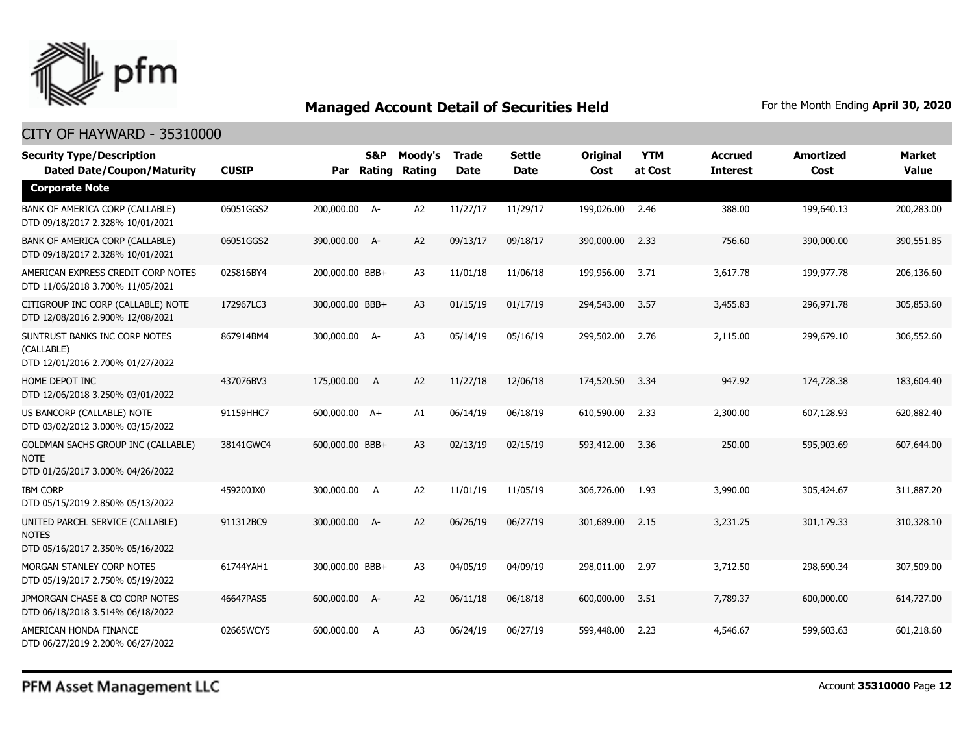

#### CITY OF HAYWARD - 35310000

| <b>Security Type/Description</b><br><b>Dated Date/Coupon/Maturity</b>                        | <b>CUSIP</b> |                 | <b>S&amp;P</b><br>Par Rating | Moody's<br>Rating | <b>Trade</b><br><b>Date</b> | <b>Settle</b><br><b>Date</b> | Original<br>Cost | <b>YTM</b><br>at Cost | <b>Accrued</b><br><b>Interest</b> | <b>Amortized</b><br>Cost | <b>Market</b><br>Value |
|----------------------------------------------------------------------------------------------|--------------|-----------------|------------------------------|-------------------|-----------------------------|------------------------------|------------------|-----------------------|-----------------------------------|--------------------------|------------------------|
| <b>Corporate Note</b>                                                                        |              |                 |                              |                   |                             |                              |                  |                       |                                   |                          |                        |
| BANK OF AMERICA CORP (CALLABLE)<br>DTD 09/18/2017 2.328% 10/01/2021                          | 06051GGS2    | 200,000.00 A-   |                              | A <sub>2</sub>    | 11/27/17                    | 11/29/17                     | 199,026.00       | 2.46                  | 388.00                            | 199,640.13               | 200,283.00             |
| BANK OF AMERICA CORP (CALLABLE)<br>DTD 09/18/2017 2.328% 10/01/2021                          | 06051GGS2    | 390,000.00 A-   |                              | A <sub>2</sub>    | 09/13/17                    | 09/18/17                     | 390,000.00       | 2.33                  | 756.60                            | 390,000.00               | 390,551.85             |
| AMERICAN EXPRESS CREDIT CORP NOTES<br>DTD 11/06/2018 3.700% 11/05/2021                       | 025816BY4    | 200,000.00 BBB+ |                              | A <sub>3</sub>    | 11/01/18                    | 11/06/18                     | 199,956.00       | 3.71                  | 3,617.78                          | 199,977.78               | 206,136.60             |
| CITIGROUP INC CORP (CALLABLE) NOTE<br>DTD 12/08/2016 2.900% 12/08/2021                       | 172967LC3    | 300,000.00 BBB+ |                              | A <sub>3</sub>    | 01/15/19                    | 01/17/19                     | 294,543.00       | 3.57                  | 3,455.83                          | 296,971.78               | 305,853.60             |
| SUNTRUST BANKS INC CORP NOTES<br>(CALLABLE)<br>DTD 12/01/2016 2.700% 01/27/2022              | 867914BM4    | 300,000.00 A-   |                              | A <sub>3</sub>    | 05/14/19                    | 05/16/19                     | 299,502.00       | 2.76                  | 2,115.00                          | 299,679.10               | 306,552.60             |
| HOME DEPOT INC<br>DTD 12/06/2018 3.250% 03/01/2022                                           | 437076BV3    | 175,000.00 A    |                              | A <sub>2</sub>    | 11/27/18                    | 12/06/18                     | 174,520.50       | 3.34                  | 947.92                            | 174,728.38               | 183,604.40             |
| US BANCORP (CALLABLE) NOTE<br>DTD 03/02/2012 3.000% 03/15/2022                               | 91159HHC7    | 600,000.00 A+   |                              | A1                | 06/14/19                    | 06/18/19                     | 610,590.00       | 2.33                  | 2,300.00                          | 607,128.93               | 620,882.40             |
| <b>GOLDMAN SACHS GROUP INC (CALLABLE)</b><br><b>NOTE</b><br>DTD 01/26/2017 3.000% 04/26/2022 | 38141GWC4    | 600,000.00 BBB+ |                              | A <sub>3</sub>    | 02/13/19                    | 02/15/19                     | 593,412.00       | 3.36                  | 250.00                            | 595,903.69               | 607,644.00             |
| <b>IBM CORP</b><br>DTD 05/15/2019 2.850% 05/13/2022                                          | 459200JX0    | 300,000.00 A    |                              | A <sub>2</sub>    | 11/01/19                    | 11/05/19                     | 306,726.00       | 1.93                  | 3,990.00                          | 305,424.67               | 311,887.20             |
| UNITED PARCEL SERVICE (CALLABLE)<br><b>NOTES</b><br>DTD 05/16/2017 2.350% 05/16/2022         | 911312BC9    | 300,000.00 A-   |                              | A2                | 06/26/19                    | 06/27/19                     | 301,689.00       | 2.15                  | 3,231.25                          | 301,179.33               | 310,328.10             |
| MORGAN STANLEY CORP NOTES<br>DTD 05/19/2017 2.750% 05/19/2022                                | 61744YAH1    | 300,000.00 BBB+ |                              | A <sub>3</sub>    | 04/05/19                    | 04/09/19                     | 298,011.00       | 2.97                  | 3,712.50                          | 298,690.34               | 307,509.00             |
| JPMORGAN CHASE & CO CORP NOTES<br>DTD 06/18/2018 3.514% 06/18/2022                           | 46647PAS5    | 600,000.00 A-   |                              | A <sub>2</sub>    | 06/11/18                    | 06/18/18                     | 600,000.00       | 3.51                  | 7,789.37                          | 600,000.00               | 614,727.00             |
| AMERICAN HONDA FINANCE<br>DTD 06/27/2019 2.200% 06/27/2022                                   | 02665WCY5    | 600,000.00      | A                            | A3                | 06/24/19                    | 06/27/19                     | 599,448.00       | 2.23                  | 4,546.67                          | 599,603.63               | 601,218.60             |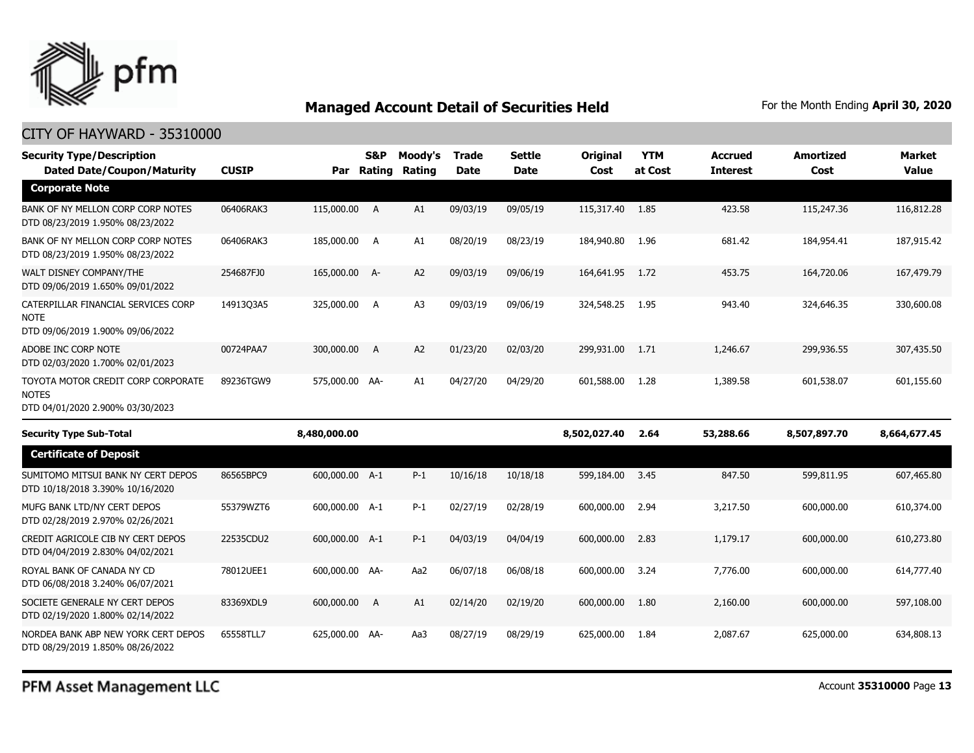

| <b>Security Type/Description</b><br><b>Dated Date/Coupon/Maturity</b>                  | <b>CUSIP</b> |                | <b>S&amp;P</b><br>Par Rating | Moody's<br>Rating | Trade<br><b>Date</b> | <b>Settle</b><br><b>Date</b> | <b>Original</b><br>Cost | <b>YTM</b><br>at Cost | <b>Accrued</b><br><b>Interest</b> | Amortized<br>Cost | <b>Market</b><br><b>Value</b> |
|----------------------------------------------------------------------------------------|--------------|----------------|------------------------------|-------------------|----------------------|------------------------------|-------------------------|-----------------------|-----------------------------------|-------------------|-------------------------------|
| <b>Corporate Note</b>                                                                  |              |                |                              |                   |                      |                              |                         |                       |                                   |                   |                               |
| BANK OF NY MELLON CORP CORP NOTES<br>DTD 08/23/2019 1.950% 08/23/2022                  | 06406RAK3    | 115,000.00 A   |                              | A1                | 09/03/19             | 09/05/19                     | 115,317.40 1.85         |                       | 423.58                            | 115,247.36        | 116,812.28                    |
| BANK OF NY MELLON CORP CORP NOTES<br>DTD 08/23/2019 1.950% 08/23/2022                  | 06406RAK3    | 185,000.00 A   |                              | A1                | 08/20/19             | 08/23/19                     | 184,940.80              | 1.96                  | 681.42                            | 184,954.41        | 187,915.42                    |
| WALT DISNEY COMPANY/THE<br>DTD 09/06/2019 1.650% 09/01/2022                            | 254687FJ0    | 165,000.00 A-  |                              | A <sub>2</sub>    | 09/03/19             | 09/06/19                     | 164,641.95              | 1.72                  | 453.75                            | 164,720.06        | 167,479.79                    |
| CATERPILLAR FINANCIAL SERVICES CORP<br><b>NOTE</b><br>DTD 09/06/2019 1.900% 09/06/2022 | 14913Q3A5    | 325,000.00 A   |                              | A <sub>3</sub>    | 09/03/19             | 09/06/19                     | 324,548.25              | 1.95                  | 943.40                            | 324,646.35        | 330,600.08                    |
| ADOBE INC CORP NOTE<br>DTD 02/03/2020 1.700% 02/01/2023                                | 00724PAA7    | 300,000.00     | A                            | A <sub>2</sub>    | 01/23/20             | 02/03/20                     | 299,931.00              | 1.71                  | 1,246.67                          | 299,936.55        | 307,435.50                    |
| TOYOTA MOTOR CREDIT CORP CORPORATE<br><b>NOTES</b><br>DTD 04/01/2020 2.900% 03/30/2023 | 89236TGW9    | 575,000.00 AA- |                              | A1                | 04/27/20             | 04/29/20                     | 601,588.00              | 1.28                  | 1,389.58                          | 601,538.07        | 601,155.60                    |
| <b>Security Type Sub-Total</b>                                                         |              | 8,480,000.00   |                              |                   |                      |                              | 8,502,027.40            | 2.64                  | 53,288.66                         | 8,507,897.70      | 8,664,677.45                  |
| <b>Certificate of Deposit</b>                                                          |              |                |                              |                   |                      |                              |                         |                       |                                   |                   |                               |
| SUMITOMO MITSUI BANK NY CERT DEPOS<br>DTD 10/18/2018 3.390% 10/16/2020                 | 86565BPC9    | 600,000.00 A-1 |                              | $P-1$             | 10/16/18             | 10/18/18                     | 599,184.00              | 3.45                  | 847.50                            | 599.811.95        | 607,465.80                    |
| MUFG BANK LTD/NY CERT DEPOS<br>DTD 02/28/2019 2.970% 02/26/2021                        | 55379WZT6    | 600,000.00 A-1 |                              | $P-1$             | 02/27/19             | 02/28/19                     | 600,000.00              | 2.94                  | 3,217.50                          | 600,000,00        | 610,374.00                    |
| CREDIT AGRICOLE CIB NY CERT DEPOS<br>DTD 04/04/2019 2.830% 04/02/2021                  | 22535CDU2    | 600,000.00 A-1 |                              | $P-1$             | 04/03/19             | 04/04/19                     | 600,000.00              | 2.83                  | 1,179.17                          | 600,000.00        | 610,273.80                    |
| ROYAL BANK OF CANADA NY CD<br>DTD 06/08/2018 3.240% 06/07/2021                         | 78012UEE1    | 600,000.00 AA- |                              | Aa2               | 06/07/18             | 06/08/18                     | 600,000.00              | 3.24                  | 7,776.00                          | 600,000.00        | 614,777.40                    |
| SOCIETE GENERALE NY CERT DEPOS<br>DTD 02/19/2020 1.800% 02/14/2022                     | 83369XDL9    | 600,000.00     | A                            | A1                | 02/14/20             | 02/19/20                     | 600,000.00              | 1.80                  | 2,160.00                          | 600,000.00        | 597,108.00                    |
| NORDEA BANK ABP NEW YORK CERT DEPOS<br>DTD 08/29/2019 1.850% 08/26/2022                | 65558TLL7    | 625,000.00 AA- |                              | Aa3               | 08/27/19             | 08/29/19                     | 625,000.00              | 1.84                  | 2,087.67                          | 625,000.00        | 634,808.13                    |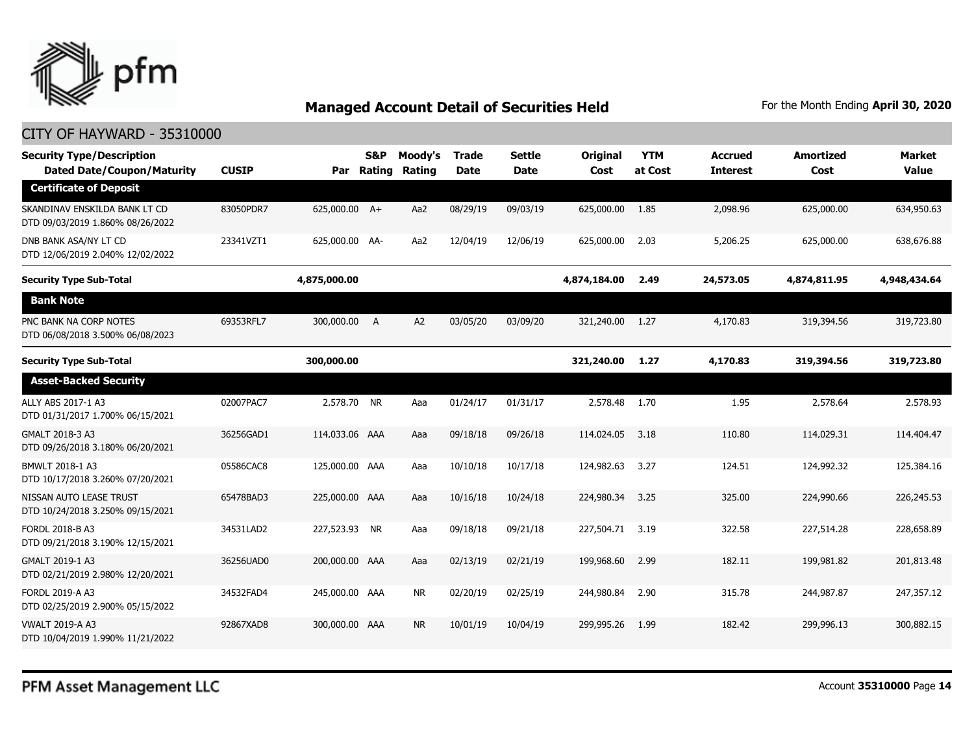

| <b>Security Type/Description</b><br><b>Dated Date/Coupon/Maturity</b> | <b>CUSIP</b> |                | S&P<br>Par Rating | Moody's<br>Rating | <b>Trade</b><br><b>Date</b> | <b>Settle</b><br><b>Date</b> | Original<br>Cost | <b>YTM</b><br>at Cost | <b>Accrued</b><br><b>Interest</b> | <b>Amortized</b><br>Cost | <b>Market</b><br><b>Value</b> |
|-----------------------------------------------------------------------|--------------|----------------|-------------------|-------------------|-----------------------------|------------------------------|------------------|-----------------------|-----------------------------------|--------------------------|-------------------------------|
| <b>Certificate of Deposit</b>                                         |              |                |                   |                   |                             |                              |                  |                       |                                   |                          |                               |
| SKANDINAV ENSKILDA BANK LT CD<br>DTD 09/03/2019 1.860% 08/26/2022     | 83050PDR7    | 625,000.00 A+  |                   | Aa2               | 08/29/19                    | 09/03/19                     | 625,000.00       | 1.85                  | 2,098.96                          | 625,000.00               | 634,950.63                    |
| DNB BANK ASA/NY LT CD<br>DTD 12/06/2019 2.040% 12/02/2022             | 23341VZT1    | 625,000.00 AA- |                   | Aa2               | 12/04/19                    | 12/06/19                     | 625,000.00       | 2.03                  | 5,206.25                          | 625,000.00               | 638,676.88                    |
| <b>Security Type Sub-Total</b>                                        |              | 4,875,000.00   |                   |                   |                             |                              | 4,874,184.00     | 2.49                  | 24,573.05                         | 4,874,811.95             | 4,948,434.64                  |
| <b>Bank Note</b>                                                      |              |                |                   |                   |                             |                              |                  |                       |                                   |                          |                               |
| PNC BANK NA CORP NOTES<br>DTD 06/08/2018 3.500% 06/08/2023            | 69353RFL7    | 300,000.00     | A                 | A <sub>2</sub>    | 03/05/20                    | 03/09/20                     | 321,240.00       | 1.27                  | 4,170.83                          | 319,394.56               | 319,723.80                    |
| <b>Security Type Sub-Total</b>                                        |              | 300,000.00     |                   |                   |                             |                              | 321,240.00       | 1.27                  | 4,170.83                          | 319,394.56               | 319,723.80                    |
| <b>Asset-Backed Security</b>                                          |              |                |                   |                   |                             |                              |                  |                       |                                   |                          |                               |
| ALLY ABS 2017-1 A3<br>DTD 01/31/2017 1.700% 06/15/2021                | 02007PAC7    | 2,578.70 NR    |                   | Aaa               | 01/24/17                    | 01/31/17                     | 2,578.48         | 1.70                  | 1.95                              | 2,578.64                 | 2,578.93                      |
| GMALT 2018-3 A3<br>DTD 09/26/2018 3.180% 06/20/2021                   | 36256GAD1    | 114,033.06 AAA |                   | Aaa               | 09/18/18                    | 09/26/18                     | 114,024.05       | 3.18                  | 110.80                            | 114,029.31               | 114,404.47                    |
| BMWLT 2018-1 A3<br>DTD 10/17/2018 3.260% 07/20/2021                   | 05586CAC8    | 125,000.00 AAA |                   | Aaa               | 10/10/18                    | 10/17/18                     | 124,982.63       | 3.27                  | 124.51                            | 124,992.32               | 125,384.16                    |
| NISSAN AUTO LEASE TRUST<br>DTD 10/24/2018 3.250% 09/15/2021           | 65478BAD3    | 225,000.00 AAA |                   | Aaa               | 10/16/18                    | 10/24/18                     | 224,980.34       | 3.25                  | 325.00                            | 224,990.66               | 226,245.53                    |
| FORDL 2018-B A3<br>DTD 09/21/2018 3.190% 12/15/2021                   | 34531LAD2    | 227,523.93 NR  |                   | Aaa               | 09/18/18                    | 09/21/18                     | 227,504.71       | 3.19                  | 322.58                            | 227,514.28               | 228,658.89                    |
| GMALT 2019-1 A3<br>DTD 02/21/2019 2.980% 12/20/2021                   | 36256UAD0    | 200,000.00 AAA |                   | Aaa               | 02/13/19                    | 02/21/19                     | 199,968.60       | 2.99                  | 182.11                            | 199,981.82               | 201,813.48                    |
| FORDL 2019-A A3<br>DTD 02/25/2019 2.900% 05/15/2022                   | 34532FAD4    | 245,000.00 AAA |                   | <b>NR</b>         | 02/20/19                    | 02/25/19                     | 244,980.84       | 2.90                  | 315.78                            | 244,987.87               | 247,357.12                    |
| <b>VWALT 2019-A A3</b><br>DTD 10/04/2019 1.990% 11/21/2022            | 92867XAD8    | 300,000.00 AAA |                   | <b>NR</b>         | 10/01/19                    | 10/04/19                     | 299,995.26       | 1.99                  | 182.42                            | 299,996.13               | 300.882.15                    |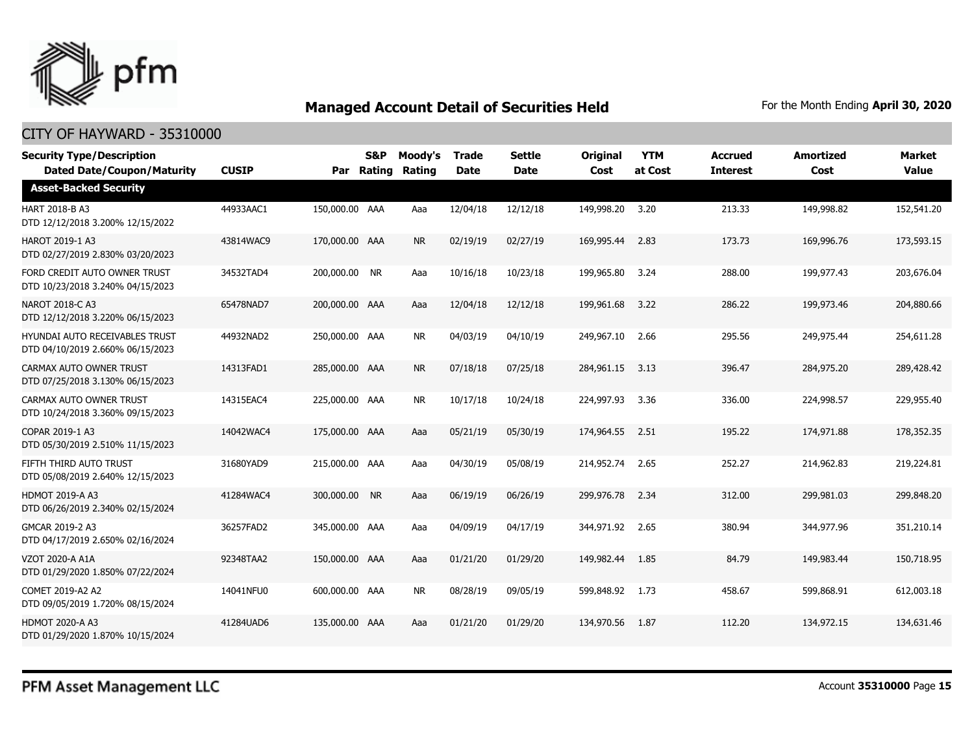

| <b>Security Type/Description</b><br><b>Dated Date/Coupon/Maturity</b> | <b>CUSIP</b> |                | S&P<br>Par Rating | Moody's<br>Rating | <b>Trade</b><br><b>Date</b> | <b>Settle</b><br><b>Date</b> | <b>Original</b><br>Cost | <b>YTM</b><br>at Cost | <b>Accrued</b><br><b>Interest</b> | <b>Amortized</b><br>Cost | <b>Market</b><br><b>Value</b> |
|-----------------------------------------------------------------------|--------------|----------------|-------------------|-------------------|-----------------------------|------------------------------|-------------------------|-----------------------|-----------------------------------|--------------------------|-------------------------------|
| <b>Asset-Backed Security</b>                                          |              |                |                   |                   |                             |                              |                         |                       |                                   |                          |                               |
| HART 2018-B A3<br>DTD 12/12/2018 3.200% 12/15/2022                    | 44933AAC1    | 150,000.00 AAA |                   | Aaa               | 12/04/18                    | 12/12/18                     | 149,998.20              | 3.20                  | 213.33                            | 149,998.82               | 152,541.20                    |
| <b>HAROT 2019-1 A3</b><br>DTD 02/27/2019 2.830% 03/20/2023            | 43814WAC9    | 170,000.00 AAA |                   | <b>NR</b>         | 02/19/19                    | 02/27/19                     | 169,995.44              | 2.83                  | 173.73                            | 169,996.76               | 173,593.15                    |
| FORD CREDIT AUTO OWNER TRUST<br>DTD 10/23/2018 3.240% 04/15/2023      | 34532TAD4    | 200,000.00 NR  |                   | Aaa               | 10/16/18                    | 10/23/18                     | 199,965.80              | 3.24                  | 288.00                            | 199,977.43               | 203,676.04                    |
| NAROT 2018-C A3<br>DTD 12/12/2018 3.220% 06/15/2023                   | 65478NAD7    | 200,000.00 AAA |                   | Aaa               | 12/04/18                    | 12/12/18                     | 199,961.68              | 3.22                  | 286.22                            | 199,973.46               | 204,880.66                    |
| HYUNDAI AUTO RECEIVABLES TRUST<br>DTD 04/10/2019 2.660% 06/15/2023    | 44932NAD2    | 250,000.00 AAA |                   | <b>NR</b>         | 04/03/19                    | 04/10/19                     | 249,967.10              | 2.66                  | 295.56                            | 249,975.44               | 254,611.28                    |
| CARMAX AUTO OWNER TRUST<br>DTD 07/25/2018 3.130% 06/15/2023           | 14313FAD1    | 285,000.00 AAA |                   | <b>NR</b>         | 07/18/18                    | 07/25/18                     | 284,961.15              | 3.13                  | 396.47                            | 284,975.20               | 289,428.42                    |
| CARMAX AUTO OWNER TRUST<br>DTD 10/24/2018 3.360% 09/15/2023           | 14315EAC4    | 225,000.00 AAA |                   | <b>NR</b>         | 10/17/18                    | 10/24/18                     | 224,997.93              | 3.36                  | 336.00                            | 224,998.57               | 229,955.40                    |
| COPAR 2019-1 A3<br>DTD 05/30/2019 2.510% 11/15/2023                   | 14042WAC4    | 175,000.00 AAA |                   | Aaa               | 05/21/19                    | 05/30/19                     | 174,964.55              | 2.51                  | 195.22                            | 174,971.88               | 178,352.35                    |
| FIFTH THIRD AUTO TRUST<br>DTD 05/08/2019 2.640% 12/15/2023            | 31680YAD9    | 215,000.00 AAA |                   | Aaa               | 04/30/19                    | 05/08/19                     | 214,952.74              | 2.65                  | 252.27                            | 214,962.83               | 219,224.81                    |
| <b>HDMOT 2019-A A3</b><br>DTD 06/26/2019 2.340% 02/15/2024            | 41284WAC4    | 300,000.00 NR  |                   | Aaa               | 06/19/19                    | 06/26/19                     | 299,976.78              | 2.34                  | 312.00                            | 299,981.03               | 299,848.20                    |
| GMCAR 2019-2 A3<br>DTD 04/17/2019 2.650% 02/16/2024                   | 36257FAD2    | 345,000.00 AAA |                   | Aaa               | 04/09/19                    | 04/17/19                     | 344,971.92              | 2.65                  | 380.94                            | 344,977.96               | 351,210.14                    |
| VZOT 2020-A A1A<br>DTD 01/29/2020 1.850% 07/22/2024                   | 92348TAA2    | 150,000.00 AAA |                   | Aaa               | 01/21/20                    | 01/29/20                     | 149,982.44              | 1.85                  | 84.79                             | 149,983.44               | 150,718.95                    |
| COMET 2019-A2 A2<br>DTD 09/05/2019 1.720% 08/15/2024                  | 14041NFU0    | 600,000,00 AAA |                   | <b>NR</b>         | 08/28/19                    | 09/05/19                     | 599,848.92              | 1.73                  | 458.67                            | 599,868.91               | 612,003.18                    |
| <b>HDMOT 2020-A A3</b><br>DTD 01/29/2020 1.870% 10/15/2024            | 41284UAD6    | 135,000.00 AAA |                   | Aaa               | 01/21/20                    | 01/29/20                     | 134,970.56              | 1.87                  | 112.20                            | 134,972.15               | 134,631.46                    |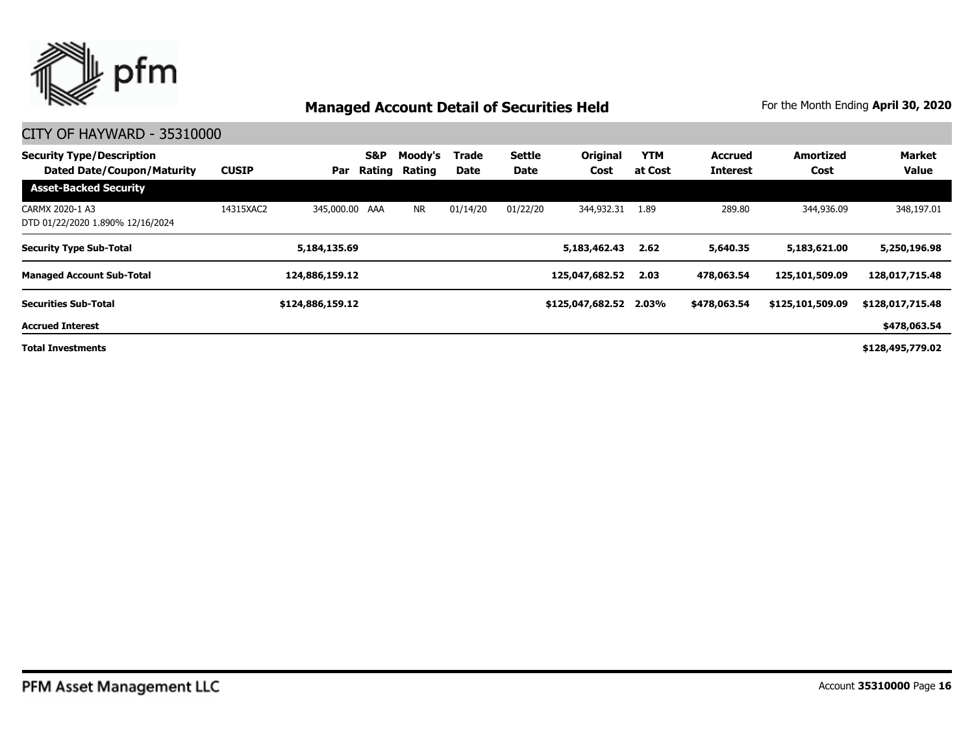

| <b>Security Type/Description</b><br><b>Dated Date/Coupon/Maturity</b> | <b>CUSIP</b> | Par              | <b>S&amp;P</b><br>Rating | Moody's<br>Rating | Trade<br>Date | <b>Settle</b><br><b>Date</b> | Original<br>Cost       | <b>YTM</b><br>at Cost | <b>Accrued</b><br><b>Interest</b> | <b>Amortized</b><br>Cost | <b>Market</b><br><b>Value</b> |
|-----------------------------------------------------------------------|--------------|------------------|--------------------------|-------------------|---------------|------------------------------|------------------------|-----------------------|-----------------------------------|--------------------------|-------------------------------|
| <b>Asset-Backed Security</b>                                          |              |                  |                          |                   |               |                              |                        |                       |                                   |                          |                               |
| CARMX 2020-1 A3<br>DTD 01/22/2020 1.890% 12/16/2024                   | 14315XAC2    | 345,000.00 AAA   |                          | <b>NR</b>         | 01/14/20      | 01/22/20                     | 344,932.31             | 1.89                  | 289.80                            | 344,936.09               | 348,197.01                    |
| <b>Security Type Sub-Total</b>                                        |              | 5,184,135.69     |                          |                   |               |                              | 5,183,462.43           | 2.62                  | 5,640.35                          | 5,183,621.00             | 5,250,196.98                  |
| <b>Managed Account Sub-Total</b>                                      |              | 124,886,159.12   |                          |                   |               |                              | 125,047,682.52         | 2.03                  | 478,063.54                        | 125,101,509.09           | 128,017,715.48                |
| <b>Securities Sub-Total</b>                                           |              | \$124,886,159.12 |                          |                   |               |                              | \$125,047,682.52 2.03% |                       | \$478,063.54                      | \$125,101,509.09         | \$128,017,715.48              |
| <b>Accrued Interest</b>                                               |              |                  |                          |                   |               |                              |                        |                       |                                   |                          | \$478,063.54                  |
| <b>Total Investments</b>                                              |              |                  |                          |                   |               |                              |                        |                       |                                   |                          | \$128,495,779.02              |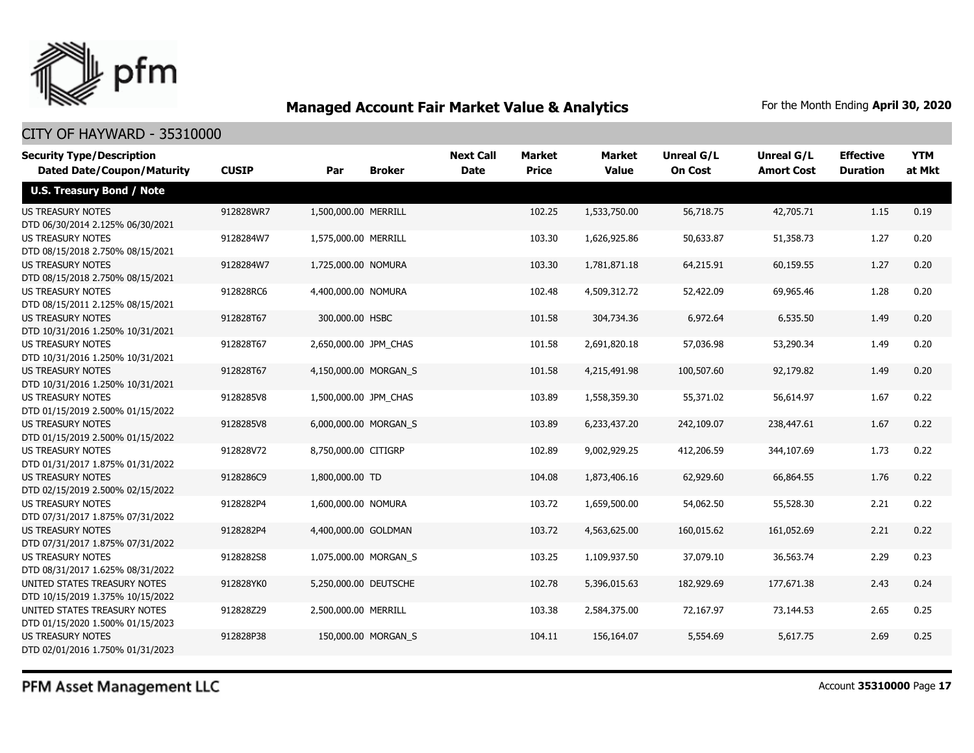

#### CITY OF HAYWARD - 35310000

| <b>Security Type/Description</b>                                 |              |                       |                     | <b>Next Call</b> | <b>Market</b> | <b>Market</b> | <b>Unreal G/L</b> | Unreal G/L        | <b>Effective</b> | <b>YTM</b> |
|------------------------------------------------------------------|--------------|-----------------------|---------------------|------------------|---------------|---------------|-------------------|-------------------|------------------|------------|
| <b>Dated Date/Coupon/Maturity</b>                                | <b>CUSIP</b> | Par                   | <b>Broker</b>       | <b>Date</b>      | <b>Price</b>  | <b>Value</b>  | <b>On Cost</b>    | <b>Amort Cost</b> | <b>Duration</b>  | at Mkt     |
| <b>U.S. Treasury Bond / Note</b>                                 |              |                       |                     |                  |               |               |                   |                   |                  |            |
| <b>US TREASURY NOTES</b><br>DTD 06/30/2014 2.125% 06/30/2021     | 912828WR7    | 1,500,000.00 MERRILL  |                     |                  | 102.25        | 1,533,750.00  | 56,718.75         | 42,705.71         | 1.15             | 0.19       |
| <b>US TREASURY NOTES</b><br>DTD 08/15/2018 2.750% 08/15/2021     | 9128284W7    | 1,575,000.00 MERRILL  |                     |                  | 103.30        | 1,626,925.86  | 50,633.87         | 51,358.73         | 1.27             | 0.20       |
| US TREASURY NOTES<br>DTD 08/15/2018 2.750% 08/15/2021            | 9128284W7    | 1,725,000.00 NOMURA   |                     |                  | 103.30        | 1,781,871.18  | 64,215.91         | 60,159.55         | 1.27             | 0.20       |
| <b>US TREASURY NOTES</b><br>DTD 08/15/2011 2.125% 08/15/2021     | 912828RC6    | 4,400,000.00 NOMURA   |                     |                  | 102.48        | 4,509,312.72  | 52,422.09         | 69,965.46         | 1.28             | 0.20       |
| <b>US TREASURY NOTES</b><br>DTD 10/31/2016 1.250% 10/31/2021     | 912828T67    | 300,000.00 HSBC       |                     |                  | 101.58        | 304,734.36    | 6,972.64          | 6,535.50          | 1.49             | 0.20       |
| <b>US TREASURY NOTES</b><br>DTD 10/31/2016 1.250% 10/31/2021     | 912828T67    | 2,650,000.00 JPM CHAS |                     |                  | 101.58        | 2,691,820.18  | 57,036.98         | 53,290.34         | 1.49             | 0.20       |
| <b>US TREASURY NOTES</b><br>DTD 10/31/2016 1.250% 10/31/2021     | 912828T67    | 4,150,000.00 MORGAN S |                     |                  | 101.58        | 4,215,491.98  | 100,507.60        | 92,179.82         | 1.49             | 0.20       |
| <b>US TREASURY NOTES</b><br>DTD 01/15/2019 2.500% 01/15/2022     | 9128285V8    | 1,500,000.00 JPM CHAS |                     |                  | 103.89        | 1,558,359.30  | 55,371.02         | 56,614.97         | 1.67             | 0.22       |
| <b>US TREASURY NOTES</b><br>DTD 01/15/2019 2.500% 01/15/2022     | 9128285V8    | 6,000,000.00 MORGAN S |                     |                  | 103.89        | 6,233,437.20  | 242,109.07        | 238,447.61        | 1.67             | 0.22       |
| <b>US TREASURY NOTES</b><br>DTD 01/31/2017 1.875% 01/31/2022     | 912828V72    | 8,750,000.00 CITIGRP  |                     |                  | 102.89        | 9,002,929.25  | 412,206.59        | 344,107.69        | 1.73             | 0.22       |
| <b>US TREASURY NOTES</b><br>DTD 02/15/2019 2.500% 02/15/2022     | 9128286C9    | 1,800,000.00 TD       |                     |                  | 104.08        | 1,873,406.16  | 62,929.60         | 66,864.55         | 1.76             | 0.22       |
| <b>US TREASURY NOTES</b><br>DTD 07/31/2017 1.875% 07/31/2022     | 9128282P4    | 1,600,000.00 NOMURA   |                     |                  | 103.72        | 1,659,500.00  | 54,062.50         | 55,528.30         | 2.21             | 0.22       |
| <b>US TREASURY NOTES</b><br>DTD 07/31/2017 1.875% 07/31/2022     | 9128282P4    | 4,400,000.00 GOLDMAN  |                     |                  | 103.72        | 4,563,625.00  | 160,015.62        | 161,052.69        | 2.21             | 0.22       |
| <b>US TREASURY NOTES</b><br>DTD 08/31/2017 1.625% 08/31/2022     | 9128282S8    | 1,075,000.00 MORGAN S |                     |                  | 103.25        | 1,109,937.50  | 37,079.10         | 36,563.74         | 2.29             | 0.23       |
| UNITED STATES TREASURY NOTES<br>DTD 10/15/2019 1.375% 10/15/2022 | 912828YK0    | 5,250,000.00 DEUTSCHE |                     |                  | 102.78        | 5,396,015.63  | 182,929.69        | 177,671.38        | 2.43             | 0.24       |
| UNITED STATES TREASURY NOTES<br>DTD 01/15/2020 1.500% 01/15/2023 | 912828Z29    | 2,500,000.00 MERRILL  |                     |                  | 103.38        | 2,584,375.00  | 72,167.97         | 73,144.53         | 2.65             | 0.25       |
| <b>US TREASURY NOTES</b><br>DTD 02/01/2016 1.750% 01/31/2023     | 912828P38    |                       | 150,000.00 MORGAN S |                  | 104.11        | 156,164.07    | 5,554.69          | 5,617.75          | 2.69             | 0.25       |

PFM Asset Management LLC

Account **35310000** Page **17**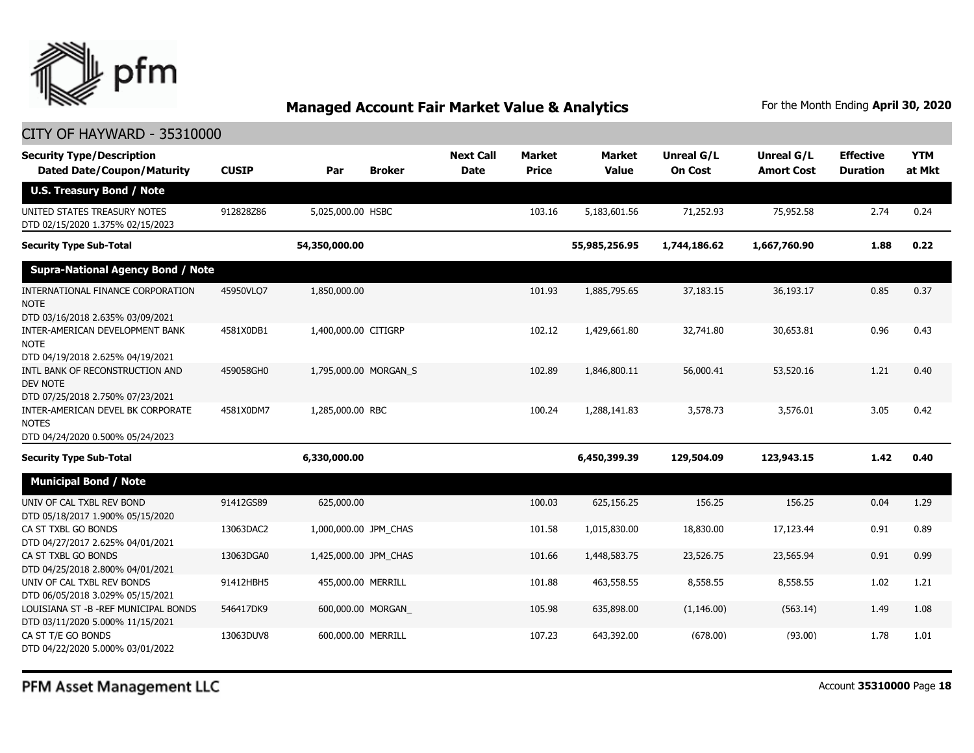

#### CITY OF HAYWARD - 35310000

| <b>Security Type/Description</b><br><b>Dated Date/Coupon/Maturity</b>                  | <b>CUSIP</b> | Par                   | <b>Broker</b>         | <b>Next Call</b><br><b>Date</b> | <b>Market</b><br><b>Price</b> | <b>Market</b><br><b>Value</b> | Unreal G/L<br><b>On Cost</b> | Unreal G/L<br><b>Amort Cost</b> | <b>Effective</b><br><b>Duration</b> | <b>YTM</b><br>at Mkt |
|----------------------------------------------------------------------------------------|--------------|-----------------------|-----------------------|---------------------------------|-------------------------------|-------------------------------|------------------------------|---------------------------------|-------------------------------------|----------------------|
| <b>U.S. Treasury Bond / Note</b>                                                       |              |                       |                       |                                 |                               |                               |                              |                                 |                                     |                      |
| UNITED STATES TREASURY NOTES<br>DTD 02/15/2020 1.375% 02/15/2023                       | 912828Z86    | 5,025,000.00 HSBC     |                       |                                 | 103.16                        | 5,183,601.56                  | 71,252.93                    | 75,952.58                       | 2.74                                | 0.24                 |
| <b>Security Type Sub-Total</b>                                                         |              | 54,350,000.00         |                       |                                 |                               | 55,985,256.95                 | 1,744,186.62                 | 1,667,760.90                    | 1.88                                | 0.22                 |
| <b>Supra-National Agency Bond / Note</b>                                               |              |                       |                       |                                 |                               |                               |                              |                                 |                                     |                      |
| INTERNATIONAL FINANCE CORPORATION<br><b>NOTE</b><br>DTD 03/16/2018 2.635% 03/09/2021   | 45950VLQ7    | 1,850,000.00          |                       |                                 | 101.93                        | 1,885,795.65                  | 37,183.15                    | 36,193.17                       | 0.85                                | 0.37                 |
| INTER-AMERICAN DEVELOPMENT BANK<br><b>NOTE</b><br>DTD 04/19/2018 2.625% 04/19/2021     | 4581X0DB1    | 1,400,000.00 CITIGRP  |                       |                                 | 102.12                        | 1,429,661.80                  | 32,741.80                    | 30,653.81                       | 0.96                                | 0.43                 |
| INTL BANK OF RECONSTRUCTION AND<br><b>DEV NOTE</b><br>DTD 07/25/2018 2.750% 07/23/2021 | 459058GH0    |                       | 1,795,000.00 MORGAN S |                                 | 102.89                        | 1,846,800.11                  | 56,000.41                    | 53,520.16                       | 1.21                                | 0.40                 |
| INTER-AMERICAN DEVEL BK CORPORATE<br><b>NOTES</b><br>DTD 04/24/2020 0.500% 05/24/2023  | 4581X0DM7    | 1,285,000.00 RBC      |                       |                                 | 100.24                        | 1,288,141.83                  | 3,578.73                     | 3,576.01                        | 3.05                                | 0.42                 |
| <b>Security Type Sub-Total</b>                                                         |              | 6,330,000.00          |                       |                                 |                               | 6,450,399.39                  | 129,504.09                   | 123,943.15                      | 1.42                                | 0.40                 |
| <b>Municipal Bond / Note</b>                                                           |              |                       |                       |                                 |                               |                               |                              |                                 |                                     |                      |
| UNIV OF CAL TXBL REV BOND<br>DTD 05/18/2017 1.900% 05/15/2020                          | 91412GS89    | 625,000.00            |                       |                                 | 100.03                        | 625,156.25                    | 156.25                       | 156.25                          | 0.04                                | 1.29                 |
| CA ST TXBL GO BONDS<br>DTD 04/27/2017 2.625% 04/01/2021                                | 13063DAC2    | 1,000,000.00 JPM_CHAS |                       |                                 | 101.58                        | 1,015,830.00                  | 18,830.00                    | 17,123.44                       | 0.91                                | 0.89                 |
| CA ST TXBL GO BONDS<br>DTD 04/25/2018 2.800% 04/01/2021                                | 13063DGA0    | 1,425,000.00 JPM_CHAS |                       |                                 | 101.66                        | 1,448,583.75                  | 23,526.75                    | 23,565.94                       | 0.91                                | 0.99                 |
| UNIV OF CAL TXBL REV BONDS<br>DTD 06/05/2018 3.029% 05/15/2021                         | 91412HBH5    | 455,000.00 MERRILL    |                       |                                 | 101.88                        | 463,558.55                    | 8,558.55                     | 8,558.55                        | 1.02                                | 1.21                 |
| LOUISIANA ST - B - REF MUNICIPAL BONDS<br>DTD 03/11/2020 5.000% 11/15/2021             | 546417DK9    |                       | 600,000.00 MORGAN_    |                                 | 105.98                        | 635,898.00                    | (1, 146.00)                  | (563.14)                        | 1.49                                | 1.08                 |
| CA ST T/E GO BONDS<br>DTD 04/22/2020 5.000% 03/01/2022                                 | 13063DUV8    | 600,000.00 MERRILL    |                       |                                 | 107.23                        | 643,392.00                    | (678.00)                     | (93.00)                         | 1.78                                | 1.01                 |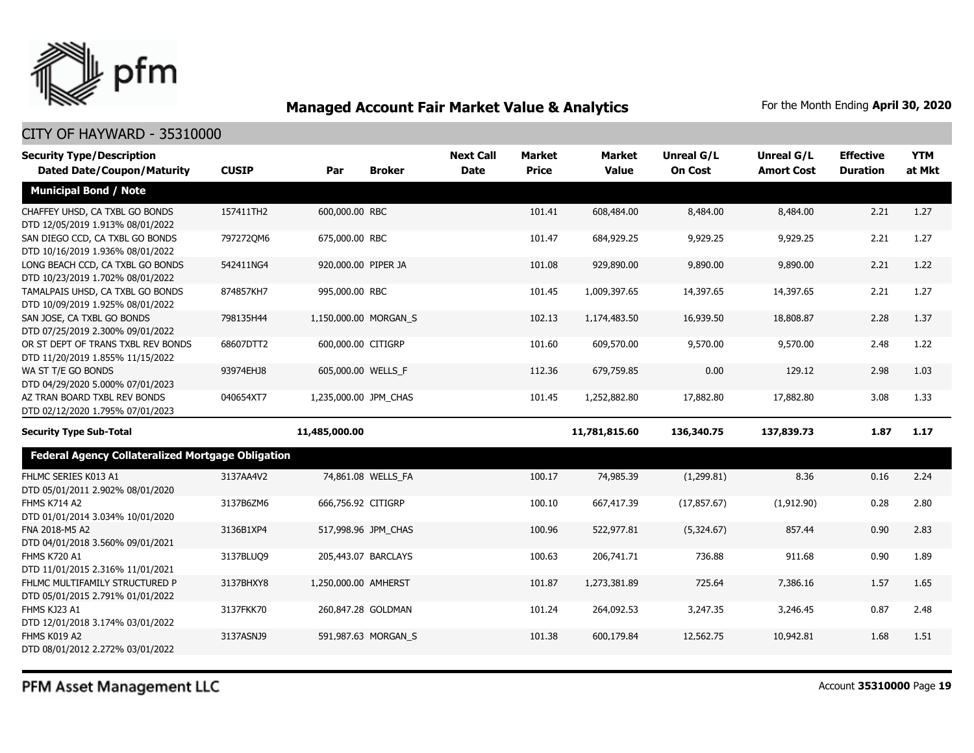

| <b>Security Type/Description</b>                                       |              |                       |                       | <b>Next Call</b> | <b>Market</b> | <b>Market</b> | <b>Unreal G/L</b> | Unreal G/L        | <b>Effective</b> | <b>YTM</b> |
|------------------------------------------------------------------------|--------------|-----------------------|-----------------------|------------------|---------------|---------------|-------------------|-------------------|------------------|------------|
| <b>Dated Date/Coupon/Maturity</b>                                      | <b>CUSIP</b> | Par                   | <b>Broker</b>         | <b>Date</b>      | <b>Price</b>  | <b>Value</b>  | <b>On Cost</b>    | <b>Amort Cost</b> | <b>Duration</b>  | at Mkt     |
| <b>Municipal Bond / Note</b>                                           |              |                       |                       |                  |               |               |                   |                   |                  |            |
| CHAFFEY UHSD, CA TXBL GO BONDS<br>DTD 12/05/2019 1.913% 08/01/2022     | 157411TH2    | 600,000.00 RBC        |                       |                  | 101.41        | 608,484.00    | 8,484.00          | 8,484.00          | 2.21             | 1.27       |
| SAN DIEGO CCD, CA TXBL GO BONDS<br>DTD 10/16/2019 1.936% 08/01/2022    | 7972720M6    | 675,000.00 RBC        |                       |                  | 101.47        | 684,929.25    | 9,929.25          | 9,929.25          | 2.21             | 1.27       |
| LONG BEACH CCD, CA TXBL GO BONDS<br>DTD 10/23/2019 1.702% 08/01/2022   | 542411NG4    | 920,000.00 PIPER JA   |                       |                  | 101.08        | 929,890.00    | 9,890.00          | 9,890.00          | 2.21             | 1.22       |
| TAMALPAIS UHSD, CA TXBL GO BONDS<br>DTD 10/09/2019 1.925% 08/01/2022   | 874857KH7    | 995,000.00 RBC        |                       |                  | 101.45        | 1,009,397.65  | 14,397.65         | 14,397.65         | 2.21             | 1.27       |
| SAN JOSE, CA TXBL GO BONDS<br>DTD 07/25/2019 2.300% 09/01/2022         | 798135H44    |                       | 1,150,000.00 MORGAN_S |                  | 102.13        | 1,174,483.50  | 16,939.50         | 18,808.87         | 2.28             | 1.37       |
| OR ST DEPT OF TRANS TXBL REV BONDS<br>DTD 11/20/2019 1.855% 11/15/2022 | 68607DTT2    | 600,000.00 CITIGRP    |                       |                  | 101.60        | 609,570.00    | 9,570.00          | 9,570.00          | 2.48             | 1.22       |
| WA ST T/E GO BONDS<br>DTD 04/29/2020 5.000% 07/01/2023                 | 93974EHJ8    |                       | 605,000.00 WELLS F    |                  | 112.36        | 679,759.85    | 0.00              | 129.12            | 2.98             | 1.03       |
| AZ TRAN BOARD TXBL REV BONDS<br>DTD 02/12/2020 1.795% 07/01/2023       | 040654XT7    | 1,235,000.00 JPM_CHAS |                       |                  | 101.45        | 1,252,882.80  | 17,882.80         | 17,882.80         | 3.08             | 1.33       |
| <b>Security Type Sub-Total</b>                                         |              | 11,485,000.00         |                       |                  |               | 11,781,815.60 | 136,340.75        | 137,839.73        | 1.87             | 1.17       |
| <b>Federal Agency Collateralized Mortgage Obligation</b>               |              |                       |                       |                  |               |               |                   |                   |                  |            |
| FHLMC SERIES K013 A1<br>DTD 05/01/2011 2.902% 08/01/2020               | 3137AA4V2    |                       | 74,861.08 WELLS_FA    |                  | 100.17        | 74,985.39     | (1,299.81)        | 8.36              | 0.16             | 2.24       |
| <b>FHMS K714 A2</b><br>DTD 01/01/2014 3.034% 10/01/2020                | 3137B6ZM6    | 666,756.92 CITIGRP    |                       |                  | 100.10        | 667,417.39    | (17, 857.67)      | (1,912.90)        | 0.28             | 2.80       |
| FNA 2018-M5 A2<br>DTD 04/01/2018 3.560% 09/01/2021                     | 3136B1XP4    |                       | 517,998.96 JPM CHAS   |                  | 100.96        | 522,977.81    | (5,324.67)        | 857.44            | 0.90             | 2.83       |
| <b>FHMS K720 A1</b><br>DTD 11/01/2015 2.316% 11/01/2021                | 3137BLUQ9    |                       | 205,443.07 BARCLAYS   |                  | 100.63        | 206,741.71    | 736.88            | 911.68            | 0.90             | 1.89       |
| FHLMC MULTIFAMILY STRUCTURED P<br>DTD 05/01/2015 2.791% 01/01/2022     | 3137BHXY8    | 1,250,000.00 AMHERST  |                       |                  | 101.87        | 1,273,381.89  | 725.64            | 7,386.16          | 1.57             | 1.65       |
| FHMS KJ23 A1<br>DTD 12/01/2018 3.174% 03/01/2022                       | 3137FKK70    |                       | 260,847.28 GOLDMAN    |                  | 101.24        | 264,092.53    | 3,247.35          | 3,246.45          | 0.87             | 2.48       |
| FHMS K019 A2<br>DTD 08/01/2012 2.272% 03/01/2022                       | 3137ASNJ9    |                       | 591,987.63 MORGAN_S   |                  | 101.38        | 600,179.84    | 12,562.75         | 10,942.81         | 1.68             | 1.51       |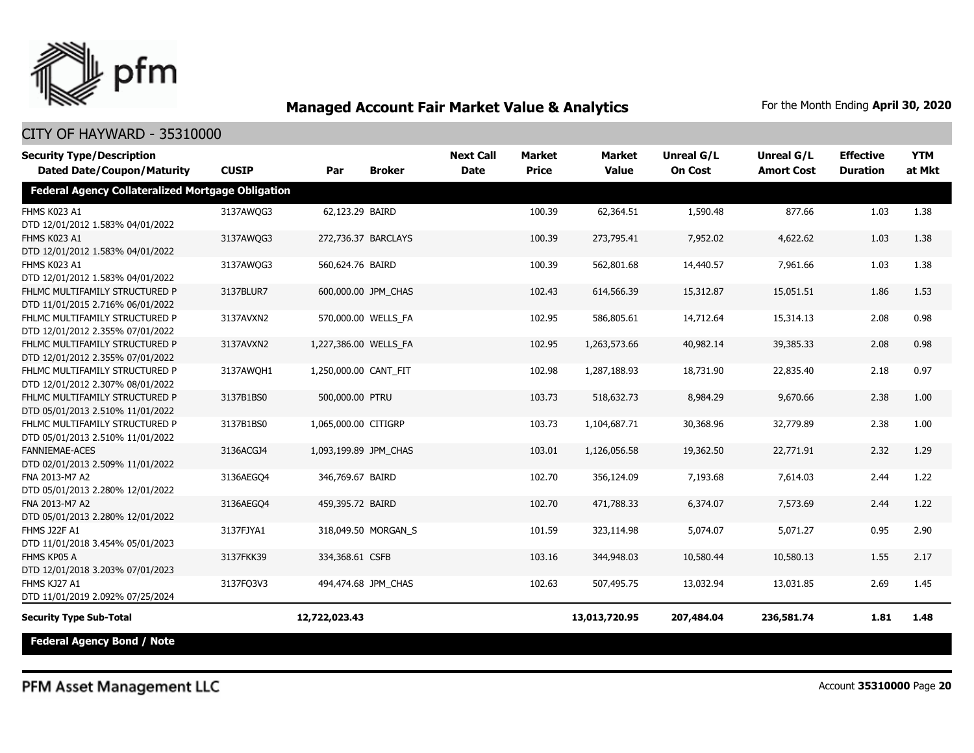

#### CITY OF HAYWARD - 35310000

| <b>Security Type/Description</b><br><b>Dated Date/Coupon/Maturity</b> | <b>CUSIP</b> | Par                   | <b>Broker</b>       | <b>Next Call</b><br><b>Date</b> | <b>Market</b><br><b>Price</b> | <b>Market</b><br><b>Value</b> | Unreal G/L<br><b>On Cost</b> | Unreal G/L<br><b>Amort Cost</b> | <b>Effective</b><br><b>Duration</b> | <b>YTM</b><br>at Mkt |
|-----------------------------------------------------------------------|--------------|-----------------------|---------------------|---------------------------------|-------------------------------|-------------------------------|------------------------------|---------------------------------|-------------------------------------|----------------------|
| <b>Federal Agency Collateralized Mortgage Obligation</b>              |              |                       |                     |                                 |                               |                               |                              |                                 |                                     |                      |
| FHMS K023 A1<br>DTD 12/01/2012 1.583% 04/01/2022                      | 3137AWQG3    | 62,123.29 BAIRD       |                     |                                 | 100.39                        | 62,364.51                     | 1,590.48                     | 877.66                          | 1.03                                | 1.38                 |
| FHMS K023 A1<br>DTD 12/01/2012 1.583% 04/01/2022                      | 3137AWQG3    |                       | 272,736.37 BARCLAYS |                                 | 100.39                        | 273,795.41                    | 7,952.02                     | 4,622.62                        | 1.03                                | 1.38                 |
| FHMS K023 A1<br>DTD 12/01/2012 1.583% 04/01/2022                      | 3137AWQG3    | 560,624.76 BAIRD      |                     |                                 | 100.39                        | 562,801.68                    | 14,440.57                    | 7,961.66                        | 1.03                                | 1.38                 |
| FHLMC MULTIFAMILY STRUCTURED P<br>DTD 11/01/2015 2.716% 06/01/2022    | 3137BLUR7    |                       | 600,000.00 JPM CHAS |                                 | 102.43                        | 614,566.39                    | 15,312.87                    | 15,051.51                       | 1.86                                | 1.53                 |
| FHLMC MULTIFAMILY STRUCTURED P<br>DTD 12/01/2012 2.355% 07/01/2022    | 3137AVXN2    |                       | 570,000.00 WELLS_FA |                                 | 102.95                        | 586,805.61                    | 14,712.64                    | 15,314.13                       | 2.08                                | 0.98                 |
| FHLMC MULTIFAMILY STRUCTURED P<br>DTD 12/01/2012 2.355% 07/01/2022    | 3137AVXN2    | 1,227,386.00 WELLS_FA |                     |                                 | 102.95                        | 1,263,573.66                  | 40,982.14                    | 39,385.33                       | 2.08                                | 0.98                 |
| FHLMC MULTIFAMILY STRUCTURED P<br>DTD 12/01/2012 2.307% 08/01/2022    | 3137AWQH1    | 1,250,000.00 CANT_FIT |                     |                                 | 102.98                        | 1,287,188.93                  | 18,731.90                    | 22,835.40                       | 2.18                                | 0.97                 |
| FHLMC MULTIFAMILY STRUCTURED P<br>DTD 05/01/2013 2.510% 11/01/2022    | 3137B1BS0    | 500,000.00 PTRU       |                     |                                 | 103.73                        | 518,632.73                    | 8,984.29                     | 9,670.66                        | 2.38                                | 1.00                 |
| FHLMC MULTIFAMILY STRUCTURED P<br>DTD 05/01/2013 2.510% 11/01/2022    | 3137B1BS0    | 1,065,000.00 CITIGRP  |                     |                                 | 103.73                        | 1,104,687.71                  | 30,368.96                    | 32,779.89                       | 2.38                                | 1.00                 |
| <b>FANNIEMAE-ACES</b><br>DTD 02/01/2013 2.509% 11/01/2022             | 3136ACGJ4    | 1,093,199.89 JPM CHAS |                     |                                 | 103.01                        | 1,126,056.58                  | 19,362.50                    | 22,771.91                       | 2.32                                | 1.29                 |
| FNA 2013-M7 A2<br>DTD 05/01/2013 2.280% 12/01/2022                    | 3136AEGO4    | 346,769.67 BAIRD      |                     |                                 | 102.70                        | 356,124.09                    | 7,193.68                     | 7,614.03                        | 2.44                                | 1.22                 |
| FNA 2013-M7 A2<br>DTD 05/01/2013 2.280% 12/01/2022                    | 3136AEGQ4    | 459,395.72 BAIRD      |                     |                                 | 102.70                        | 471,788.33                    | 6,374.07                     | 7,573.69                        | 2.44                                | 1.22                 |
| <b>FHMS J22F A1</b><br>DTD 11/01/2018 3.454% 05/01/2023               | 3137FJYA1    |                       | 318,049.50 MORGAN_S |                                 | 101.59                        | 323,114.98                    | 5,074.07                     | 5,071.27                        | 0.95                                | 2.90                 |
| FHMS KP05 A<br>DTD 12/01/2018 3.203% 07/01/2023                       | 3137FKK39    | 334,368.61 CSFB       |                     |                                 | 103.16                        | 344,948.03                    | 10,580.44                    | 10,580.13                       | 1.55                                | 2.17                 |
| FHMS KJ27 A1<br>DTD 11/01/2019 2.092% 07/25/2024                      | 3137FQ3V3    |                       | 494,474.68 JPM CHAS |                                 | 102.63                        | 507,495.75                    | 13,032.94                    | 13,031.85                       | 2.69                                | 1.45                 |
| <b>Security Type Sub-Total</b>                                        |              | 12,722,023.43         |                     |                                 |                               | 13,013,720.95                 | 207,484.04                   | 236,581.74                      | 1.81                                | 1.48                 |
| <b>Federal Agency Bond / Note</b>                                     |              |                       |                     |                                 |                               |                               |                              |                                 |                                     |                      |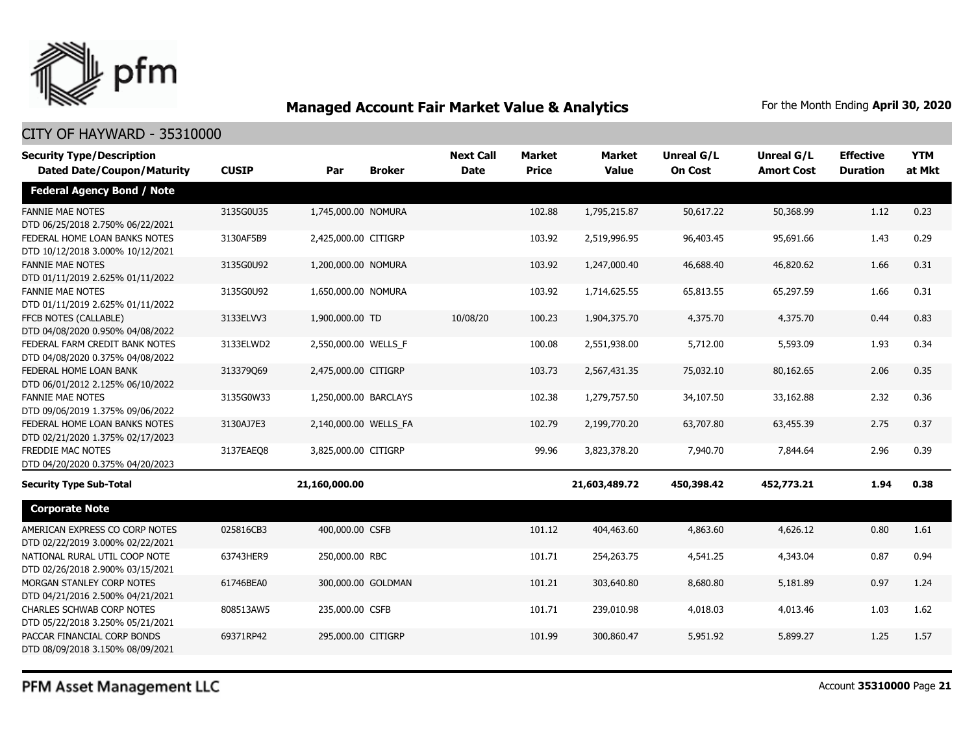

#### CITY OF HAYWARD - 35310000

| <b>Security Type/Description</b><br><b>Dated Date/Coupon/Maturity</b> | <b>CUSIP</b> | Par                   | <b>Broker</b>      | <b>Next Call</b><br><b>Date</b> | Market<br><b>Price</b> | <b>Market</b><br><b>Value</b> | Unreal G/L<br><b>On Cost</b> | Unreal G/L<br><b>Amort Cost</b> | <b>Effective</b><br><b>Duration</b> | <b>YTM</b><br>at Mkt |
|-----------------------------------------------------------------------|--------------|-----------------------|--------------------|---------------------------------|------------------------|-------------------------------|------------------------------|---------------------------------|-------------------------------------|----------------------|
| <b>Federal Agency Bond / Note</b>                                     |              |                       |                    |                                 |                        |                               |                              |                                 |                                     |                      |
| <b>FANNIE MAE NOTES</b><br>DTD 06/25/2018 2.750% 06/22/2021           | 3135G0U35    | 1,745,000.00 NOMURA   |                    |                                 | 102.88                 | 1,795,215.87                  | 50,617.22                    | 50,368.99                       | 1.12                                | 0.23                 |
| FEDERAL HOME LOAN BANKS NOTES<br>DTD 10/12/2018 3.000% 10/12/2021     | 3130AF5B9    | 2,425,000.00 CITIGRP  |                    |                                 | 103.92                 | 2,519,996.95                  | 96,403.45                    | 95,691.66                       | 1.43                                | 0.29                 |
| <b>FANNIE MAE NOTES</b><br>DTD 01/11/2019 2.625% 01/11/2022           | 3135G0U92    | 1,200,000.00 NOMURA   |                    |                                 | 103.92                 | 1,247,000.40                  | 46,688.40                    | 46,820.62                       | 1.66                                | 0.31                 |
| <b>FANNIE MAE NOTES</b><br>DTD 01/11/2019 2.625% 01/11/2022           | 3135G0U92    | 1,650,000.00 NOMURA   |                    |                                 | 103.92                 | 1,714,625.55                  | 65,813.55                    | 65,297.59                       | 1.66                                | 0.31                 |
| FFCB NOTES (CALLABLE)<br>DTD 04/08/2020 0.950% 04/08/2022             | 3133ELVV3    | 1,900,000.00 TD       |                    | 10/08/20                        | 100.23                 | 1,904,375.70                  | 4,375.70                     | 4,375.70                        | 0.44                                | 0.83                 |
| FEDERAL FARM CREDIT BANK NOTES<br>DTD 04/08/2020 0.375% 04/08/2022    | 3133ELWD2    | 2,550,000.00 WELLS_F  |                    |                                 | 100.08                 | 2,551,938.00                  | 5,712.00                     | 5,593.09                        | 1.93                                | 0.34                 |
| FEDERAL HOME LOAN BANK<br>DTD 06/01/2012 2.125% 06/10/2022            | 313379069    | 2,475,000.00 CITIGRP  |                    |                                 | 103.73                 | 2,567,431.35                  | 75,032.10                    | 80,162.65                       | 2.06                                | 0.35                 |
| <b>FANNIE MAE NOTES</b><br>DTD 09/06/2019 1.375% 09/06/2022           | 3135G0W33    | 1,250,000.00 BARCLAYS |                    |                                 | 102.38                 | 1,279,757.50                  | 34,107.50                    | 33,162.88                       | 2.32                                | 0.36                 |
| FEDERAL HOME LOAN BANKS NOTES<br>DTD 02/21/2020 1.375% 02/17/2023     | 3130AJ7E3    | 2,140,000.00 WELLS_FA |                    |                                 | 102.79                 | 2,199,770.20                  | 63,707.80                    | 63,455.39                       | 2.75                                | 0.37                 |
| <b>FREDDIE MAC NOTES</b><br>DTD 04/20/2020 0.375% 04/20/2023          | 3137EAEO8    | 3,825,000.00 CITIGRP  |                    |                                 | 99.96                  | 3,823,378.20                  | 7,940.70                     | 7,844.64                        | 2.96                                | 0.39                 |
| <b>Security Type Sub-Total</b>                                        |              | 21,160,000.00         |                    |                                 |                        | 21,603,489.72                 | 450,398.42                   | 452,773.21                      | 1.94                                | 0.38                 |
| <b>Corporate Note</b>                                                 |              |                       |                    |                                 |                        |                               |                              |                                 |                                     |                      |
| AMERICAN EXPRESS CO CORP NOTES<br>DTD 02/22/2019 3.000% 02/22/2021    | 025816CB3    | 400,000.00 CSFB       |                    |                                 | 101.12                 | 404,463.60                    | 4,863.60                     | 4,626.12                        | 0.80                                | 1.61                 |
| NATIONAL RURAL UTIL COOP NOTE<br>DTD 02/26/2018 2.900% 03/15/2021     | 63743HER9    | 250,000.00 RBC        |                    |                                 | 101.71                 | 254,263.75                    | 4,541.25                     | 4,343.04                        | 0.87                                | 0.94                 |
| MORGAN STANLEY CORP NOTES<br>DTD 04/21/2016 2.500% 04/21/2021         | 61746BEA0    |                       | 300,000.00 GOLDMAN |                                 | 101.21                 | 303,640.80                    | 8,680.80                     | 5,181.89                        | 0.97                                | 1.24                 |
| <b>CHARLES SCHWAB CORP NOTES</b><br>DTD 05/22/2018 3.250% 05/21/2021  | 808513AW5    | 235,000.00 CSFB       |                    |                                 | 101.71                 | 239,010.98                    | 4,018.03                     | 4,013.46                        | 1.03                                | 1.62                 |
| PACCAR FINANCIAL CORP BONDS<br>DTD 08/09/2018 3.150% 08/09/2021       | 69371RP42    | 295,000.00 CITIGRP    |                    |                                 | 101.99                 | 300,860.47                    | 5,951.92                     | 5,899.27                        | 1.25                                | 1.57                 |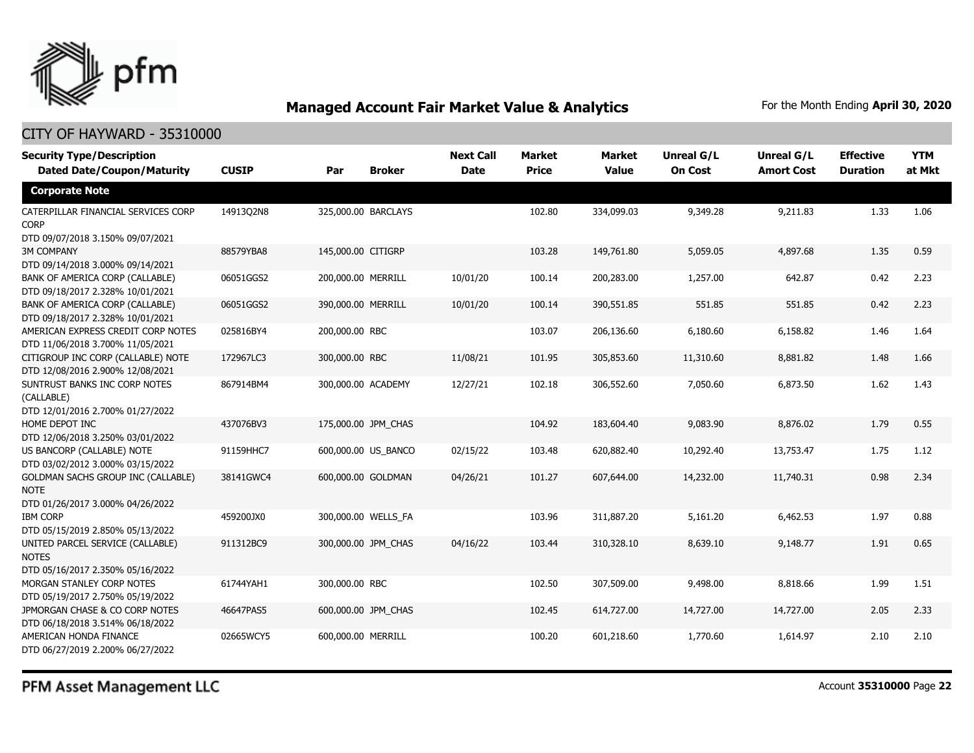

### CITY OF HAYWARD - 35310000

| <b>Security Type/Description</b><br><b>Dated Date/Coupon/Maturity</b>                        | <b>CUSIP</b> | Par                 | <b>Broker</b>       | <b>Next Call</b><br><b>Date</b> | Market<br><b>Price</b> | <b>Market</b><br><b>Value</b> | <b>Unreal G/L</b><br><b>On Cost</b> | <b>Unreal G/L</b><br><b>Amort Cost</b> | <b>Effective</b><br><b>Duration</b> | <b>YTM</b><br>at Mkt |
|----------------------------------------------------------------------------------------------|--------------|---------------------|---------------------|---------------------------------|------------------------|-------------------------------|-------------------------------------|----------------------------------------|-------------------------------------|----------------------|
| <b>Corporate Note</b>                                                                        |              |                     |                     |                                 |                        |                               |                                     |                                        |                                     |                      |
| CATERPILLAR FINANCIAL SERVICES CORP<br><b>CORP</b><br>DTD 09/07/2018 3.150% 09/07/2021       | 14913Q2N8    | 325,000.00 BARCLAYS |                     |                                 | 102.80                 | 334,099.03                    | 9,349.28                            | 9,211.83                               | 1.33                                | 1.06                 |
| <b>3M COMPANY</b><br>DTD 09/14/2018 3.000% 09/14/2021                                        | 88579YBA8    | 145,000.00 CITIGRP  |                     |                                 | 103.28                 | 149,761.80                    | 5,059.05                            | 4,897.68                               | 1.35                                | 0.59                 |
| BANK OF AMERICA CORP (CALLABLE)<br>DTD 09/18/2017 2.328% 10/01/2021                          | 06051GGS2    | 200,000.00 MERRILL  |                     | 10/01/20                        | 100.14                 | 200,283.00                    | 1,257.00                            | 642.87                                 | 0.42                                | 2.23                 |
| BANK OF AMERICA CORP (CALLABLE)<br>DTD 09/18/2017 2.328% 10/01/2021                          | 06051GGS2    | 390,000.00 MERRILL  |                     | 10/01/20                        | 100.14                 | 390,551.85                    | 551.85                              | 551.85                                 | 0.42                                | 2.23                 |
| AMERICAN EXPRESS CREDIT CORP NOTES<br>DTD 11/06/2018 3.700% 11/05/2021                       | 025816BY4    | 200,000.00 RBC      |                     |                                 | 103.07                 | 206,136.60                    | 6,180.60                            | 6,158.82                               | 1.46                                | 1.64                 |
| CITIGROUP INC CORP (CALLABLE) NOTE<br>DTD 12/08/2016 2.900% 12/08/2021                       | 172967LC3    | 300,000.00 RBC      |                     | 11/08/21                        | 101.95                 | 305,853.60                    | 11,310.60                           | 8,881.82                               | 1.48                                | 1.66                 |
| SUNTRUST BANKS INC CORP NOTES<br>(CALLABLE)<br>DTD 12/01/2016 2.700% 01/27/2022              | 867914BM4    | 300,000.00 ACADEMY  |                     | 12/27/21                        | 102.18                 | 306,552.60                    | 7,050.60                            | 6,873.50                               | 1.62                                | 1.43                 |
| HOME DEPOT INC<br>DTD 12/06/2018 3.250% 03/01/2022                                           | 437076BV3    | 175,000.00 JPM CHAS |                     |                                 | 104.92                 | 183,604.40                    | 9,083.90                            | 8,876.02                               | 1.79                                | 0.55                 |
| US BANCORP (CALLABLE) NOTE<br>DTD 03/02/2012 3.000% 03/15/2022                               | 91159HHC7    |                     | 600,000.00 US BANCO | 02/15/22                        | 103.48                 | 620,882.40                    | 10,292.40                           | 13,753.47                              | 1.75                                | 1.12                 |
| <b>GOLDMAN SACHS GROUP INC (CALLABLE)</b><br><b>NOTE</b><br>DTD 01/26/2017 3.000% 04/26/2022 | 38141GWC4    | 600,000.00 GOLDMAN  |                     | 04/26/21                        | 101.27                 | 607,644.00                    | 14,232.00                           | 11,740.31                              | 0.98                                | 2.34                 |
| <b>IBM CORP</b><br>DTD 05/15/2019 2.850% 05/13/2022                                          | 459200JX0    | 300,000.00 WELLS FA |                     |                                 | 103.96                 | 311,887.20                    | 5,161.20                            | 6,462.53                               | 1.97                                | 0.88                 |
| UNITED PARCEL SERVICE (CALLABLE)<br><b>NOTES</b><br>DTD 05/16/2017 2.350% 05/16/2022         | 911312BC9    |                     | 300,000.00 JPM_CHAS | 04/16/22                        | 103.44                 | 310,328.10                    | 8,639.10                            | 9,148.77                               | 1.91                                | 0.65                 |
| MORGAN STANLEY CORP NOTES<br>DTD 05/19/2017 2.750% 05/19/2022                                | 61744YAH1    | 300,000.00 RBC      |                     |                                 | 102.50                 | 307,509.00                    | 9,498.00                            | 8,818.66                               | 1.99                                | 1.51                 |
| JPMORGAN CHASE & CO CORP NOTES<br>DTD 06/18/2018 3.514% 06/18/2022                           | 46647PAS5    |                     | 600,000.00 JPM_CHAS |                                 | 102.45                 | 614,727.00                    | 14,727.00                           | 14,727.00                              | 2.05                                | 2.33                 |
| AMERICAN HONDA FINANCE<br>DTD 06/27/2019 2.200% 06/27/2022                                   | 02665WCY5    | 600,000.00 MERRILL  |                     |                                 | 100.20                 | 601,218.60                    | 1,770.60                            | 1,614.97                               | 2.10                                | 2.10                 |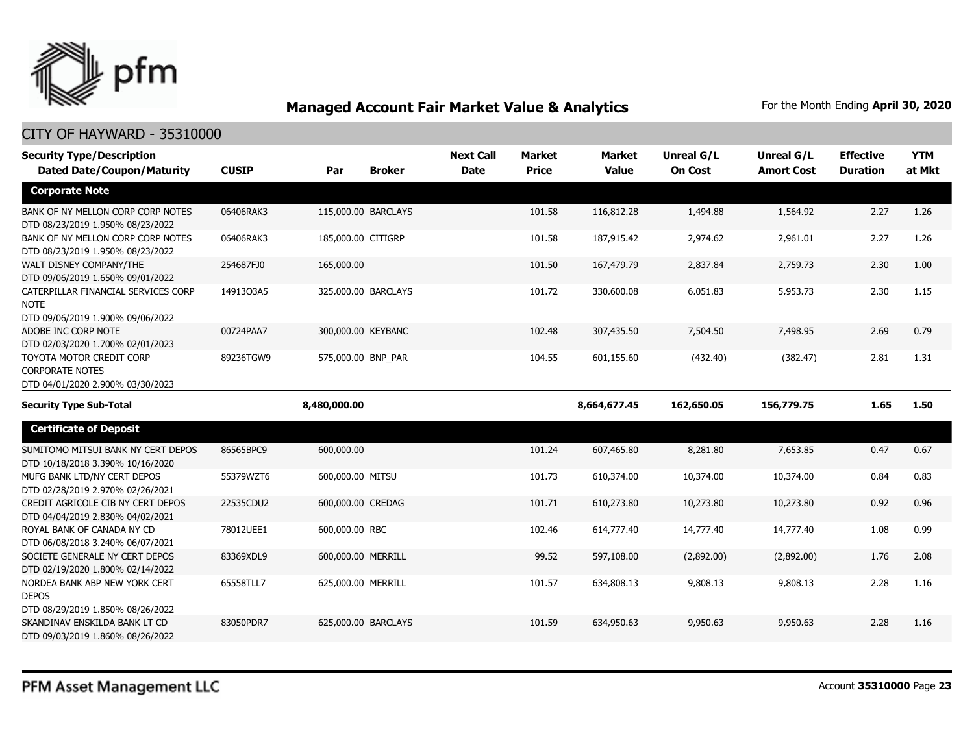

| <b>Security Type/Description</b><br><b>Dated Date/Coupon/Maturity</b>                  | <b>CUSIP</b> | Par                 | <b>Broker</b> | <b>Next Call</b><br><b>Date</b> | <b>Market</b><br><b>Price</b> | <b>Market</b><br><b>Value</b> | <b>Unreal G/L</b><br><b>On Cost</b> | Unreal G/L<br><b>Amort Cost</b> | <b>Effective</b><br><b>Duration</b> | <b>YTM</b><br>at Mkt |
|----------------------------------------------------------------------------------------|--------------|---------------------|---------------|---------------------------------|-------------------------------|-------------------------------|-------------------------------------|---------------------------------|-------------------------------------|----------------------|
|                                                                                        |              |                     |               |                                 |                               |                               |                                     |                                 |                                     |                      |
| <b>Corporate Note</b>                                                                  |              |                     |               |                                 |                               |                               |                                     |                                 |                                     |                      |
| BANK OF NY MELLON CORP CORP NOTES<br>DTD 08/23/2019 1.950% 08/23/2022                  | 06406RAK3    | 115,000.00 BARCLAYS |               |                                 | 101.58                        | 116,812.28                    | 1,494.88                            | 1,564.92                        | 2.27                                | 1.26                 |
| BANK OF NY MELLON CORP CORP NOTES<br>DTD 08/23/2019 1.950% 08/23/2022                  | 06406RAK3    | 185,000.00 CITIGRP  |               |                                 | 101.58                        | 187,915.42                    | 2,974.62                            | 2,961.01                        | 2.27                                | 1.26                 |
| WALT DISNEY COMPANY/THE<br>DTD 09/06/2019 1.650% 09/01/2022                            | 254687FJ0    | 165,000.00          |               |                                 | 101.50                        | 167,479.79                    | 2,837.84                            | 2,759.73                        | 2.30                                | 1.00                 |
| CATERPILLAR FINANCIAL SERVICES CORP<br><b>NOTE</b><br>DTD 09/06/2019 1.900% 09/06/2022 | 14913Q3A5    | 325,000.00 BARCLAYS |               |                                 | 101.72                        | 330,600.08                    | 6,051.83                            | 5,953.73                        | 2.30                                | 1.15                 |
| ADOBE INC CORP NOTE<br>DTD 02/03/2020 1.700% 02/01/2023                                | 00724PAA7    | 300,000.00 KEYBANC  |               |                                 | 102.48                        | 307,435.50                    | 7,504.50                            | 7,498.95                        | 2.69                                | 0.79                 |
| TOYOTA MOTOR CREDIT CORP<br><b>CORPORATE NOTES</b><br>DTD 04/01/2020 2.900% 03/30/2023 | 89236TGW9    | 575,000.00 BNP PAR  |               |                                 | 104.55                        | 601,155.60                    | (432.40)                            | (382.47)                        | 2.81                                | 1.31                 |
| <b>Security Type Sub-Total</b>                                                         |              | 8,480,000.00        |               |                                 |                               | 8,664,677.45                  | 162,650.05                          | 156,779.75                      | 1.65                                | 1.50                 |
| <b>Certificate of Deposit</b>                                                          |              |                     |               |                                 |                               |                               |                                     |                                 |                                     |                      |
| SUMITOMO MITSUI BANK NY CERT DEPOS<br>DTD 10/18/2018 3.390% 10/16/2020                 | 86565BPC9    | 600,000.00          |               |                                 | 101.24                        | 607,465.80                    | 8,281.80                            | 7,653.85                        | 0.47                                | 0.67                 |
| MUFG BANK LTD/NY CERT DEPOS<br>DTD 02/28/2019 2.970% 02/26/2021                        | 55379WZT6    | 600,000.00 MITSU    |               |                                 | 101.73                        | 610,374.00                    | 10,374.00                           | 10,374.00                       | 0.84                                | 0.83                 |
| CREDIT AGRICOLE CIB NY CERT DEPOS<br>DTD 04/04/2019 2.830% 04/02/2021                  | 22535CDU2    | 600,000.00 CREDAG   |               |                                 | 101.71                        | 610,273.80                    | 10,273.80                           | 10,273.80                       | 0.92                                | 0.96                 |
| ROYAL BANK OF CANADA NY CD                                                             |              |                     |               |                                 |                               |                               |                                     |                                 |                                     |                      |
| DTD 06/08/2018 3.240% 06/07/2021                                                       | 78012UEE1    | 600,000.00 RBC      |               |                                 | 102.46                        | 614,777.40                    | 14,777.40                           | 14,777.40                       | 1.08                                | 0.99                 |
| SOCIETE GENERALE NY CERT DEPOS<br>DTD 02/19/2020 1.800% 02/14/2022                     | 83369XDL9    | 600,000.00 MERRILL  |               |                                 | 99.52                         | 597,108.00                    | (2,892.00)                          | (2,892.00)                      | 1.76                                | 2.08                 |
| NORDEA BANK ABP NEW YORK CERT<br><b>DEPOS</b><br>DTD 08/29/2019 1.850% 08/26/2022      | 65558TLL7    | 625,000.00 MERRILL  |               |                                 | 101.57                        | 634,808.13                    | 9,808.13                            | 9,808.13                        | 2.28                                | 1.16                 |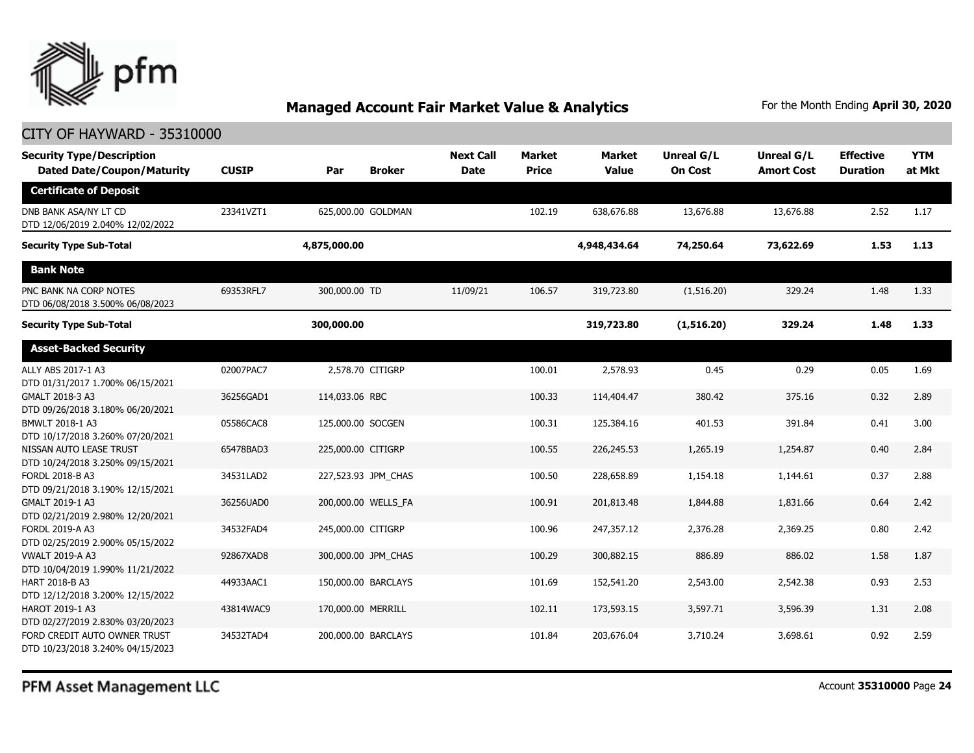

### CITY OF HAYWARD - 35310000

| <b>Security Type/Description</b><br><b>Dated Date/Coupon/Maturity</b> | <b>CUSIP</b> | Par                 | <b>Broker</b> | <b>Next Call</b><br><b>Date</b> | <b>Market</b><br><b>Price</b> | <b>Market</b><br><b>Value</b> | <b>Unreal G/L</b><br><b>On Cost</b> | Unreal G/L<br><b>Amort Cost</b> | <b>Effective</b><br><b>Duration</b> | <b>YTM</b><br>at Mkt |
|-----------------------------------------------------------------------|--------------|---------------------|---------------|---------------------------------|-------------------------------|-------------------------------|-------------------------------------|---------------------------------|-------------------------------------|----------------------|
| <b>Certificate of Deposit</b>                                         |              |                     |               |                                 |                               |                               |                                     |                                 |                                     |                      |
| DNB BANK ASA/NY LT CD<br>DTD 12/06/2019 2.040% 12/02/2022             | 23341VZT1    | 625,000.00 GOLDMAN  |               |                                 | 102.19                        | 638,676.88                    | 13,676.88                           | 13,676.88                       | 2.52                                | 1.17                 |
| <b>Security Type Sub-Total</b>                                        |              | 4,875,000.00        |               |                                 |                               | 4,948,434.64                  | 74,250.64                           | 73,622.69                       | 1.53                                | 1.13                 |
| <b>Bank Note</b>                                                      |              |                     |               |                                 |                               |                               |                                     |                                 |                                     |                      |
| PNC BANK NA CORP NOTES<br>DTD 06/08/2018 3.500% 06/08/2023            | 69353RFL7    | 300,000.00 TD       |               | 11/09/21                        | 106.57                        | 319,723.80                    | (1,516.20)                          | 329.24                          | 1.48                                | 1.33                 |
| <b>Security Type Sub-Total</b>                                        |              | 300,000.00          |               |                                 |                               | 319,723.80                    | (1,516.20)                          | 329.24                          | 1.48                                | 1.33                 |
| <b>Asset-Backed Security</b>                                          |              |                     |               |                                 |                               |                               |                                     |                                 |                                     |                      |
| ALLY ABS 2017-1 A3<br>DTD 01/31/2017 1.700% 06/15/2021                | 02007PAC7    | 2,578.70 CITIGRP    |               |                                 | 100.01                        | 2,578.93                      | 0.45                                | 0.29                            | 0.05                                | 1.69                 |
| GMALT 2018-3 A3<br>DTD 09/26/2018 3.180% 06/20/2021                   | 36256GAD1    | 114,033.06 RBC      |               |                                 | 100.33                        | 114,404.47                    | 380.42                              | 375.16                          | 0.32                                | 2.89                 |
| BMWLT 2018-1 A3<br>DTD 10/17/2018 3.260% 07/20/2021                   | 05586CAC8    | 125,000.00 SOCGEN   |               |                                 | 100.31                        | 125,384.16                    | 401.53                              | 391.84                          | 0.41                                | 3.00                 |
| NISSAN AUTO LEASE TRUST<br>DTD 10/24/2018 3.250% 09/15/2021           | 65478BAD3    | 225,000.00 CITIGRP  |               |                                 | 100.55                        | 226,245.53                    | 1,265.19                            | 1,254.87                        | 0.40                                | 2.84                 |
| FORDL 2018-B A3<br>DTD 09/21/2018 3.190% 12/15/2021                   | 34531LAD2    | 227,523.93 JPM CHAS |               |                                 | 100.50                        | 228,658.89                    | 1,154.18                            | 1,144.61                        | 0.37                                | 2.88                 |
| GMALT 2019-1 A3<br>DTD 02/21/2019 2.980% 12/20/2021                   | 36256UAD0    | 200,000.00 WELLS_FA |               |                                 | 100.91                        | 201,813.48                    | 1,844.88                            | 1,831.66                        | 0.64                                | 2.42                 |
| FORDL 2019-A A3<br>DTD 02/25/2019 2.900% 05/15/2022                   | 34532FAD4    | 245,000.00 CITIGRP  |               |                                 | 100.96                        | 247,357.12                    | 2,376.28                            | 2,369.25                        | 0.80                                | 2.42                 |
| <b>VWALT 2019-A A3</b><br>DTD 10/04/2019 1.990% 11/21/2022            | 92867XAD8    | 300,000.00 JPM_CHAS |               |                                 | 100.29                        | 300,882.15                    | 886.89                              | 886.02                          | 1.58                                | 1.87                 |
| HART 2018-B A3<br>DTD 12/12/2018 3.200% 12/15/2022                    | 44933AAC1    | 150,000.00 BARCLAYS |               |                                 | 101.69                        | 152,541.20                    | 2,543.00                            | 2,542.38                        | 0.93                                | 2.53                 |
| <b>HAROT 2019-1 A3</b><br>DTD 02/27/2019 2.830% 03/20/2023            | 43814WAC9    | 170,000.00 MERRILL  |               |                                 | 102.11                        | 173,593.15                    | 3,597.71                            | 3,596.39                        | 1.31                                | 2.08                 |
| FORD CREDIT AUTO OWNER TRUST<br>DTD 10/23/2018 3.240% 04/15/2023      | 34532TAD4    | 200,000.00 BARCLAYS |               |                                 | 101.84                        | 203,676.04                    | 3,710.24                            | 3,698.61                        | 0.92                                | 2.59                 |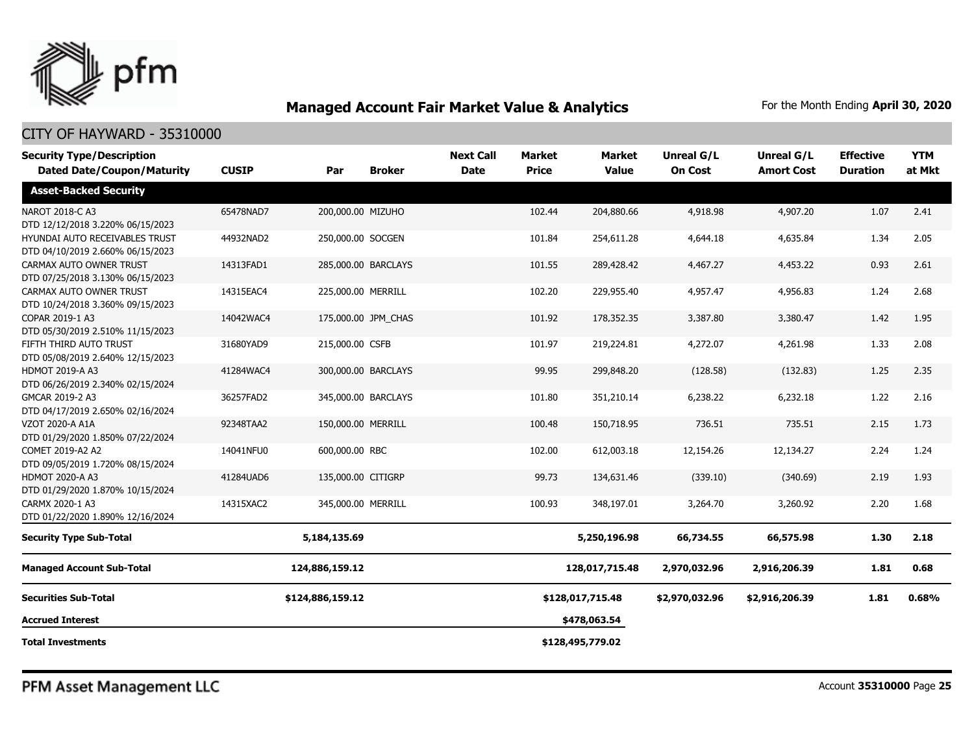

#### CITY OF HAYWARD - 35310000

| <b>Security Type/Description</b><br><b>Dated Date/Coupon/Maturity</b> | <b>CUSIP</b> | Par                | <b>Broker</b>       | <b>Next Call</b><br><b>Date</b> | <b>Market</b><br><b>Price</b> | <b>Market</b><br><b>Value</b> | <b>Unreal G/L</b><br><b>On Cost</b> | Unreal G/L<br><b>Amort Cost</b> | <b>Effective</b><br><b>Duration</b> | <b>YTM</b><br>at Mkt |
|-----------------------------------------------------------------------|--------------|--------------------|---------------------|---------------------------------|-------------------------------|-------------------------------|-------------------------------------|---------------------------------|-------------------------------------|----------------------|
| <b>Asset-Backed Security</b>                                          |              |                    |                     |                                 |                               |                               |                                     |                                 |                                     |                      |
| NAROT 2018-C A3<br>DTD 12/12/2018 3.220% 06/15/2023                   | 65478NAD7    | 200,000.00 MIZUHO  |                     |                                 | 102.44                        | 204,880.66                    | 4,918.98                            | 4,907.20                        | 1.07                                | 2.41                 |
| HYUNDAI AUTO RECEIVABLES TRUST<br>DTD 04/10/2019 2.660% 06/15/2023    | 44932NAD2    | 250,000.00 SOCGEN  |                     |                                 | 101.84                        | 254,611.28                    | 4,644.18                            | 4,635.84                        | 1.34                                | 2.05                 |
| CARMAX AUTO OWNER TRUST<br>DTD 07/25/2018 3.130% 06/15/2023           | 14313FAD1    |                    | 285,000.00 BARCLAYS |                                 | 101.55                        | 289,428.42                    | 4,467.27                            | 4,453.22                        | 0.93                                | 2.61                 |
| CARMAX AUTO OWNER TRUST<br>DTD 10/24/2018 3.360% 09/15/2023           | 14315EAC4    | 225,000.00 MERRILL |                     |                                 | 102.20                        | 229,955.40                    | 4,957.47                            | 4,956.83                        | 1.24                                | 2.68                 |
| COPAR 2019-1 A3<br>DTD 05/30/2019 2.510% 11/15/2023                   | 14042WAC4    |                    | 175,000.00 JPM_CHAS |                                 | 101.92                        | 178,352.35                    | 3,387.80                            | 3,380.47                        | 1.42                                | 1.95                 |
| FIFTH THIRD AUTO TRUST<br>DTD 05/08/2019 2.640% 12/15/2023            | 31680YAD9    | 215,000.00 CSFB    |                     |                                 | 101.97                        | 219,224.81                    | 4,272.07                            | 4,261.98                        | 1.33                                | 2.08                 |
| <b>HDMOT 2019-A A3</b><br>DTD 06/26/2019 2.340% 02/15/2024            | 41284WAC4    |                    | 300,000.00 BARCLAYS |                                 | 99.95                         | 299,848.20                    | (128.58)                            | (132.83)                        | 1.25                                | 2.35                 |
| GMCAR 2019-2 A3<br>DTD 04/17/2019 2.650% 02/16/2024                   | 36257FAD2    |                    | 345,000.00 BARCLAYS |                                 | 101.80                        | 351,210.14                    | 6,238.22                            | 6,232.18                        | 1.22                                | 2.16                 |
| <b>VZOT 2020-A A1A</b><br>DTD 01/29/2020 1.850% 07/22/2024            | 92348TAA2    | 150,000.00 MERRILL |                     |                                 | 100.48                        | 150,718.95                    | 736.51                              | 735.51                          | 2.15                                | 1.73                 |
| COMET 2019-A2 A2<br>DTD 09/05/2019 1.720% 08/15/2024                  | 14041NFU0    | 600,000.00 RBC     |                     |                                 | 102.00                        | 612,003.18                    | 12,154.26                           | 12,134.27                       | 2.24                                | 1.24                 |
| <b>HDMOT 2020-A A3</b><br>DTD 01/29/2020 1.870% 10/15/2024            | 41284UAD6    | 135,000.00 CITIGRP |                     |                                 | 99.73                         | 134,631.46                    | (339.10)                            | (340.69)                        | 2.19                                | 1.93                 |
| CARMX 2020-1 A3<br>DTD 01/22/2020 1.890% 12/16/2024                   | 14315XAC2    | 345,000.00 MERRILL |                     |                                 | 100.93                        | 348,197.01                    | 3,264.70                            | 3,260.92                        | 2.20                                | 1.68                 |
| <b>Security Type Sub-Total</b>                                        |              | 5,184,135.69       |                     |                                 |                               | 5,250,196.98                  | 66,734.55                           | 66,575.98                       | 1.30                                | 2.18                 |
| <b>Managed Account Sub-Total</b>                                      |              | 124,886,159.12     |                     |                                 |                               | 128,017,715.48                | 2,970,032.96                        | 2,916,206.39                    | 1.81                                | 0.68                 |
| <b>Securities Sub-Total</b>                                           |              | \$124,886,159.12   |                     |                                 |                               | \$128,017,715.48              | \$2,970,032.96                      | \$2,916,206.39                  | 1.81                                | 0.68%                |
| <b>Accrued Interest</b>                                               |              |                    |                     |                                 |                               | \$478,063.54                  |                                     |                                 |                                     |                      |
| <b>Total Investments</b>                                              |              |                    |                     |                                 |                               | \$128,495,779.02              |                                     |                                 |                                     |                      |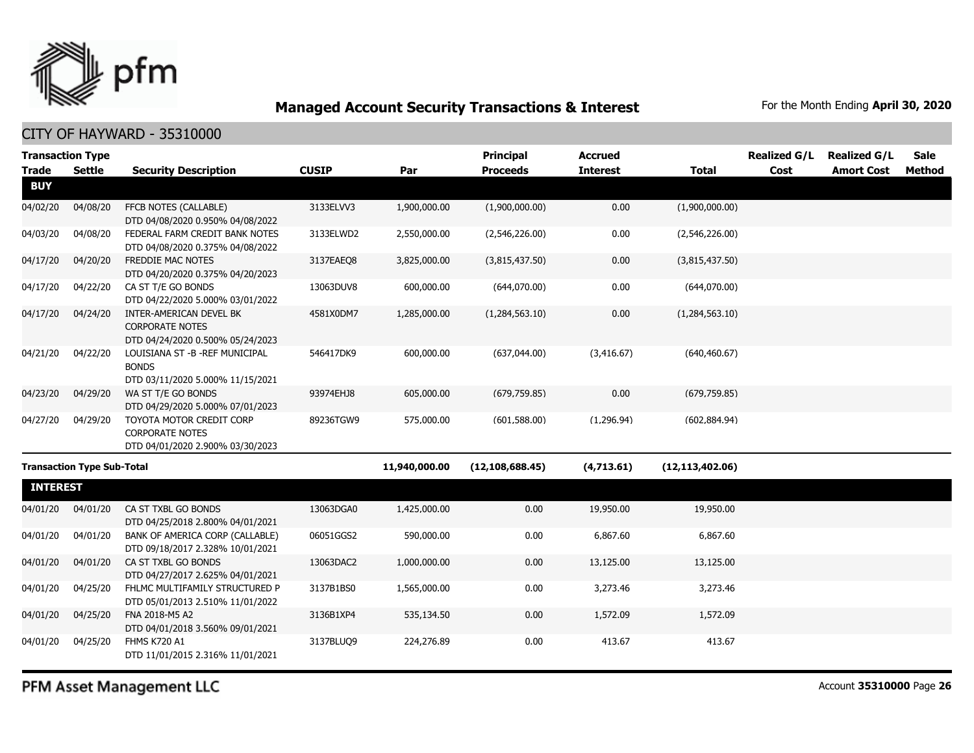

#### CITY OF HAYWARD - 35310000

|                 | <b>Transaction Type</b>           |                                                                                       |              |               | Principal         | <b>Accrued</b>  |                   | <b>Realized G/L</b> | <b>Realized G/L</b> | <b>Sale</b>   |
|-----------------|-----------------------------------|---------------------------------------------------------------------------------------|--------------|---------------|-------------------|-----------------|-------------------|---------------------|---------------------|---------------|
| <b>Trade</b>    | <b>Settle</b>                     | <b>Security Description</b>                                                           | <b>CUSIP</b> | Par           | <b>Proceeds</b>   | <b>Interest</b> | <b>Total</b>      | Cost                | <b>Amort Cost</b>   | <b>Method</b> |
| <b>BUY</b>      |                                   |                                                                                       |              |               |                   |                 |                   |                     |                     |               |
| 04/02/20        | 04/08/20                          | FFCB NOTES (CALLABLE)<br>DTD 04/08/2020 0.950% 04/08/2022                             | 3133ELVV3    | 1,900,000.00  | (1,900,000.00)    | 0.00            | (1,900,000.00)    |                     |                     |               |
| 04/03/20        | 04/08/20                          | FEDERAL FARM CREDIT BANK NOTES<br>DTD 04/08/2020 0.375% 04/08/2022                    | 3133ELWD2    | 2,550,000.00  | (2,546,226.00)    | 0.00            | (2,546,226.00)    |                     |                     |               |
| 04/17/20        | 04/20/20                          | <b>FREDDIE MAC NOTES</b><br>DTD 04/20/2020 0.375% 04/20/2023                          | 3137EAEO8    | 3,825,000.00  | (3,815,437.50)    | 0.00            | (3,815,437.50)    |                     |                     |               |
| 04/17/20        | 04/22/20                          | CA ST T/E GO BONDS<br>DTD 04/22/2020 5.000% 03/01/2022                                | 13063DUV8    | 600,000.00    | (644,070.00)      | 0.00            | (644,070.00)      |                     |                     |               |
| 04/17/20        | 04/24/20                          | INTER-AMERICAN DEVEL BK<br><b>CORPORATE NOTES</b><br>DTD 04/24/2020 0.500% 05/24/2023 | 4581X0DM7    | 1,285,000.00  | (1,284,563.10)    | 0.00            | (1,284,563.10)    |                     |                     |               |
| 04/21/20        | 04/22/20                          | LOUISIANA ST -B -REF MUNICIPAL<br><b>BONDS</b><br>DTD 03/11/2020 5.000% 11/15/2021    | 546417DK9    | 600,000.00    | (637,044.00)      | (3,416.67)      | (640, 460.67)     |                     |                     |               |
| 04/23/20        | 04/29/20                          | WA ST T/E GO BONDS<br>DTD 04/29/2020 5.000% 07/01/2023                                | 93974EHJ8    | 605,000.00    | (679, 759.85)     | 0.00            | (679, 759.85)     |                     |                     |               |
| 04/27/20        | 04/29/20                          | TOYOTA MOTOR CREDIT CORP<br><b>CORPORATE NOTES</b>                                    | 89236TGW9    | 575,000.00    | (601, 588.00)     | (1,296.94)      | (602, 884.94)     |                     |                     |               |
|                 |                                   | DTD 04/01/2020 2.900% 03/30/2023                                                      |              |               |                   |                 |                   |                     |                     |               |
|                 | <b>Transaction Type Sub-Total</b> |                                                                                       |              | 11,940,000.00 | (12, 108, 688.45) | (4,713.61)      | (12, 113, 402.06) |                     |                     |               |
| <b>INTEREST</b> |                                   |                                                                                       |              |               |                   |                 |                   |                     |                     |               |
| 04/01/20        | 04/01/20                          | CA ST TXBL GO BONDS<br>DTD 04/25/2018 2.800% 04/01/2021                               | 13063DGA0    | 1,425,000.00  | 0.00              | 19,950.00       | 19,950.00         |                     |                     |               |
| 04/01/20        | 04/01/20                          | BANK OF AMERICA CORP (CALLABLE)<br>DTD 09/18/2017 2.328% 10/01/2021                   | 06051GGS2    | 590,000.00    | 0.00              | 6,867.60        | 6,867.60          |                     |                     |               |
| 04/01/20        | 04/01/20                          | CA ST TXBL GO BONDS<br>DTD 04/27/2017 2.625% 04/01/2021                               | 13063DAC2    | 1,000,000.00  | 0.00              | 13,125.00       | 13,125.00         |                     |                     |               |
| 04/01/20        | 04/25/20                          | FHLMC MULTIFAMILY STRUCTURED P<br>DTD 05/01/2013 2.510% 11/01/2022                    | 3137B1BS0    | 1,565,000.00  | 0.00              | 3,273.46        | 3,273.46          |                     |                     |               |
| 04/01/20        | 04/25/20                          | FNA 2018-M5 A2<br>DTD 04/01/2018 3.560% 09/01/2021                                    | 3136B1XP4    | 535,134.50    | 0.00              | 1,572.09        | 1,572.09          |                     |                     |               |
| 04/01/20        | 04/25/20                          | FHMS K720 A1<br>DTD 11/01/2015 2.316% 11/01/2021                                      | 3137BLUQ9    | 224,276.89    | 0.00              | 413.67          | 413.67            |                     |                     |               |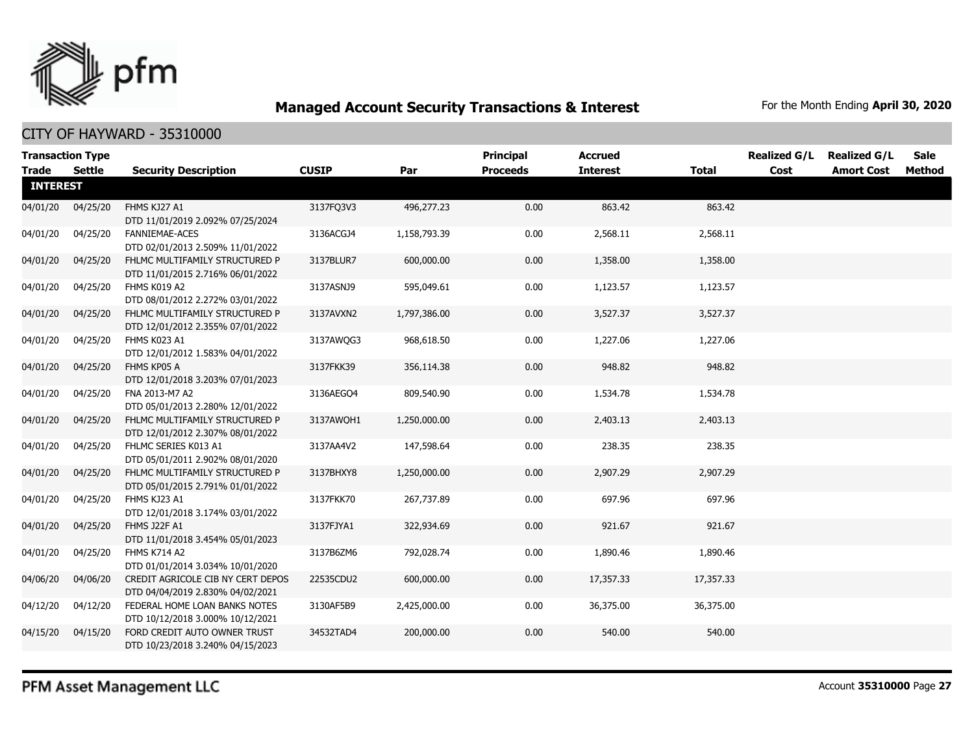

CITY OF HAYWARD - 35310000

| <b>Transaction Type</b> |               |                                                                       |              |              | <b>Principal</b> | <b>Accrued</b>  |              | <b>Realized G/L</b> | <b>Realized G/L</b> | Sale   |
|-------------------------|---------------|-----------------------------------------------------------------------|--------------|--------------|------------------|-----------------|--------------|---------------------|---------------------|--------|
| <b>Trade</b>            | <b>Settle</b> | <b>Security Description</b>                                           | <b>CUSIP</b> | Par          | <b>Proceeds</b>  | <b>Interest</b> | <b>Total</b> | Cost                | <b>Amort Cost</b>   | Method |
| <b>INTEREST</b>         |               |                                                                       |              |              |                  |                 |              |                     |                     |        |
| 04/01/20                | 04/25/20      | FHMS KJ27 A1<br>DTD 11/01/2019 2.092% 07/25/2024                      | 3137FQ3V3    | 496,277.23   | 0.00             | 863.42          | 863.42       |                     |                     |        |
| 04/01/20                | 04/25/20      | <b>FANNIEMAE-ACES</b><br>DTD 02/01/2013 2.509% 11/01/2022             | 3136ACGJ4    | 1,158,793.39 | 0.00             | 2,568.11        | 2,568.11     |                     |                     |        |
| 04/01/20                | 04/25/20      | FHLMC MULTIFAMILY STRUCTURED P<br>DTD 11/01/2015 2.716% 06/01/2022    | 3137BLUR7    | 600,000.00   | 0.00             | 1,358.00        | 1,358.00     |                     |                     |        |
| 04/01/20                | 04/25/20      | FHMS K019 A2<br>DTD 08/01/2012 2.272% 03/01/2022                      | 3137ASNJ9    | 595,049.61   | 0.00             | 1,123.57        | 1,123.57     |                     |                     |        |
| 04/01/20                | 04/25/20      | FHLMC MULTIFAMILY STRUCTURED P<br>DTD 12/01/2012 2.355% 07/01/2022    | 3137AVXN2    | 1,797,386.00 | 0.00             | 3,527.37        | 3,527.37     |                     |                     |        |
| 04/01/20                | 04/25/20      | FHMS K023 A1<br>DTD 12/01/2012 1.583% 04/01/2022                      | 3137AWQG3    | 968,618.50   | 0.00             | 1,227.06        | 1,227.06     |                     |                     |        |
| 04/01/20                | 04/25/20      | FHMS KP05 A<br>DTD 12/01/2018 3.203% 07/01/2023                       | 3137FKK39    | 356,114.38   | 0.00             | 948.82          | 948.82       |                     |                     |        |
| 04/01/20                | 04/25/20      | FNA 2013-M7 A2<br>DTD 05/01/2013 2.280% 12/01/2022                    | 3136AEGO4    | 809,540.90   | 0.00             | 1,534.78        | 1,534.78     |                     |                     |        |
| 04/01/20                | 04/25/20      | FHLMC MULTIFAMILY STRUCTURED P<br>DTD 12/01/2012 2.307% 08/01/2022    | 3137AWOH1    | 1,250,000.00 | 0.00             | 2,403.13        | 2,403.13     |                     |                     |        |
| 04/01/20                | 04/25/20      | FHLMC SERIES K013 A1<br>DTD 05/01/2011 2.902% 08/01/2020              | 3137AA4V2    | 147,598.64   | 0.00             | 238.35          | 238.35       |                     |                     |        |
| 04/01/20                | 04/25/20      | FHLMC MULTIFAMILY STRUCTURED P<br>DTD 05/01/2015 2.791% 01/01/2022    | 3137BHXY8    | 1,250,000.00 | 0.00             | 2,907.29        | 2,907.29     |                     |                     |        |
| 04/01/20                | 04/25/20      | FHMS KJ23 A1<br>DTD 12/01/2018 3.174% 03/01/2022                      | 3137FKK70    | 267,737.89   | 0.00             | 697.96          | 697.96       |                     |                     |        |
| 04/01/20                | 04/25/20      | FHMS J22F A1<br>DTD 11/01/2018 3.454% 05/01/2023                      | 3137FJYA1    | 322,934.69   | 0.00             | 921.67          | 921.67       |                     |                     |        |
| 04/01/20                | 04/25/20      | FHMS K714 A2<br>DTD 01/01/2014 3.034% 10/01/2020                      | 3137B6ZM6    | 792,028.74   | 0.00             | 1,890.46        | 1,890.46     |                     |                     |        |
| 04/06/20                | 04/06/20      | CREDIT AGRICOLE CIB NY CERT DEPOS<br>DTD 04/04/2019 2.830% 04/02/2021 | 22535CDU2    | 600,000.00   | 0.00             | 17,357.33       | 17,357.33    |                     |                     |        |
| 04/12/20                | 04/12/20      | FEDERAL HOME LOAN BANKS NOTES<br>DTD 10/12/2018 3.000% 10/12/2021     | 3130AF5B9    | 2,425,000.00 | 0.00             | 36,375.00       | 36,375.00    |                     |                     |        |
| 04/15/20                | 04/15/20      | FORD CREDIT AUTO OWNER TRUST<br>DTD 10/23/2018 3.240% 04/15/2023      | 34532TAD4    | 200,000.00   | 0.00             | 540.00          | 540.00       |                     |                     |        |

PFM Asset Management LLC

Account **35310000** Page **27**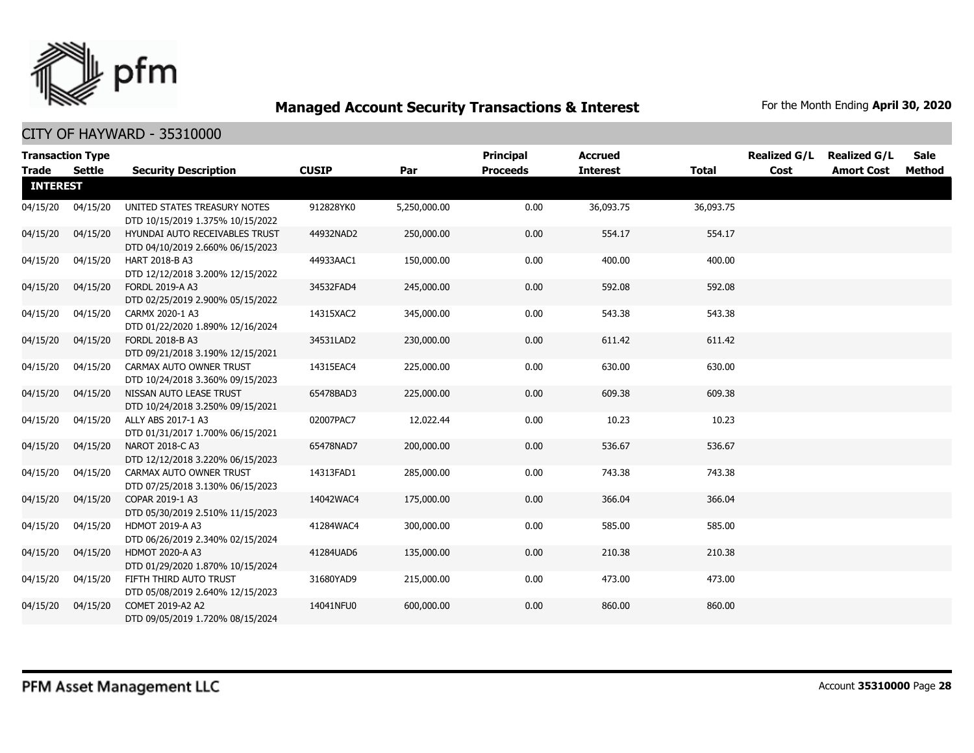

|                 | <b>Transaction Type</b> |                                                                    |              |              | <b>Principal</b> | <b>Accrued</b>  |              | <b>Realized G/L</b> | <b>Realized G/L</b> | Sale   |
|-----------------|-------------------------|--------------------------------------------------------------------|--------------|--------------|------------------|-----------------|--------------|---------------------|---------------------|--------|
| <b>Trade</b>    | <b>Settle</b>           | <b>Security Description</b>                                        | <b>CUSIP</b> | Par          | <b>Proceeds</b>  | <b>Interest</b> | <b>Total</b> | Cost                | <b>Amort Cost</b>   | Method |
| <b>INTEREST</b> |                         |                                                                    |              |              |                  |                 |              |                     |                     |        |
| 04/15/20        | 04/15/20                | UNITED STATES TREASURY NOTES<br>DTD 10/15/2019 1.375% 10/15/2022   | 912828YK0    | 5,250,000.00 | 0.00             | 36,093.75       | 36,093.75    |                     |                     |        |
| 04/15/20        | 04/15/20                | HYUNDAI AUTO RECEIVABLES TRUST<br>DTD 04/10/2019 2.660% 06/15/2023 | 44932NAD2    | 250,000.00   | 0.00             | 554.17          | 554.17       |                     |                     |        |
| 04/15/20        | 04/15/20                | HART 2018-B A3<br>DTD 12/12/2018 3.200% 12/15/2022                 | 44933AAC1    | 150,000.00   | 0.00             | 400.00          | 400.00       |                     |                     |        |
| 04/15/20        | 04/15/20                | <b>FORDL 2019-A A3</b><br>DTD 02/25/2019 2.900% 05/15/2022         | 34532FAD4    | 245,000.00   | 0.00             | 592.08          | 592.08       |                     |                     |        |
| 04/15/20        | 04/15/20                | CARMX 2020-1 A3<br>DTD 01/22/2020 1.890% 12/16/2024                | 14315XAC2    | 345,000.00   | 0.00             | 543.38          | 543.38       |                     |                     |        |
| 04/15/20        | 04/15/20                | FORDL 2018-B A3<br>DTD 09/21/2018 3.190% 12/15/2021                | 34531LAD2    | 230,000.00   | 0.00             | 611.42          | 611.42       |                     |                     |        |
| 04/15/20        | 04/15/20                | CARMAX AUTO OWNER TRUST<br>DTD 10/24/2018 3.360% 09/15/2023        | 14315EAC4    | 225,000.00   | 0.00             | 630.00          | 630.00       |                     |                     |        |
| 04/15/20        | 04/15/20                | NISSAN AUTO LEASE TRUST<br>DTD 10/24/2018 3.250% 09/15/2021        | 65478BAD3    | 225,000.00   | 0.00             | 609.38          | 609.38       |                     |                     |        |
| 04/15/20        | 04/15/20                | ALLY ABS 2017-1 A3<br>DTD 01/31/2017 1.700% 06/15/2021             | 02007PAC7    | 12,022.44    | 0.00             | 10.23           | 10.23        |                     |                     |        |
| 04/15/20        | 04/15/20                | NAROT 2018-C A3<br>DTD 12/12/2018 3.220% 06/15/2023                | 65478NAD7    | 200,000.00   | 0.00             | 536.67          | 536.67       |                     |                     |        |
| 04/15/20        | 04/15/20                | CARMAX AUTO OWNER TRUST<br>DTD 07/25/2018 3.130% 06/15/2023        | 14313FAD1    | 285,000.00   | 0.00             | 743.38          | 743.38       |                     |                     |        |
| 04/15/20        | 04/15/20                | COPAR 2019-1 A3<br>DTD 05/30/2019 2.510% 11/15/2023                | 14042WAC4    | 175,000.00   | 0.00             | 366.04          | 366.04       |                     |                     |        |
| 04/15/20        | 04/15/20                | <b>HDMOT 2019-A A3</b><br>DTD 06/26/2019 2.340% 02/15/2024         | 41284WAC4    | 300,000.00   | 0.00             | 585.00          | 585.00       |                     |                     |        |
| 04/15/20        | 04/15/20                | <b>HDMOT 2020-A A3</b><br>DTD 01/29/2020 1.870% 10/15/2024         | 41284UAD6    | 135,000.00   | 0.00             | 210.38          | 210.38       |                     |                     |        |
| 04/15/20        | 04/15/20                | FIFTH THIRD AUTO TRUST<br>DTD 05/08/2019 2.640% 12/15/2023         | 31680YAD9    | 215,000.00   | 0.00             | 473.00          | 473.00       |                     |                     |        |
| 04/15/20        | 04/15/20                | COMET 2019-A2 A2<br>DTD 09/05/2019 1.720% 08/15/2024               | 14041NFU0    | 600,000.00   | 0.00             | 860.00          | 860.00       |                     |                     |        |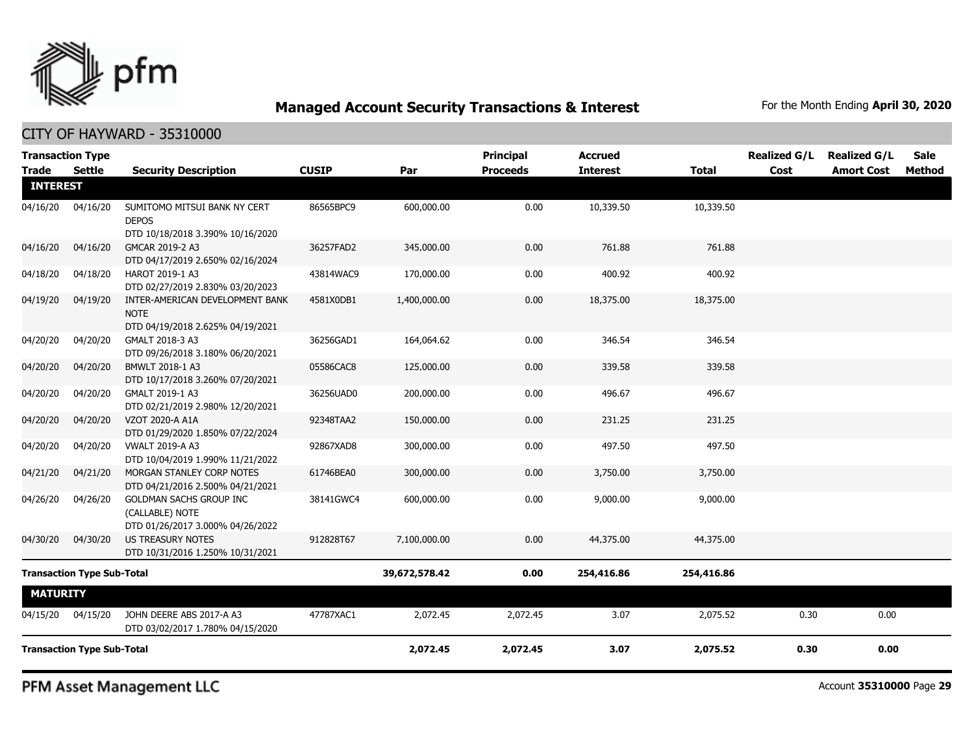

CITY OF HAYWARD - 35310000

| <b>Transaction Type</b><br><b>Trade</b> | Settle                            | <b>Security Description</b>                                                        | <b>CUSIP</b> | Par           | <b>Principal</b><br><b>Proceeds</b> | <b>Accrued</b><br><b>Interest</b> | <b>Total</b> | <b>Realized G/L</b><br>Cost | <b>Realized G/L</b><br><b>Amort Cost</b> | <b>Sale</b><br>Method |
|-----------------------------------------|-----------------------------------|------------------------------------------------------------------------------------|--------------|---------------|-------------------------------------|-----------------------------------|--------------|-----------------------------|------------------------------------------|-----------------------|
| <b>INTEREST</b>                         |                                   |                                                                                    |              |               |                                     |                                   |              |                             |                                          |                       |
| 04/16/20                                | 04/16/20                          | SUMITOMO MITSUI BANK NY CERT<br><b>DEPOS</b><br>DTD 10/18/2018 3.390% 10/16/2020   | 86565BPC9    | 600,000.00    | 0.00                                | 10,339.50                         | 10,339.50    |                             |                                          |                       |
| 04/16/20                                | 04/16/20                          | GMCAR 2019-2 A3<br>DTD 04/17/2019 2.650% 02/16/2024                                | 36257FAD2    | 345,000.00    | 0.00                                | 761.88                            | 761.88       |                             |                                          |                       |
| 04/18/20                                | 04/18/20                          | HAROT 2019-1 A3<br>DTD 02/27/2019 2.830% 03/20/2023                                | 43814WAC9    | 170,000.00    | 0.00                                | 400.92                            | 400.92       |                             |                                          |                       |
| 04/19/20                                | 04/19/20                          | INTER-AMERICAN DEVELOPMENT BANK<br><b>NOTE</b><br>DTD 04/19/2018 2.625% 04/19/2021 | 4581X0DB1    | 1,400,000.00  | 0.00                                | 18,375.00                         | 18,375.00    |                             |                                          |                       |
| 04/20/20                                | 04/20/20                          | GMALT 2018-3 A3<br>DTD 09/26/2018 3.180% 06/20/2021                                | 36256GAD1    | 164,064.62    | 0.00                                | 346.54                            | 346.54       |                             |                                          |                       |
| 04/20/20                                | 04/20/20                          | BMWLT 2018-1 A3<br>DTD 10/17/2018 3.260% 07/20/2021                                | 05586CAC8    | 125,000.00    | 0.00                                | 339.58                            | 339.58       |                             |                                          |                       |
| 04/20/20                                | 04/20/20                          | GMALT 2019-1 A3<br>DTD 02/21/2019 2.980% 12/20/2021                                | 36256UAD0    | 200,000.00    | 0.00                                | 496.67                            | 496.67       |                             |                                          |                       |
| 04/20/20                                | 04/20/20                          | VZOT 2020-A A1A<br>DTD 01/29/2020 1.850% 07/22/2024                                | 92348TAA2    | 150,000.00    | 0.00                                | 231.25                            | 231.25       |                             |                                          |                       |
| 04/20/20                                | 04/20/20                          | <b>VWALT 2019-A A3</b><br>DTD 10/04/2019 1.990% 11/21/2022                         | 92867XAD8    | 300,000.00    | 0.00                                | 497.50                            | 497.50       |                             |                                          |                       |
| 04/21/20                                | 04/21/20                          | MORGAN STANLEY CORP NOTES<br>DTD 04/21/2016 2.500% 04/21/2021                      | 61746BEA0    | 300,000.00    | 0.00                                | 3,750.00                          | 3,750.00     |                             |                                          |                       |
| 04/26/20                                | 04/26/20                          | GOLDMAN SACHS GROUP INC<br>(CALLABLE) NOTE<br>DTD 01/26/2017 3.000% 04/26/2022     | 38141GWC4    | 600,000.00    | 0.00                                | 9,000.00                          | 9,000.00     |                             |                                          |                       |
| 04/30/20                                | 04/30/20                          | US TREASURY NOTES<br>DTD 10/31/2016 1.250% 10/31/2021                              | 912828T67    | 7,100,000.00  | 0.00                                | 44,375.00                         | 44,375.00    |                             |                                          |                       |
|                                         | <b>Transaction Type Sub-Total</b> |                                                                                    |              | 39,672,578.42 | 0.00                                | 254,416.86                        | 254,416.86   |                             |                                          |                       |
| <b>MATURITY</b>                         |                                   |                                                                                    |              |               |                                     |                                   |              |                             |                                          |                       |
| 04/15/20                                | 04/15/20                          | JOHN DEERE ABS 2017-A A3<br>DTD 03/02/2017 1.780% 04/15/2020                       | 47787XAC1    | 2,072.45      | 2,072.45                            | 3.07                              | 2,075.52     | 0.30                        | 0.00                                     |                       |
|                                         | <b>Transaction Type Sub-Total</b> |                                                                                    |              | 2,072.45      | 2,072.45                            | 3.07                              | 2,075.52     | 0.30                        | 0.00                                     |                       |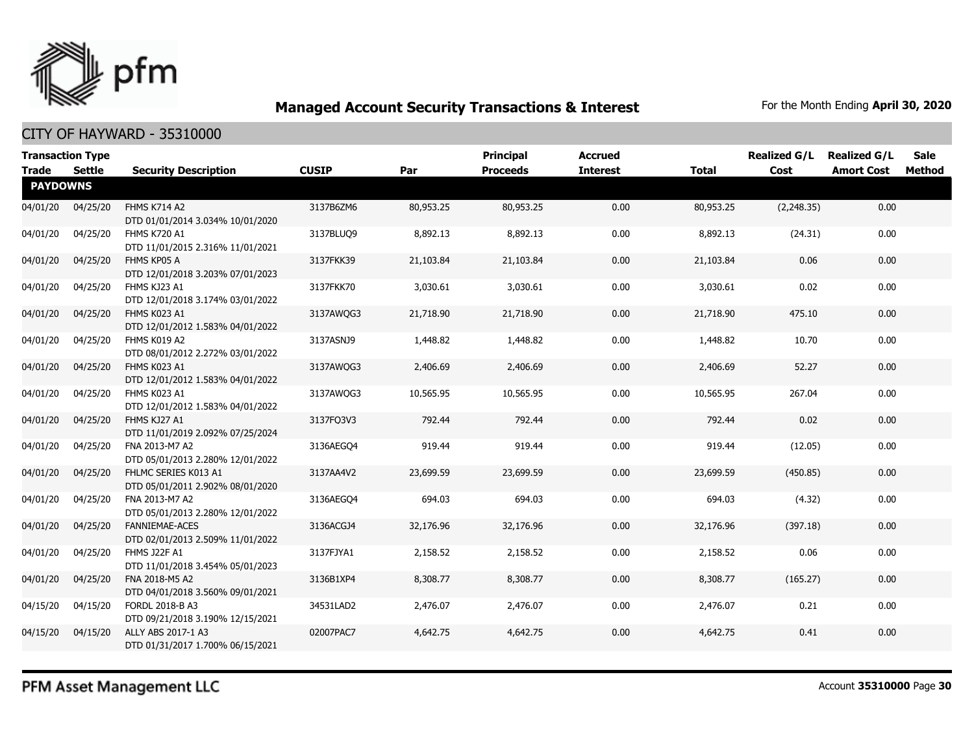

| <b>Transaction Type</b><br><b>Trade</b> | Settle   | <b>Security Description</b>                               | <b>CUSIP</b> | Par       | <b>Principal</b><br><b>Proceeds</b> | <b>Accrued</b><br><b>Interest</b> | <b>Total</b> | <b>Realized G/L</b><br>Cost | <b>Realized G/L</b><br><b>Amort Cost</b> | Sale<br>Method |
|-----------------------------------------|----------|-----------------------------------------------------------|--------------|-----------|-------------------------------------|-----------------------------------|--------------|-----------------------------|------------------------------------------|----------------|
| <b>PAYDOWNS</b>                         |          |                                                           |              |           |                                     |                                   |              |                             |                                          |                |
| 04/01/20                                | 04/25/20 | <b>FHMS K714 A2</b><br>DTD 01/01/2014 3.034% 10/01/2020   | 3137B6ZM6    | 80,953.25 | 80,953.25                           | 0.00                              | 80,953.25    | (2,248.35)                  | 0.00                                     |                |
| 04/01/20                                | 04/25/20 | FHMS K720 A1<br>DTD 11/01/2015 2.316% 11/01/2021          | 3137BLUQ9    | 8,892.13  | 8,892.13                            | 0.00                              | 8,892.13     | (24.31)                     | 0.00                                     |                |
| 04/01/20                                | 04/25/20 | FHMS KP05 A<br>DTD 12/01/2018 3.203% 07/01/2023           | 3137FKK39    | 21,103.84 | 21,103.84                           | 0.00                              | 21,103.84    | 0.06                        | 0.00                                     |                |
| 04/01/20                                | 04/25/20 | FHMS KJ23 A1<br>DTD 12/01/2018 3.174% 03/01/2022          | 3137FKK70    | 3,030.61  | 3,030.61                            | 0.00                              | 3,030.61     | 0.02                        | 0.00                                     |                |
| 04/01/20                                | 04/25/20 | FHMS K023 A1<br>DTD 12/01/2012 1.583% 04/01/2022          | 3137AWQG3    | 21,718.90 | 21,718.90                           | 0.00                              | 21,718.90    | 475.10                      | 0.00                                     |                |
| 04/01/20                                | 04/25/20 | FHMS K019 A2<br>DTD 08/01/2012 2.272% 03/01/2022          | 3137ASNJ9    | 1,448.82  | 1,448.82                            | 0.00                              | 1,448.82     | 10.70                       | 0.00                                     |                |
| 04/01/20                                | 04/25/20 | FHMS K023 A1<br>DTD 12/01/2012 1.583% 04/01/2022          | 3137AWQG3    | 2,406.69  | 2,406.69                            | 0.00                              | 2,406.69     | 52.27                       | 0.00                                     |                |
| 04/01/20                                | 04/25/20 | FHMS K023 A1<br>DTD 12/01/2012 1.583% 04/01/2022          | 3137AWQG3    | 10,565.95 | 10,565.95                           | 0.00                              | 10,565.95    | 267.04                      | 0.00                                     |                |
| 04/01/20                                | 04/25/20 | FHMS KJ27 A1<br>DTD 11/01/2019 2.092% 07/25/2024          | 3137FQ3V3    | 792.44    | 792.44                              | 0.00                              | 792.44       | 0.02                        | 0.00                                     |                |
| 04/01/20                                | 04/25/20 | FNA 2013-M7 A2<br>DTD 05/01/2013 2.280% 12/01/2022        | 3136AEGO4    | 919.44    | 919.44                              | 0.00                              | 919.44       | (12.05)                     | 0.00                                     |                |
| 04/01/20                                | 04/25/20 | FHLMC SERIES K013 A1<br>DTD 05/01/2011 2.902% 08/01/2020  | 3137AA4V2    | 23,699.59 | 23,699.59                           | 0.00                              | 23,699.59    | (450.85)                    | 0.00                                     |                |
| 04/01/20                                | 04/25/20 | FNA 2013-M7 A2<br>DTD 05/01/2013 2.280% 12/01/2022        | 3136AEGO4    | 694.03    | 694.03                              | 0.00                              | 694.03       | (4.32)                      | 0.00                                     |                |
| 04/01/20                                | 04/25/20 | <b>FANNIEMAE-ACES</b><br>DTD 02/01/2013 2.509% 11/01/2022 | 3136ACGJ4    | 32,176.96 | 32,176.96                           | 0.00                              | 32,176.96    | (397.18)                    | 0.00                                     |                |
| 04/01/20                                | 04/25/20 | <b>FHMS J22F A1</b><br>DTD 11/01/2018 3.454% 05/01/2023   | 3137FJYA1    | 2,158.52  | 2,158.52                            | 0.00                              | 2,158.52     | 0.06                        | 0.00                                     |                |
| 04/01/20                                | 04/25/20 | FNA 2018-M5 A2<br>DTD 04/01/2018 3.560% 09/01/2021        | 3136B1XP4    | 8,308.77  | 8,308.77                            | 0.00                              | 8,308.77     | (165.27)                    | 0.00                                     |                |
| 04/15/20                                | 04/15/20 | FORDL 2018-B A3<br>DTD 09/21/2018 3.190% 12/15/2021       | 34531LAD2    | 2,476.07  | 2,476.07                            | 0.00                              | 2,476.07     | 0.21                        | 0.00                                     |                |
| 04/15/20                                | 04/15/20 | ALLY ABS 2017-1 A3<br>DTD 01/31/2017 1.700% 06/15/2021    | 02007PAC7    | 4,642.75  | 4,642.75                            | 0.00                              | 4,642.75     | 0.41                        | 0.00                                     |                |